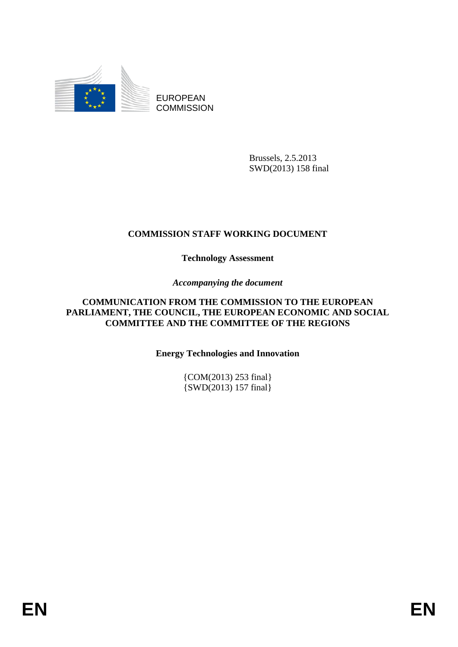

EUROPEAN **COMMISSION** 

> Brussels, 2.5.2013 SWD(2013) 158 final

# **COMMISSION STAFF WORKING DOCUMENT**

# **Technology Assessment**

# *Accompanying the document*

### **COMMUNICATION FROM THE COMMISSION TO THE EUROPEAN PARLIAMENT, THE COUNCIL, THE EUROPEAN ECONOMIC AND SOCIAL COMMITTEE AND THE COMMITTEE OF THE REGIONS**

# **Energy Technologies and Innovation**

{COM(2013) 253 final} {SWD(2013) 157 final}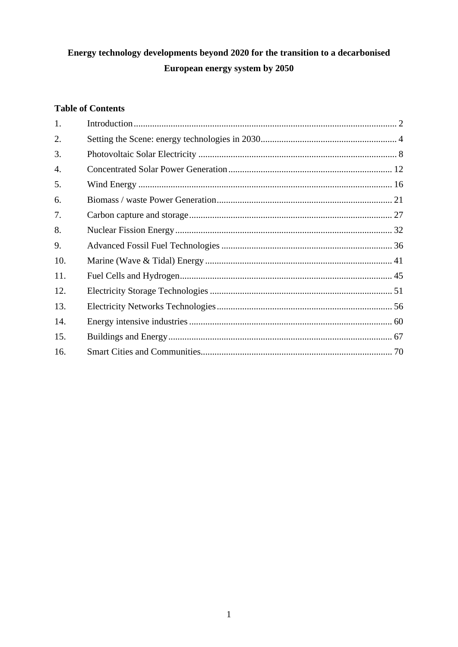# Energy technology developments beyond 2020 for the transition to a decarbonised European energy system by 2050

# **Table of Contents**

| 1.  |  |
|-----|--|
| 2.  |  |
| 3.  |  |
| 4.  |  |
| 5.  |  |
| 6.  |  |
| 7.  |  |
| 8.  |  |
| 9.  |  |
| 10. |  |
| 11. |  |
| 12. |  |
| 13. |  |
| 14. |  |
| 15. |  |
| 16. |  |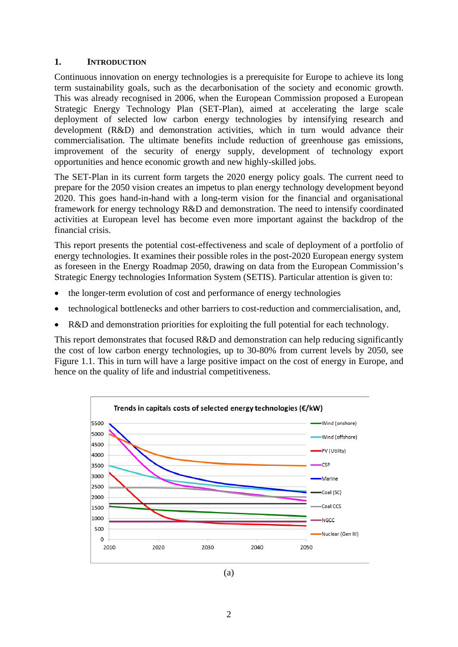#### <span id="page-2-0"></span>**1. INTRODUCTION**

Continuous innovation on energy technologies is a prerequisite for Europe to achieve its long term sustainability goals, such as the decarbonisation of the society and economic growth. This was already recognised in 2006, when the European Commission proposed a European Strategic Energy Technology Plan (SET-Plan), aimed at accelerating the large scale deployment of selected low carbon energy technologies by intensifying research and development (R&D) and demonstration activities, which in turn would advance their commercialisation. The ultimate benefits include reduction of greenhouse gas emissions, improvement of the security of energy supply, development of technology export opportunities and hence economic growth and new highly-skilled jobs.

The SET-Plan in its current form targets the 2020 energy policy goals. The current need to prepare for the 2050 vision creates an impetus to plan energy technology development beyond 2020. This goes hand-in-hand with a long-term vision for the financial and organisational framework for energy technology R&D and demonstration. The need to intensify coordinated activities at European level has become even more important against the backdrop of the financial crisis.

This report presents the potential cost-effectiveness and scale of deployment of a portfolio of energy technologies. It examines their possible roles in the post-2020 European energy system as foreseen in the Energy Roadmap 2050, drawing on data from the European Commission's Strategic Energy technologies Information System (SETIS). Particular attention is given to:

- the longer-term evolution of cost and performance of energy technologies
- technological bottlenecks and other barriers to cost-reduction and commercialisation, and,
- R&D and demonstration priorities for exploiting the full potential for each technology.

This report demonstrates that focused R&D and demonstration can help reducing significantly the cost of low carbon energy technologies, up to 30-80% from current levels by 2050, see Figure 1.1. This in turn will have a large positive impact on the cost of energy in Europe, and hence on the quality of life and industrial competitiveness.



(a)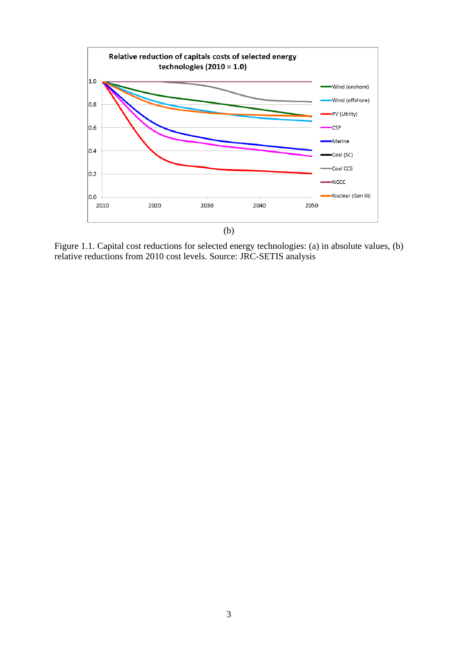

Figure 1.1. Capital cost reductions for selected energy technologies: (a) in absolute values, (b) relative reductions from 2010 cost levels. Source: JRC-SETIS analysis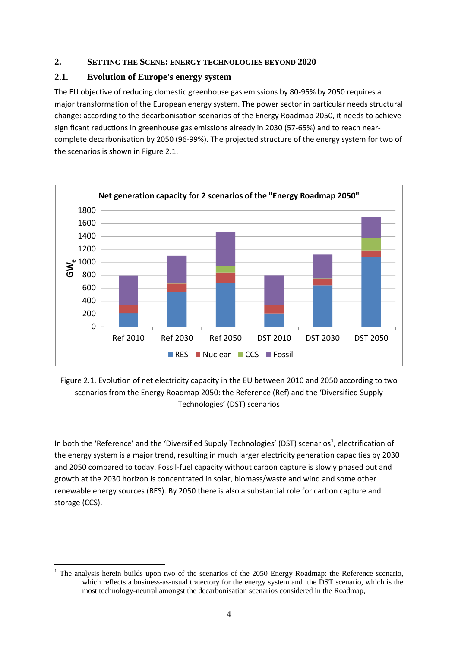### <span id="page-4-0"></span>**2. SETTING THE SCENE: ENERGY TECHNOLOGIES BEYOND 2020**

### **2.1. Evolution of Europe's energy system**

The EU objective of reducing domestic greenhouse gas emissions by 80-95% by 2050 requires a major transformation of the European energy system. The power sector in particular needs structural change: according to the decarbonisation scenarios of the Energy Roadmap 2050, it needs to achieve significant reductions in greenhouse gas emissions already in 2030 (57-65%) and to reach nearcomplete decarbonisation by 2050 (96-99%). The projected structure of the energy system for two of the scenarios is shown in Figure 2.1.



Figure 2.1. Evolution of net electricity capacity in the EU between 2010 and 2050 according to two scenarios from the Energy Roadmap 2050: the Reference (Ref) and the 'Diversified Supply Technologies' (DST) scenarios

In both the 'Reference' and the 'Diversified Supply Technologies' (DST) scenarios<sup>1</sup>, electrification of the energy system is a major trend, resulting in much larger electricity generation capacities by 2030 and 2050 compared to today. Fossil-fuel capacity without carbon capture is slowly phased out and growth at the 2030 horizon is concentrated in solar, biomass/waste and wind and some other renewable energy sources (RES). By 2050 there is also a substantial role for carbon capture and storage (CCS).

<sup>&</sup>lt;sup>1</sup> The analysis herein builds upon two of the scenarios of the 2050 Energy Roadmap: the Reference scenario, which reflects a business-as-usual trajectory for the energy system and the DST scenario, which is the most technology-neutral amongst the decarbonisation scenarios considered in the Roadmap,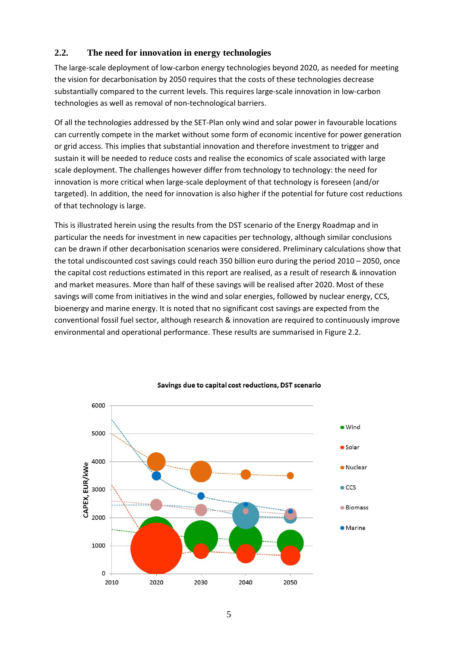### **2.2. The need for innovation in energy technologies**

The large-scale deployment of low-carbon energy technologies beyond 2020, as needed for meeting the vision for decarbonisation by 2050 requires that the costs of these technologies decrease substantially compared to the current levels. This requires large-scale innovation in low-carbon technologies as well as removal of non-technological barriers.

Of all the technologies addressed by the SET-Plan only wind and solar power in favourable locations can currently compete in the market without some form of economic incentive for power generation or grid access. This implies that substantial innovation and therefore investment to trigger and sustain it will be needed to reduce costs and realise the economics of scale associated with large scale deployment. The challenges however differ from technology to technology: the need for innovation is more critical when large-scale deployment of that technology is foreseen (and/or targeted). In addition, the need for innovation is also higher if the potential for future cost reductions of that technology is large.

This is illustrated herein using the results from the DST scenario of the Energy Roadmap and in particular the needs for investment in new capacities per technology, although similar conclusions can be drawn if other decarbonisation scenarios were considered. Preliminary calculations show that the total undiscounted cost savings could reach 350 billion euro during the period 2010 – 2050, once the capital cost reductions estimated in this report are realised, as a result of research & innovation and market measures. More than half of these savings will be realised after 2020. Most of these savings will come from initiatives in the wind and solar energies, followed by nuclear energy, CCS, bioenergy and marine energy. It is noted that no significant cost savings are expected from the conventional fossil fuel sector, although research & innovation are required to continuously improve environmental and operational performance. These results are summarised in Figure 2.2.



#### Savings due to capital cost reductions, DST scenario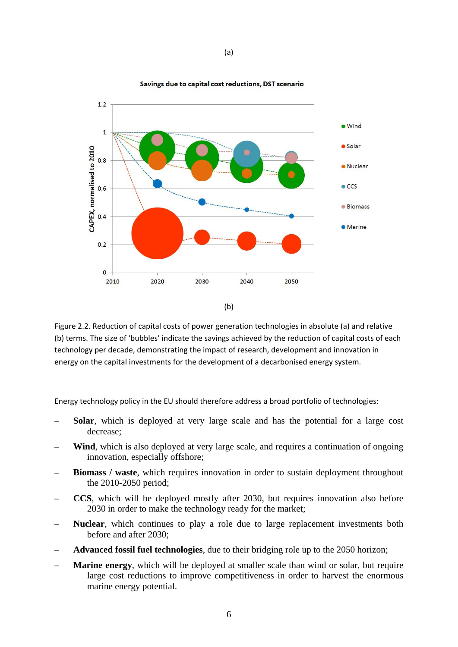

Figure 2.2. Reduction of capital costs of power generation technologies in absolute (a) and relative (b) terms. The size of 'bubbles' indicate the savings achieved by the reduction of capital costs of each technology per decade, demonstrating the impact of research, development and innovation in energy on the capital investments for the development of a decarbonised energy system.

Energy technology policy in the EU should therefore address a broad portfolio of technologies:

- **Solar**, which is deployed at very large scale and has the potential for a large cost decrease;
- **Wind**, which is also deployed at very large scale, and requires a continuation of ongoing innovation, especially offshore;
- **Biomass / waste**, which requires innovation in order to sustain deployment throughout the 2010-2050 period;
- **CCS**, which will be deployed mostly after 2030, but requires innovation also before 2030 in order to make the technology ready for the market;
- **Nuclear**, which continues to play a role due to large replacement investments both before and after 2030;
- **Advanced fossil fuel technologies**, due to their bridging role up to the 2050 horizon;
- **Marine energy**, which will be deployed at smaller scale than wind or solar, but require large cost reductions to improve competitiveness in order to harvest the enormous marine energy potential.

Savings due to capital cost reductions, DST scenario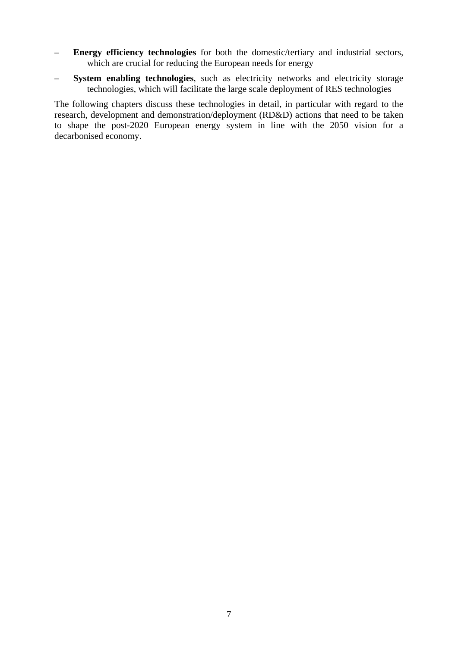- **Energy efficiency technologies** for both the domestic/tertiary and industrial sectors, which are crucial for reducing the European needs for energy
- **System enabling technologies**, such as electricity networks and electricity storage technologies, which will facilitate the large scale deployment of RES technologies

The following chapters discuss these technologies in detail, in particular with regard to the research, development and demonstration/deployment (RD&D) actions that need to be taken to shape the post-2020 European energy system in line with the 2050 vision for a decarbonised economy.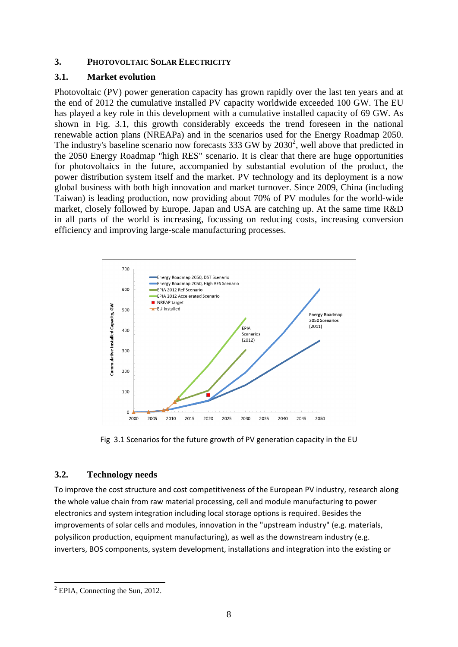#### <span id="page-8-0"></span>**3. PHOTOVOLTAIC SOLAR ELECTRICITY**

### **3.1. Market evolution**

Photovoltaic (PV) power generation capacity has grown rapidly over the last ten years and at the end of 2012 the cumulative installed PV capacity worldwide exceeded 100 GW. The EU has played a key role in this development with a cumulative installed capacity of 69 GW. As shown in Fig. 3.1, this growth considerably exceeds the trend foreseen in the national renewable action plans (NREAPa) and in the scenarios used for the Energy Roadmap 2050. The industry's baseline scenario now forecasts 333 GW by  $2030^2$ , well above that predicted in the 2050 Energy Roadmap "high RES" scenario. It is clear that there are huge opportunities for photovoltaics in the future, accompanied by substantial evolution of the product, the power distribution system itself and the market. PV technology and its deployment is a now global business with both high innovation and market turnover. Since 2009, China (including Taiwan) is leading production, now providing about 70% of PV modules for the world-wide market, closely followed by Europe. Japan and USA are catching up. At the same time R&D in all parts of the world is increasing, focussing on reducing costs, increasing conversion efficiency and improving large-scale manufacturing processes.



Fig 3.1 Scenarios for the future growth of PV generation capacity in the EU

### **3.2. Technology needs**

To improve the cost structure and cost competitiveness of the European PV industry, research along the whole value chain from raw material processing, cell and module manufacturing to power electronics and system integration including local storage options is required. Besides the improvements of solar cells and modules, innovation in the "upstream industry" (e.g. materials, polysilicon production, equipment manufacturing), as well as the downstream industry (e.g. inverters, BOS components, system development, installations and integration into the existing or

<sup>1</sup> <sup>2</sup> EPIA, Connecting the Sun, 2012.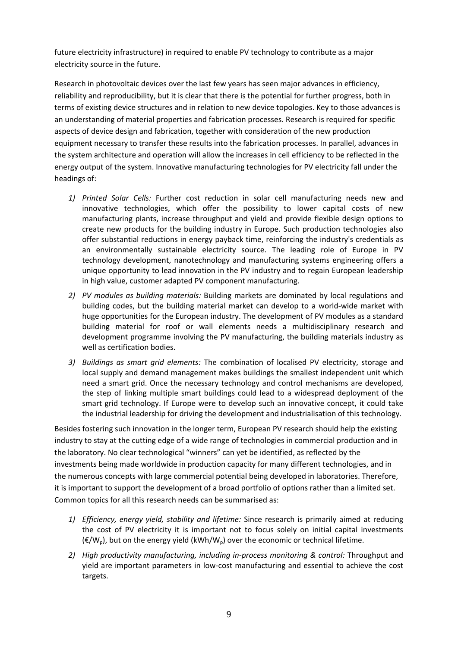future electricity infrastructure) in required to enable PV technology to contribute as a major electricity source in the future.

Research in photovoltaic devices over the last few years has seen major advances in efficiency, reliability and reproducibility, but it is clear that there is the potential for further progress, both in terms of existing device structures and in relation to new device topologies. Key to those advances is an understanding of material properties and fabrication processes. Research is required for specific aspects of device design and fabrication, together with consideration of the new production equipment necessary to transfer these results into the fabrication processes. In parallel, advances in the system architecture and operation will allow the increases in cell efficiency to be reflected in the energy output of the system. Innovative manufacturing technologies for PV electricity fall under the headings of:

- *1) Printed Solar Cells:* Further cost reduction in solar cell manufacturing needs new and innovative technologies, which offer the possibility to lower capital costs of new manufacturing plants, increase throughput and yield and provide flexible design options to create new products for the building industry in Europe. Such production technologies also offer substantial reductions in energy payback time, reinforcing the industry's credentials as an environmentally sustainable electricity source. The leading role of Europe in PV technology development, nanotechnology and [manufacturing](http://dict.leo.org/ende?lp=ende&p=_xpAA&search=manufacturing&trestr=0x8001) [systems](http://dict.leo.org/ende?lp=ende&p=_xpAA&search=systems&trestr=0x8001) [engineering](http://dict.leo.org/ende?lp=ende&p=_xpAA&search=engineering&trestr=0x8001) offers a unique opportunity to lead innovation in the PV industry and to regain European leadership in high value, customer adapted PV component manufacturing.
- *2) PV modules as building materials:* Building markets are dominated by local regulations and building codes, but the building material market can develop to a world-wide market with huge opportunities for the European industry. The development of PV modules as a standard building material for roof or wall elements needs a multidisciplinary research and development programme involving the PV manufacturing, the building materials industry as well as certification bodies.
- *3) Buildings as smart grid elements:* The combination of localised PV electricity, storage and local supply and demand management makes buildings the smallest independent unit which need a smart grid. Once the necessary technology and control mechanisms are developed, the step of linking multiple smart buildings could lead to a widespread deployment of the smart grid technology. If Europe were to develop such an innovative concept, it could take the industrial leadership for driving the development and industrialisation of this technology.

Besides fostering such innovation in the longer term, European PV research should help the existing industry to stay at the cutting edge of a wide range of technologies in commercial production and in the laboratory. No clear technological "winners" can yet be identified, as reflected by the investments being made worldwide in production capacity for many different technologies, and in the numerous concepts with large commercial potential being developed in laboratories. Therefore, it is important to support the development of a broad portfolio of options rather than a limited set. Common topics for all this research needs can be summarised as:

- *1) Efficiency, energy yield, stability and lifetime:* Since research is primarily aimed at reducing the cost of PV electricity it is important not to focus solely on initial capital investments  $(\mathbf{E}/W_{\mathsf{D}})$ , but on the energy yield (kWh/W<sub>p</sub>) over the economic or technical lifetime.
- *2) High productivity manufacturing, including in-process monitoring & control:* Throughput and yield are important parameters in low-cost manufacturing and essential to achieve the cost targets.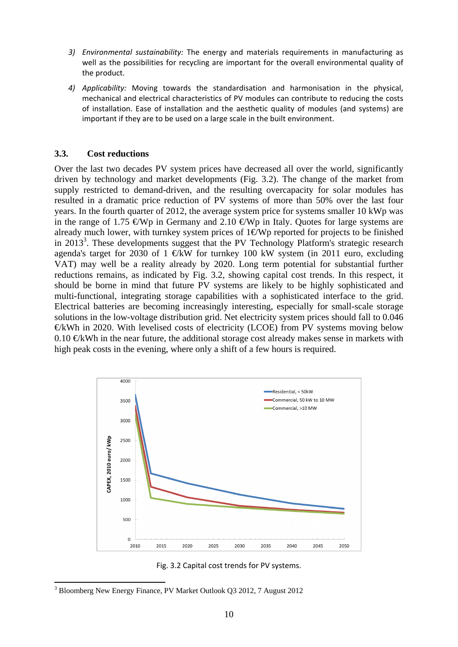- *3) Environmental sustainability:* The energy and materials requirements in manufacturing as well as the possibilities for recycling are important for the overall environmental quality of the product.
- *4) Applicability:* Moving towards the standardisation and harmonisation in the physical, mechanical and electrical characteristics of PV modules can contribute to reducing the costs of installation. Ease of installation and the aesthetic quality of modules (and systems) are important if they are to be used on a large scale in the built environment.

### **3.3. Cost reductions**

Over the last two decades PV system prices have decreased all over the world, significantly driven by technology and market developments (Fig. 3.2). The change of the market from supply restricted to demand-driven, and the resulting overcapacity for solar modules has resulted in a dramatic price reduction of PV systems of more than 50% over the last four years. In the fourth quarter of 2012, the average system price for systems smaller 10 kWp was in the range of 1.75  $\epsilon Wp$  in Germany and 2.10  $\epsilon Wp$  in Italy. Quotes for large systems are already much lower, with turnkey system prices of  $1 \in Wp$  reported for projects to be finished in 2013<sup>3</sup>. These developments suggest that the PV Technology Platform's strategic research agenda's target for 2030 of 1  $E$ KW for turnkey 100 kW system (in 2011 euro, excluding VAT) may well be a reality already by 2020. Long term potential for substantial further reductions remains, as indicated by Fig. 3.2, showing capital cost trends. In this respect, it should be borne in mind that future PV systems are likely to be highly sophisticated and multi-functional, integrating storage capabilities with a sophisticated interface to the grid. Electrical batteries are becoming increasingly interesting, especially for small-scale storage solutions in the low-voltage distribution grid. Net electricity system prices should fall to 0.046  $E$ kWh in 2020. With levelised costs of electricity (LCOE) from PV systems moving below 0.10  $\bigoplus$  KWh in the near future, the additional storage cost already makes sense in markets with high peak costs in the evening, where only a shift of a few hours is required.



Fig. 3.2 Capital cost trends for PV systems.

<sup>1</sup> <sup>3</sup> Bloomberg New Energy Finance, PV Market Outlook Q3 2012, 7 August 2012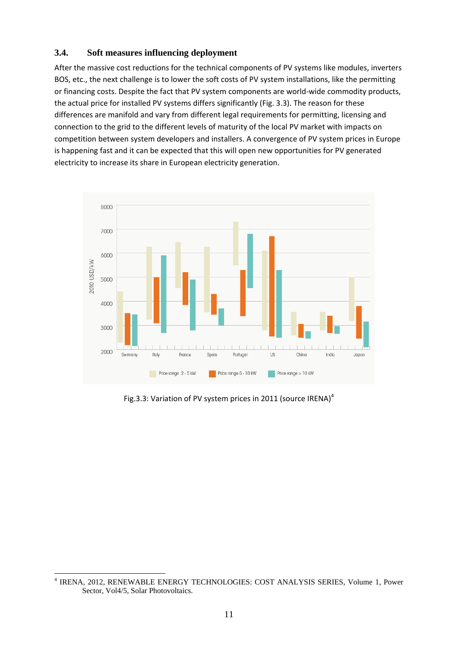### **3.4. Soft measures influencing deployment**

After the massive cost reductions for the technical components of PV systems like modules, inverters BOS, etc., the next challenge is to lower the soft costs of PV system installations, like the permitting or financing costs. Despite the fact that PV system components are world-wide commodity products, the actual price for installed PV systems differs significantly (Fig. 3.3). The reason for these differences are manifold and vary from different legal requirements for permitting, licensing and connection to the grid to the different levels of maturity of the local PV market with impacts on competition between system developers and installers. A convergence of PV system prices in Europe is happening fast and it can be expected that this will open new opportunities for PV generated electricity to increase its share in European electricity generation.



Fig.3.3: Variation of PV system prices in 2011 (source IRENA)<sup>4</sup>

**<sup>.</sup>** 4 IRENA, 2012, RENEWABLE ENERGY TECHNOLOGIES: COST ANALYSIS SERIES, Volume 1, Power Sector, Vol4/5, Solar Photovoltaics.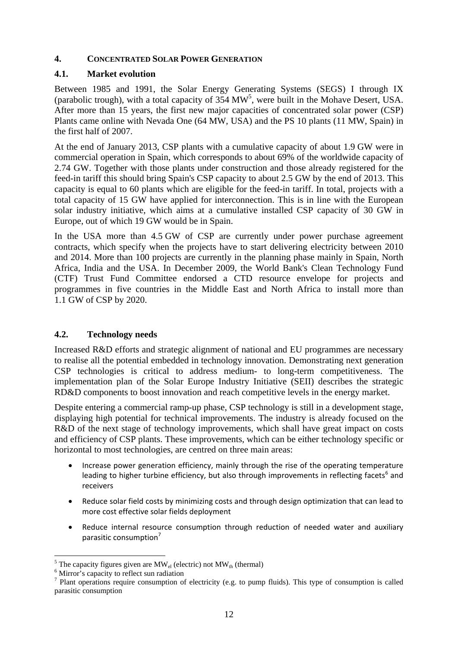### <span id="page-12-0"></span>**4. CONCENTRATED SOLAR POWER GENERATION**

### **4.1. Market evolution**

Between 1985 and 1991, the Solar Energy Generating Systems (SEGS) I through IX (parabolic trough), with a total capacity of  $354 \text{ MW}^5$ , were built in the Mohave Desert, USA. After more than 15 years, the first new major capacities of concentrated solar power (CSP) Plants came online with Nevada One (64 MW, USA) and the PS 10 plants (11 MW, Spain) in the first half of 2007.

At the end of January 2013, CSP plants with a cumulative capacity of about 1.9 GW were in commercial operation in Spain, which corresponds to about 69% of the worldwide capacity of 2.74 GW. Together with those plants under construction and those already registered for the feed-in tariff this should bring Spain's CSP capacity to about 2.5 GW by the end of 2013. This capacity is equal to 60 plants which are eligible for the feed-in tariff. In total, projects with a total capacity of 15 GW have applied for interconnection. This is in line with the European solar industry initiative, which aims at a cumulative installed CSP capacity of 30 GW in Europe, out of which 19 GW would be in Spain.

In the USA more than 4.5 GW of CSP are currently under power purchase agreement contracts, which specify when the projects have to start delivering electricity between 2010 and 2014. More than 100 projects are currently in the planning phase mainly in Spain, North Africa, India and the USA. In December 2009, the World Bank's Clean Technology Fund (CTF) Trust Fund Committee endorsed a CTD resource envelope for projects and programmes in five countries in the Middle East and North Africa to install more than 1.1 GW of CSP by 2020.

### **4.2. Technology needs**

Increased R&D efforts and strategic alignment of national and EU programmes are necessary to realise all the potential embedded in technology innovation. Demonstrating next generation CSP technologies is critical to address medium- to long-term competitiveness. The implementation plan of the Solar Europe Industry Initiative (SEII) describes the strategic RD&D components to boost innovation and reach competitive levels in the energy market.

Despite entering a commercial ramp-up phase, CSP technology is still in a development stage, displaying high potential for technical improvements. The industry is already focused on the R&D of the next stage of technology improvements, which shall have great impact on costs and efficiency of CSP plants. These improvements, which can be either technology specific or horizontal to most technologies, are centred on three main areas:

- Increase power generation efficiency, mainly through the rise of the operating temperature leading to higher turbine efficiency, but also through improvements in reflecting facets<sup>6</sup> and receivers
- Reduce solar field costs by minimizing costs and through design optimization that can lead to more cost effective solar fields deployment
- Reduce internal resource consumption through reduction of needed water and auxiliary parasitic consumption<sup>7</sup>

1

<sup>&</sup>lt;sup>5</sup> The capacity figures given are  $MW_{el}$  (electric) not  $MW_{th}$  (thermal)  $^{6}$  Mirror's capacity to reflect sup rediction

 $<sup>6</sup>$  Mirror's capacity to reflect sun radiation</sup>

<sup>&</sup>lt;sup>7</sup> Plant operations require consumption of electricity (e.g. to pump fluids). This type of consumption is called parasitic consumption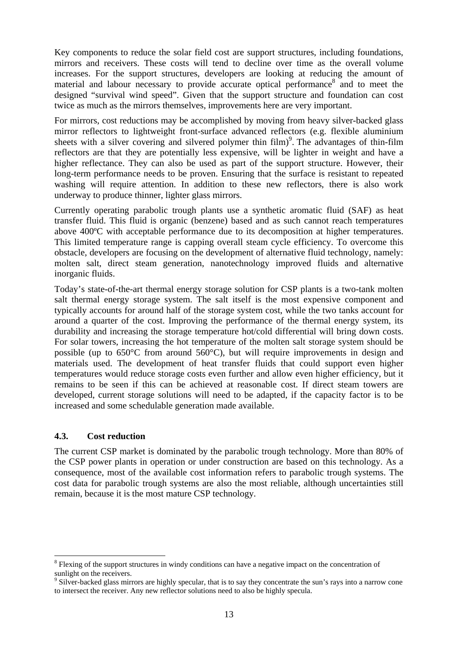Key components to reduce the solar field cost are support structures, including foundations, mirrors and receivers. These costs will tend to decline over time as the overall volume increases. For the support structures, developers are looking at reducing the amount of material and labour necessary to provide accurate optical performance<sup>8</sup> and to meet the designed "survival wind speed". Given that the support structure and foundation can cost twice as much as the mirrors themselves, improvements here are very important.

For mirrors, cost reductions may be accomplished by moving from heavy silver-backed glass mirror reflectors to lightweight front-surface advanced reflectors (e.g. flexible aluminium sheets with a silver covering and silvered polymer thin  $film<sup>9</sup>$ . The advantages of thin-film reflectors are that they are potentially less expensive, will be lighter in weight and have a higher reflectance. They can also be used as part of the support structure. However, their long-term performance needs to be proven. Ensuring that the surface is resistant to repeated washing will require attention. In addition to these new reflectors, there is also work underway to produce thinner, lighter glass mirrors.

Currently operating parabolic trough plants use a synthetic aromatic fluid (SAF) as heat transfer fluid. This fluid is organic (benzene) based and as such cannot reach temperatures above 400ºC with acceptable performance due to its decomposition at higher temperatures. This limited temperature range is capping overall steam cycle efficiency. To overcome this obstacle, developers are focusing on the development of alternative fluid technology, namely: molten salt, direct steam generation, nanotechnology improved fluids and alternative inorganic fluids.

Today's state-of-the-art thermal energy storage solution for CSP plants is a two-tank molten salt thermal energy storage system. The salt itself is the most expensive component and typically accounts for around half of the storage system cost, while the two tanks account for around a quarter of the cost. Improving the performance of the thermal energy system, its durability and increasing the storage temperature hot/cold differential will bring down costs. For solar towers, increasing the hot temperature of the molten salt storage system should be possible (up to 650°C from around 560°C), but will require improvements in design and materials used. The development of heat transfer fluids that could support even higher temperatures would reduce storage costs even further and allow even higher efficiency, but it remains to be seen if this can be achieved at reasonable cost. If direct steam towers are developed, current storage solutions will need to be adapted, if the capacity factor is to be increased and some schedulable generation made available.

### **4.3. Cost reduction**

1

The current CSP market is dominated by the parabolic trough technology. More than 80% of the CSP power plants in operation or under construction are based on this technology. As a consequence, most of the available cost information refers to parabolic trough systems. The cost data for parabolic trough systems are also the most reliable, although uncertainties still remain, because it is the most mature CSP technology.

<sup>&</sup>lt;sup>8</sup> Flexing of the support structures in windy conditions can have a negative impact on the concentration of sunlight on the receivers.

<sup>&</sup>lt;sup>9</sup> Silver-backed glass mirrors are highly specular, that is to say they concentrate the sun's rays into a narrow cone to intersect the receiver. Any new reflector solutions need to also be highly specula.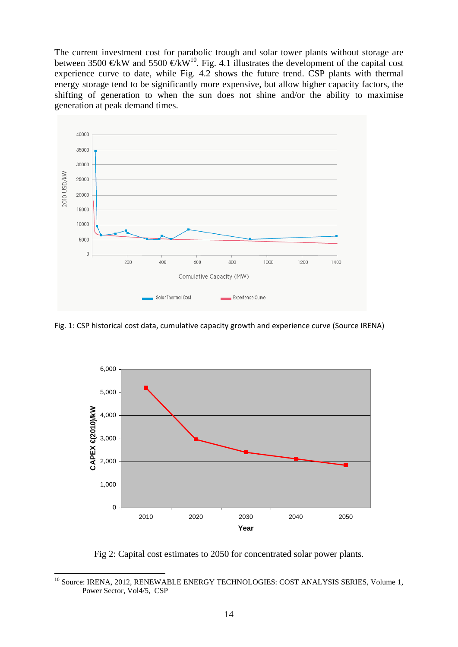The current investment cost for parabolic trough and solar tower plants without storage are between 3500 €kW and 5500 €kW<sup>10</sup>. Fig. 4.1 illustrates the development of the capital cost experience curve to date, while Fig. 4.2 shows the future trend. CSP plants with thermal energy storage tend to be significantly more expensive, but allow higher capacity factors, the shifting of generation to when the sun does not shine and/or the ability to maximise generation at peak demand times.



Fig. 1: CSP historical cost data, cumulative capacity growth and experience curve (Source IRENA)



Fig 2: Capital cost estimates to 2050 for concentrated solar power plants.

**.** 

<sup>&</sup>lt;sup>10</sup> Source: IRENA, 2012, RENEWABLE ENERGY TECHNOLOGIES: COST ANALYSIS SERIES, Volume 1, Power Sector, Vol4/5, CSP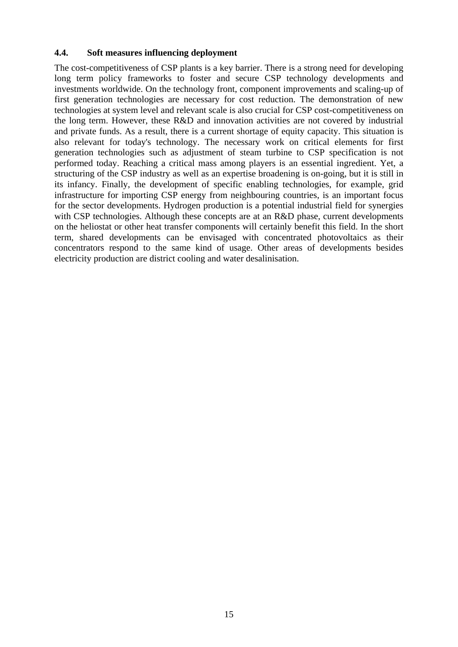#### **4.4. Soft measures influencing deployment**

The cost-competitiveness of CSP plants is a key barrier. There is a strong need for developing long term policy frameworks to foster and secure CSP technology developments and investments worldwide. On the technology front, component improvements and scaling-up of first generation technologies are necessary for cost reduction. The demonstration of new technologies at system level and relevant scale is also crucial for CSP cost-competitiveness on the long term. However, these R&D and innovation activities are not covered by industrial and private funds. As a result, there is a current shortage of equity capacity. This situation is also relevant for today's technology. The necessary work on critical elements for first generation technologies such as adjustment of steam turbine to CSP specification is not performed today. Reaching a critical mass among players is an essential ingredient. Yet, a structuring of the CSP industry as well as an expertise broadening is on-going, but it is still in its infancy. Finally, the development of specific enabling technologies, for example, grid infrastructure for importing CSP energy from neighbouring countries, is an important focus for the sector developments. Hydrogen production is a potential industrial field for synergies with CSP technologies. Although these concepts are at an R&D phase, current developments on the heliostat or other heat transfer components will certainly benefit this field. In the short term, shared developments can be envisaged with concentrated photovoltaics as their concentrators respond to the same kind of usage. Other areas of developments besides electricity production are district cooling and water desalinisation.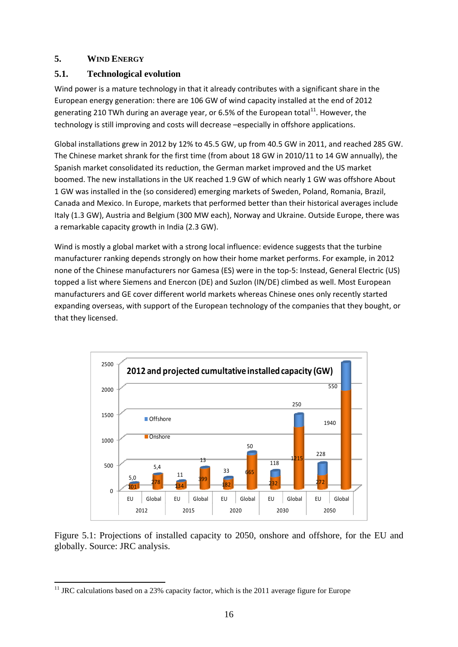### <span id="page-16-0"></span>**5. WIND ENERGY**

# **5.1. Technological evolution**

Wind power is a mature technology in that it already contributes with a significant share in the European energy generation: there are 106 GW of wind capacity installed at the end of 2012 generating 210 TWh during an average year, or 6.5% of the European total<sup>11</sup>. However, the technology is still improving and costs will decrease –especially in offshore applications.

Global installations grew in 2012 by 12% to 45.5 GW, up from 40.5 GW in 2011, and reached 285 GW. The Chinese market shrank for the first time (from about 18 GW in 2010/11 to 14 GW annually), the Spanish market consolidated its reduction, the German market improved and the US market boomed. The new installations in the UK reached 1.9 GW of which nearly 1 GW was offshore About 1 GW was installed in the (so considered) emerging markets of Sweden, Poland, Romania, Brazil, Canada and Mexico. In Europe, markets that performed better than their historical averages include Italy (1.3 GW), Austria and Belgium (300 MW each), Norway and Ukraine. Outside Europe, there was a remarkable capacity growth in India (2.3 GW).

Wind is mostly a global market with a strong local influence: evidence suggests that the turbine manufacturer ranking depends strongly on how their home market performs. For example, in 2012 none of the Chinese manufacturers nor Gamesa (ES) were in the top-5: Instead, General Electric (US) topped a list where Siemens and Enercon (DE) and Suzlon (IN/DE) climbed as well. Most European manufacturers and GE cover different world markets whereas Chinese ones only recently started expanding overseas, with support of the European technology of the companies that they bought, or that they licensed.



Figure 5.1: Projections of installed capacity to 2050, onshore and offshore, for the EU and globally. Source: JRC analysis.

<sup>1</sup>  $11$  JRC calculations based on a 23% capacity factor, which is the 2011 average figure for Europe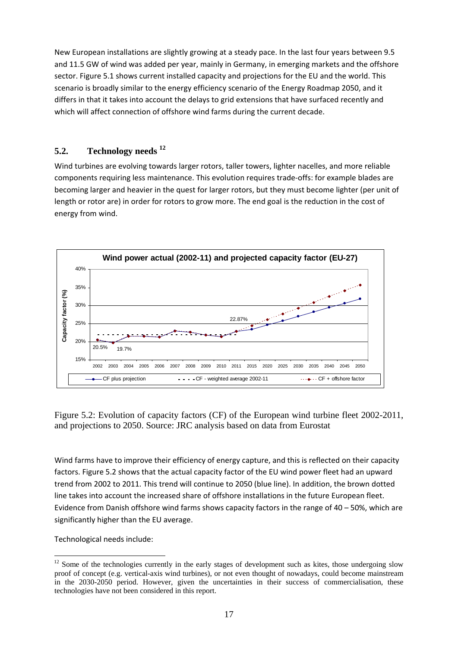New European installations are slightly growing at a steady pace. In the last four years between 9.5 and 11.5 GW of wind was added per year, mainly in Germany, in emerging markets and the offshore sector. Figure 5.1 shows current installed capacity and projections for the EU and the world. This scenario is broadly similar to the energy efficiency scenario of the Energy Roadmap 2050, and it differs in that it takes into account the delays to grid extensions that have surfaced recently and which will affect connection of offshore wind farms during the current decade.

# **5.2. Technology needs 12**

Wind turbines are evolving towards larger rotors, taller towers, lighter nacelles, and more reliable components requiring less maintenance. This evolution requires trade-offs: for example blades are becoming larger and heavier in the quest for larger rotors, but they must become lighter (per unit of length or rotor are) in order for rotors to grow more. The end goal is the reduction in the cost of energy from wind.



Figure 5.2: Evolution of capacity factors (CF) of the European wind turbine fleet 2002-2011, and projections to 2050. Source: JRC analysis based on data from Eurostat

Wind farms have to improve their efficiency of energy capture, and this is reflected on their capacity factors. Figure 5.2 shows that the actual capacity factor of the EU wind power fleet had an upward trend from 2002 to 2011. This trend will continue to 2050 (blue line). In addition, the brown dotted line takes into account the increased share of offshore installations in the future European fleet. Evidence from Danish offshore wind farms shows capacity factors in the range of 40 – 50%, which are significantly higher than the EU average.

Technological needs include:

<sup>1</sup> <sup>12</sup> Some of the technologies currently in the early stages of development such as kites, those undergoing slow proof of concept (e.g. vertical-axis wind turbines), or not even thought of nowadays, could become mainstream in the 2030-2050 period. However, given the uncertainties in their success of commercialisation, these technologies have not been considered in this report.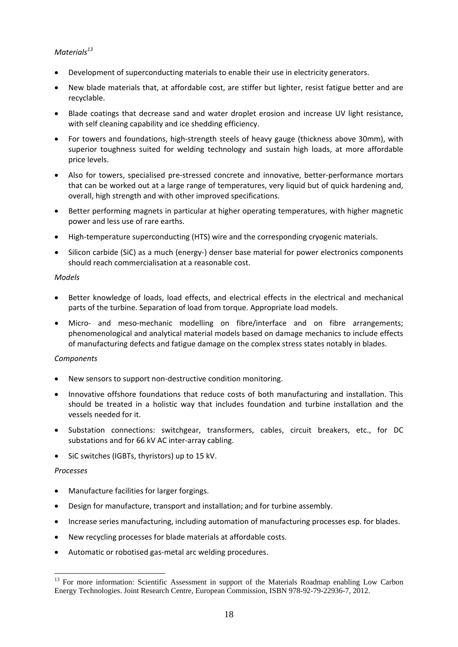### *Materials<sup>13</sup>*

- Development of superconducting materials to enable their use in electricity generators.
- New blade materials that, at affordable cost, are stiffer but lighter, resist fatigue better and are recyclable.
- Blade coatings that decrease sand and water droplet erosion and increase UV light resistance, with self cleaning capability and ice shedding efficiency.
- For towers and foundations, high-strength steels of heavy gauge (thickness above 30mm), with superior toughness suited for welding technology and sustain high loads, at more affordable price levels.
- Also for towers, specialised pre-stressed concrete and innovative, better-performance mortars that can be worked out at a large range of temperatures, very liquid but of quick hardening and, overall, high strength and with other improved specifications.
- Better performing magnets in particular at higher operating temperatures, with higher magnetic power and less use of rare earths.
- High-temperature superconducting (HTS) wire and the corresponding cryogenic materials.
- Silicon carbide (SiC) as a much (energy-) denser base material for power electronics components should reach commercialisation at a reasonable cost.

#### *Models*

- Better knowledge of loads, load effects, and electrical effects in the electrical and mechanical parts of the turbine. Separation of load from torque. Appropriate load models.
- Micro- and meso-mechanic modelling on fibre/interface and on fibre arrangements; phenomenological and analytical material models based on damage mechanics to include effects of manufacturing defects and fatigue damage on the complex stress states notably in blades.

#### *Components*

- New sensors to support non-destructive condition monitoring.
- Innovative offshore foundations that reduce costs of both manufacturing and installation. This should be treated in a holistic way that includes foundation and turbine installation and the vessels needed for it.
- Substation connections: switchgear, transformers, cables, circuit breakers, etc., for DC substations and for 66 kV AC inter-array cabling.
- SiC switches (IGBTs, thyristors) up to 15 kV.

#### *Processes*

**.** 

- Manufacture facilities for larger forgings.
- Design for manufacture, transport and installation; and for turbine assembly.
- Increase series manufacturing, including automation of manufacturing processes esp. for blades.
- New recycling processes for blade materials at affordable costs.
- Automatic or robotised gas-metal arc welding procedures.

<sup>&</sup>lt;sup>13</sup> For more information: Scientific Assessment in support of the Materials Roadmap enabling Low Carbon Energy Technologies. Joint Research Centre, European Commission, ISBN 978-92-79-22936-7, 2012.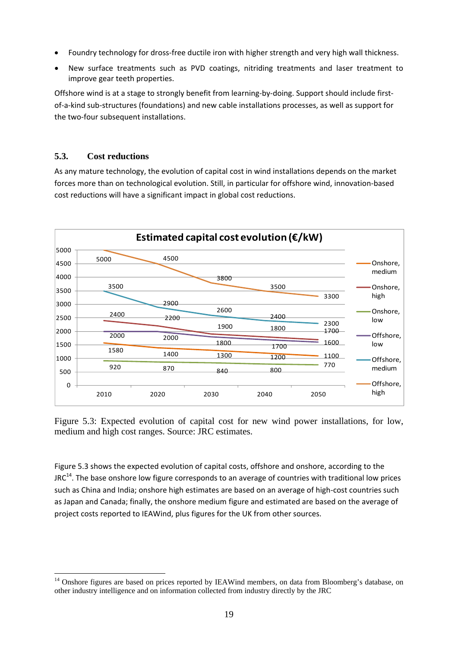- Foundry technology for dross-free ductile iron with higher strength and very high wall thickness.
- New surface treatments such as PVD coatings, nitriding treatments and laser treatment to improve gear teeth properties.

Offshore wind is at a stage to strongly benefit from learning-by-doing. Support should include firstof-a-kind sub-structures (foundations) and new cable installations processes, as well as support for the two-four subsequent installations.

### **5.3. Cost reductions**

**.** 

As any mature technology, the evolution of capital cost in wind installations depends on the market forces more than on technological evolution. Still, in particular for offshore wind, innovation-based cost reductions will have a significant impact in global cost reductions.



Figure 5.3: Expected evolution of capital cost for new wind power installations, for low, medium and high cost ranges. Source: JRC estimates.

Figure 5.3 shows the expected evolution of capital costs, offshore and onshore, according to the  $JRC<sup>14</sup>$ . The base onshore low figure corresponds to an average of countries with traditional low prices such as China and India; onshore high estimates are based on an average of high-cost countries such as Japan and Canada; finally, the onshore medium figure and estimated are based on the average of project costs reported to IEAWind, plus figures for the UK from other sources.

<sup>&</sup>lt;sup>14</sup> Onshore figures are based on prices reported by IEAWind members, on data from Bloomberg's database, on other industry intelligence and on information collected from industry directly by the JRC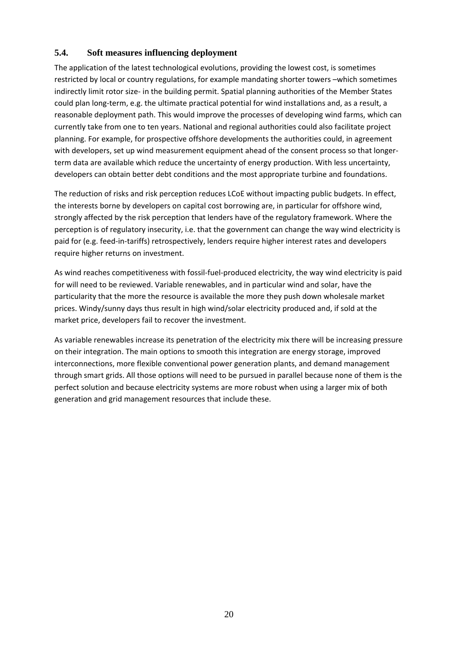### **5.4. Soft measures influencing deployment**

The application of the latest technological evolutions, providing the lowest cost, is sometimes restricted by local or country regulations, for example mandating shorter towers –which sometimes indirectly limit rotor size- in the building permit. Spatial planning authorities of the Member States could plan long-term, e.g. the ultimate practical potential for wind installations and, as a result, a reasonable deployment path. This would improve the processes of developing wind farms, which can currently take from one to ten years. National and regional authorities could also facilitate project planning. For example, for prospective offshore developments the authorities could, in agreement with developers, set up wind measurement equipment ahead of the consent process so that longerterm data are available which reduce the uncertainty of energy production. With less uncertainty, developers can obtain better debt conditions and the most appropriate turbine and foundations.

The reduction of risks and risk perception reduces LCoE without impacting public budgets. In effect, the interests borne by developers on capital cost borrowing are, in particular for offshore wind, strongly affected by the risk perception that lenders have of the regulatory framework. Where the perception is of regulatory insecurity, i.e. that the government can change the way wind electricity is paid for (e.g. feed-in-tariffs) retrospectively, lenders require higher interest rates and developers require higher returns on investment.

As wind reaches competitiveness with fossil-fuel-produced electricity, the way wind electricity is paid for will need to be reviewed. Variable renewables, and in particular wind and solar, have the particularity that the more the resource is available the more they push down wholesale market prices. Windy/sunny days thus result in high wind/solar electricity produced and, if sold at the market price, developers fail to recover the investment.

As variable renewables increase its penetration of the electricity mix there will be increasing pressure on their integration. The main options to smooth this integration are energy storage, improved interconnections, more flexible conventional power generation plants, and demand management through smart grids. All those options will need to be pursued in parallel because none of them is the perfect solution and because electricity systems are more robust when using a larger mix of both generation and grid management resources that include these.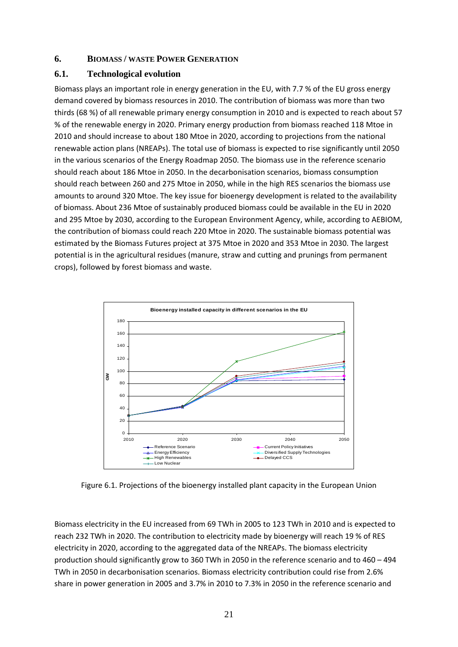### <span id="page-21-0"></span>**6. BIOMASS / WASTE POWER GENERATION**

### **6.1. Technological evolution**

Biomass plays an important role in energy generation in the EU, with 7.7 % of the EU gross energy demand covered by biomass resources in 2010. The contribution of biomass was more than two thirds (68 %) of all renewable primary energy consumption in 2010 and is expected to reach about 57 % of the renewable energy in 2020. Primary energy production from biomass reached 118 Mtoe in 2010 and should increase to about 180 Mtoe in 2020, according to projections from the national renewable action plans (NREAPs). The total use of biomass is expected to rise significantly until 2050 in the various scenarios of the Energy Roadmap 2050. The biomass use in the reference scenario should reach about 186 Mtoe in 2050. In the decarbonisation scenarios, biomass consumption should reach between 260 and 275 Mtoe in 2050, while in the high RES scenarios the biomass use amounts to around 320 Mtoe. The key issue for bioenergy development is related to the availability of biomass. About 236 Mtoe of sustainably produced biomass could be available in the EU in 2020 and 295 Mtoe by 2030, according to the European Environment Agency, while, according to AEBIOM, the contribution of biomass could reach 220 Mtoe in 2020. The sustainable biomass potential was estimated by the Biomass Futures project at 375 Mtoe in 2020 and 353 Mtoe in 2030. The largest potential is in the agricultural residues (manure, straw and cutting and prunings from permanent crops), followed by forest biomass and waste.



Figure 6.1. Projections of the bioenergy installed plant capacity in the European Union

Biomass electricity in the EU increased from 69 TWh in 2005 to 123 TWh in 2010 and is expected to reach 232 TWh in 2020. The contribution to electricity made by bioenergy will reach 19 % of RES electricity in 2020, according to the aggregated data of the NREAPs. The biomass electricity production should significantly grow to 360 TWh in 2050 in the reference scenario and to 460 – 494 TWh in 2050 in decarbonisation scenarios. Biomass electricity contribution could rise from 2.6% share in power generation in 2005 and 3.7% in 2010 to 7.3% in 2050 in the reference scenario and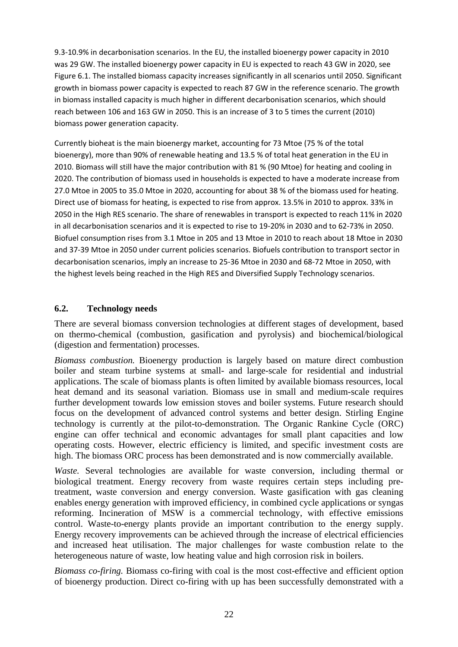9.3-10.9% in decarbonisation scenarios. In the EU, the installed bioenergy power capacity in 2010 was 29 GW. The installed bioenergy power capacity in EU is expected to reach 43 GW in 2020, see Figure 6.1. The installed biomass capacity increases significantly in all scenarios until 2050. Significant growth in biomass power capacity is expected to reach 87 GW in the reference scenario. The growth in biomass installed capacity is much higher in different decarbonisation scenarios, which should reach between 106 and 163 GW in 2050. This is an increase of 3 to 5 times the current (2010) biomass power generation capacity.

Currently bioheat is the main bioenergy market, accounting for 73 Mtoe (75 % of the total bioenergy), more than 90% of renewable heating and 13.5 % of total heat generation in the EU in 2010. Biomass will still have the major contribution with 81 % (90 Mtoe) for heating and cooling in 2020. The contribution of biomass used in households is expected to have a moderate increase from 27.0 Mtoe in 2005 to 35.0 Mtoe in 2020, accounting for about 38 % of the biomass used for heating. Direct use of biomass for heating, is expected to rise from approx. 13.5% in 2010 to approx. 33% in 2050 in the High RES scenario. The share of renewables in transport is expected to reach 11% in 2020 in all decarbonisation scenarios and it is expected to rise to 19-20% in 2030 and to 62-73% in 2050. Biofuel consumption rises from 3.1 Mtoe in 205 and 13 Mtoe in 2010 to reach about 18 Mtoe in 2030 and 37-39 Mtoe in 2050 under current policies scenarios. Biofuels contribution to transport sector in decarbonisation scenarios, imply an increase to 25-36 Mtoe in 2030 and 68-72 Mtoe in 2050, with the highest levels being reached in the High RES and Diversified Supply Technology scenarios.

### **6.2. Technology needs**

There are several biomass conversion technologies at different stages of development, based on thermo-chemical (combustion, gasification and pyrolysis) and biochemical/biological (digestion and fermentation) processes.

*Biomass combustion.* Bioenergy production is largely based on mature direct combustion boiler and steam turbine systems at small- and large-scale for residential and industrial applications. The scale of biomass plants is often limited by available biomass resources, local heat demand and its seasonal variation. Biomass use in small and medium-scale requires further development towards low emission stoves and boiler systems. Future research should focus on the development of advanced control systems and better design. Stirling Engine technology is currently at the pilot-to-demonstration. The Organic Rankine Cycle (ORC) engine can offer technical and economic advantages for small plant capacities and low operating costs. However, electric efficiency is limited, and specific investment costs are high. The biomass ORC process has been demonstrated and is now commercially available.

*Waste.* Several technologies are available for waste conversion, including thermal or biological treatment. Energy recovery from waste requires certain steps including pretreatment, waste conversion and energy conversion. Waste gasification with gas cleaning enables energy generation with improved efficiency, in combined cycle applications or syngas reforming. Incineration of MSW is a commercial technology, with effective emissions control. Waste-to-energy plants provide an important contribution to the energy supply. Energy recovery improvements can be achieved through the increase of electrical efficiencies and increased heat utilisation. The major challenges for waste combustion relate to the heterogeneous nature of waste, low heating value and high corrosion risk in boilers.

*Biomass co-firing.* Biomass co-firing with coal is the most cost-effective and efficient option of bioenergy production. Direct co-firing with up has been successfully demonstrated with a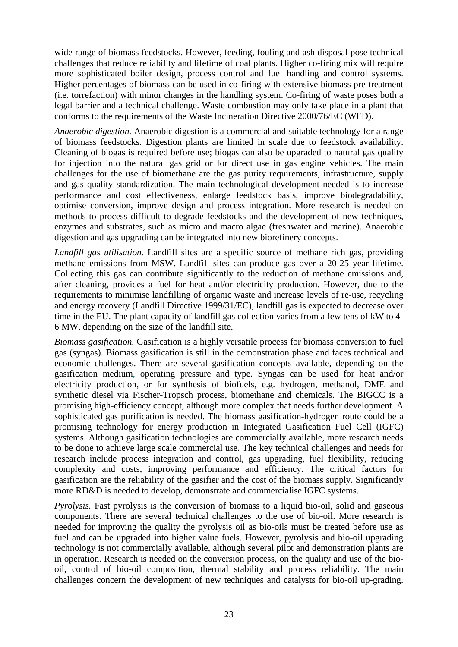wide range of biomass feedstocks. However, feeding, fouling and ash disposal pose technical challenges that reduce reliability and lifetime of coal plants. Higher co-firing mix will require more sophisticated boiler design, process control and fuel handling and control systems. Higher percentages of biomass can be used in co-firing with extensive biomass pre-treatment (i.e. torrefaction) with minor changes in the handling system. Co-firing of waste poses both a legal barrier and a technical challenge. Waste combustion may only take place in a plant that conforms to the requirements of the Waste Incineration Directive 2000/76/EC (WFD).

*Anaerobic digestion.* Anaerobic digestion is a commercial and suitable technology for a range of biomass feedstocks. Digestion plants are limited in scale due to feedstock availability. Cleaning of biogas is required before use; biogas can also be upgraded to natural gas quality for injection into the natural gas grid or for direct use in gas engine vehicles. The main challenges for the use of biomethane are the gas purity requirements, infrastructure, supply and gas quality standardization. The main technological development needed is to increase performance and cost effectiveness, enlarge feedstock basis, improve biodegradability, optimise conversion, improve design and process integration. More research is needed on methods to process difficult to degrade feedstocks and the development of new techniques, enzymes and substrates, such as micro and macro algae (freshwater and marine). Anaerobic digestion and gas upgrading can be integrated into new biorefinery concepts.

*Landfill gas utilisation.* Landfill sites are a specific source of methane rich gas, providing methane emissions from MSW. Landfill sites can produce gas over a 20-25 year lifetime. Collecting this gas can contribute significantly to the reduction of methane emissions and, after cleaning, provides a fuel for heat and/or electricity production. However, due to the requirements to minimise landfilling of organic waste and increase levels of re-use, recycling and energy recovery (Landfill Directive 1999/31/EC), landfill gas is expected to decrease over time in the EU. The plant capacity of landfill gas collection varies from a few tens of kW to 4- 6 MW, depending on the size of the landfill site.

*Biomass gasification.* Gasification is a highly versatile process for biomass conversion to fuel gas (syngas). Biomass gasification is still in the demonstration phase and faces technical and economic challenges. There are several gasification concepts available, depending on the gasification medium, operating pressure and type. Syngas can be used for heat and/or electricity production, or for synthesis of biofuels, e.g. hydrogen, methanol, DME and synthetic diesel via Fischer-Tropsch process, biomethane and chemicals. The BIGCC is a promising high-efficiency concept, although more complex that needs further development. A sophisticated gas purification is needed. The biomass gasification-hydrogen route could be a promising technology for energy production in Integrated Gasification Fuel Cell (IGFC) systems. Although gasification technologies are commercially available, more research needs to be done to achieve large scale commercial use. The key technical challenges and needs for research include process integration and control, gas upgrading, fuel flexibility, reducing complexity and costs, improving performance and efficiency. The critical factors for gasification are the reliability of the gasifier and the cost of the biomass supply. Significantly more RD&D is needed to develop, demonstrate and commercialise IGFC systems.

*Pyrolysis.* Fast pyrolysis is the conversion of biomass to a liquid bio-oil, solid and gaseous components. There are several technical challenges to the use of bio-oil. More research is needed for improving the quality the pyrolysis oil as bio-oils must be treated before use as fuel and can be upgraded into higher value fuels. However, pyrolysis and bio-oil upgrading technology is not commercially available, although several pilot and demonstration plants are in operation. Research is needed on the conversion process, on the quality and use of the biooil, control of bio-oil composition, thermal stability and process reliability. The main challenges concern the development of new techniques and catalysts for bio-oil up-grading.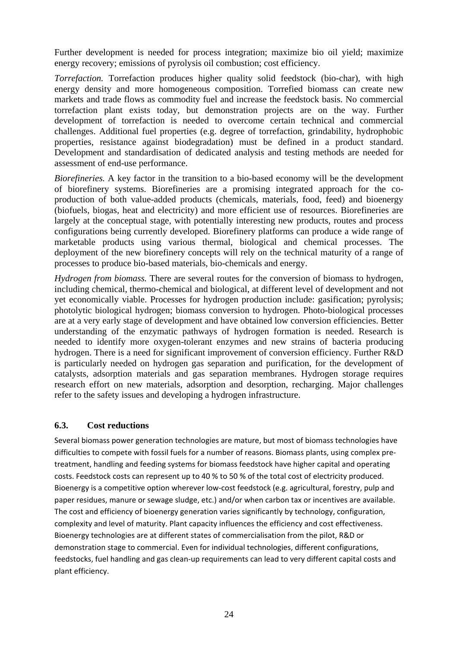Further development is needed for process integration; maximize bio oil yield; maximize energy recovery; emissions of pyrolysis oil combustion; cost efficiency.

*Torrefaction.* Torrefaction produces higher quality solid feedstock (bio-char), with high energy density and more homogeneous composition. Torrefied biomass can create new markets and trade flows as commodity fuel and increase the feedstock basis. No commercial torrefaction plant exists today, but demonstration projects are on the way. Further development of torrefaction is needed to overcome certain technical and commercial challenges. Additional fuel properties (e.g. degree of torrefaction, grindability, hydrophobic properties, resistance against biodegradation) must be defined in a product standard. Development and standardisation of dedicated analysis and testing methods are needed for assessment of end-use performance.

*Biorefineries.* A key factor in the transition to a bio-based economy will be the development of biorefinery systems. Biorefineries are a promising integrated approach for the coproduction of both value-added products (chemicals, materials, food, feed) and bioenergy (biofuels, biogas, heat and electricity) and more efficient use of resources. Biorefineries are largely at the conceptual stage, with potentially interesting new products, routes and process configurations being currently developed. Biorefinery platforms can produce a wide range of marketable products using various thermal, biological and chemical processes. The deployment of the new biorefinery concepts will rely on the technical maturity of a range of processes to produce bio-based materials, bio-chemicals and energy.

*Hydrogen from biomass.* There are several routes for the conversion of biomass to hydrogen, including chemical, thermo-chemical and biological, at different level of development and not yet economically viable. Processes for hydrogen production include: gasification; pyrolysis; photolytic biological hydrogen; biomass conversion to hydrogen. Photo-biological processes are at a very early stage of development and have obtained low conversion efficiencies. Better understanding of the enzymatic pathways of hydrogen formation is needed. Research is needed to identify more oxygen-tolerant enzymes and new strains of bacteria producing hydrogen. There is a need for significant improvement of conversion efficiency. Further R&D is particularly needed on hydrogen gas separation and purification, for the development of catalysts, adsorption materials and gas separation membranes. Hydrogen storage requires research effort on new materials, adsorption and desorption, recharging. Major challenges refer to the safety issues and developing a hydrogen infrastructure.

### **6.3. Cost reductions**

Several biomass power generation technologies are mature, but most of biomass technologies have difficulties to compete with fossil fuels for a number of reasons. Biomass plants, using complex pretreatment, handling and feeding systems for biomass feedstock have higher capital and operating costs. Feedstock costs can represent up to 40 % to 50 % of the total cost of electricity produced. Bioenergy is a competitive option wherever low-cost feedstock (e.g. agricultural, forestry, pulp and paper residues, manure or sewage sludge, etc.) and/or when carbon tax or incentives are available. The cost and efficiency of bioenergy generation varies significantly by technology, configuration, complexity and level of maturity. Plant capacity influences the efficiency and cost effectiveness. Bioenergy technologies are at different states of commercialisation from the pilot, R&D or demonstration stage to commercial. Even for individual technologies, different configurations, feedstocks, fuel handling and gas clean-up requirements can lead to very different capital costs and plant efficiency.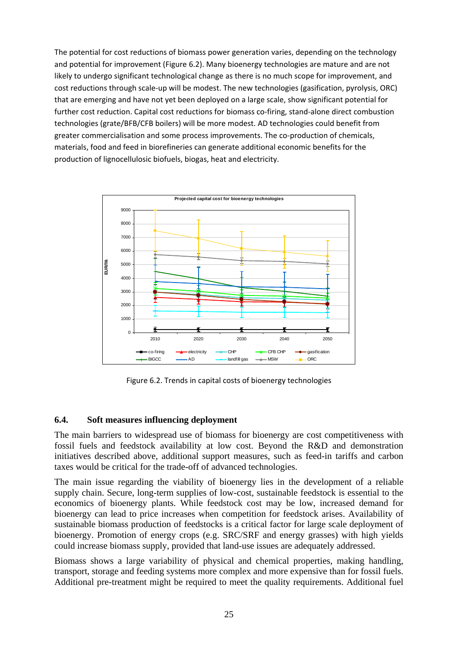The potential for cost reductions of biomass power generation varies, depending on the technology and potential for improvement (Figure 6.2). Many bioenergy technologies are mature and are not likely to undergo significant technological change as there is no much scope for improvement, and cost reductions through scale-up will be modest. The new technologies (gasification, pyrolysis, ORC) that are emerging and have not yet been deployed on a large scale, show significant potential for further cost reduction. Capital cost reductions for biomass co-firing, stand-alone direct combustion technologies (grate/BFB/CFB boilers) will be more modest. AD technologies could benefit from greater commercialisation and some process improvements. The co-production of chemicals, materials, food and feed in biorefineries can generate additional economic benefits for the production of lignocellulosic biofuels, biogas, heat and electricity.



Figure 6.2. Trends in capital costs of bioenergy technologies

### **6.4. Soft measures influencing deployment**

The main barriers to widespread use of biomass for bioenergy are cost competitiveness with fossil fuels and feedstock availability at low cost. Beyond the R&D and demonstration initiatives described above, additional support measures, such as feed-in tariffs and carbon taxes would be critical for the trade-off of advanced technologies.

The main issue regarding the viability of bioenergy lies in the development of a reliable supply chain. Secure, long-term supplies of low-cost, sustainable feedstock is essential to the economics of bioenergy plants. While feedstock cost may be low, increased demand for bioenergy can lead to price increases when competition for feedstock arises. Availability of sustainable biomass production of feedstocks is a critical factor for large scale deployment of bioenergy. Promotion of energy crops (e.g. SRC/SRF and energy grasses) with high yields could increase biomass supply, provided that land-use issues are adequately addressed.

Biomass shows a large variability of physical and chemical properties, making handling, transport, storage and feeding systems more complex and more expensive than for fossil fuels. Additional pre-treatment might be required to meet the quality requirements. Additional fuel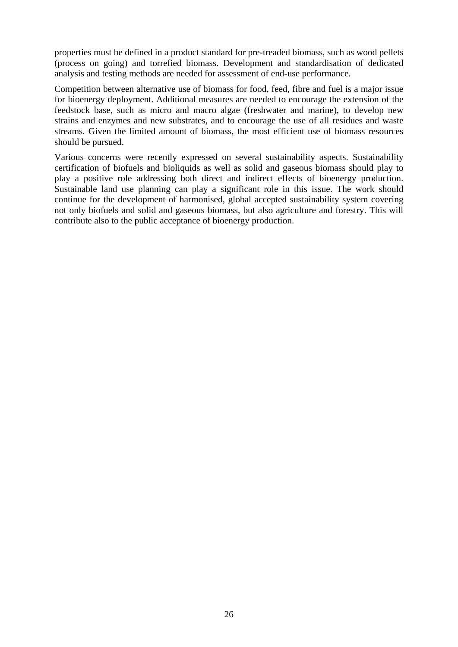properties must be defined in a product standard for pre-treaded biomass, such as wood pellets (process on going) and torrefied biomass. Development and standardisation of dedicated analysis and testing methods are needed for assessment of end-use performance.

Competition between alternative use of biomass for food, feed, fibre and fuel is a major issue for bioenergy deployment. Additional measures are needed to encourage the extension of the feedstock base, such as micro and macro algae (freshwater and marine), to develop new strains and enzymes and new substrates, and to encourage the use of all residues and waste streams. Given the limited amount of biomass, the most efficient use of biomass resources should be pursued.

Various concerns were recently expressed on several sustainability aspects. Sustainability certification of biofuels and bioliquids as well as solid and gaseous biomass should play to play a positive role addressing both direct and indirect effects of bioenergy production. Sustainable land use planning can play a significant role in this issue. The work should continue for the development of harmonised, global accepted sustainability system covering not only biofuels and solid and gaseous biomass, but also agriculture and forestry. This will contribute also to the public acceptance of bioenergy production.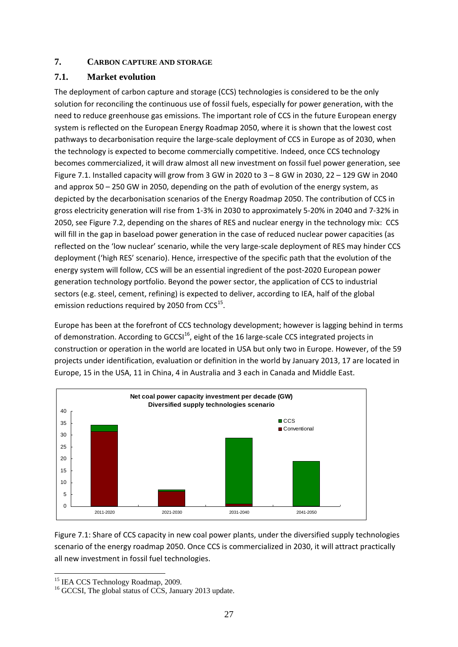### <span id="page-27-0"></span>**7. CARBON CAPTURE AND STORAGE**

# **7.1. Market evolution**

The deployment of carbon capture and storage (CCS) technologies is considered to be the only solution for reconciling the continuous use of fossil fuels, especially for power generation, with the need to reduce greenhouse gas emissions. The important role of CCS in the future European energy system is reflected on the European Energy Roadmap 2050, where it is shown that the lowest cost pathways to decarbonisation require the large-scale deployment of CCS in Europe as of 2030, when the technology is expected to become commercially competitive. Indeed, once CCS technology becomes commercialized, it will draw almost all new investment on fossil fuel power generation, see Figure 7.1. Installed capacity will grow from 3 GW in 2020 to 3 – 8 GW in 2030, 22 – 129 GW in 2040 and approx 50 – 250 GW in 2050, depending on the path of evolution of the energy system, as depicted by the decarbonisation scenarios of the Energy Roadmap 2050. The contribution of CCS in gross electricity generation will rise from 1-3% in 2030 to approximately 5-20% in 2040 and 7-32% in 2050, see Figure 7.2, depending on the shares of RES and nuclear energy in the technology mix: CCS will fill in the gap in baseload power generation in the case of reduced nuclear power capacities (as reflected on the 'low nuclear' scenario, while the very large-scale deployment of RES may hinder CCS deployment ('high RES' scenario). Hence, irrespective of the specific path that the evolution of the energy system will follow, CCS will be an essential ingredient of the post-2020 European power generation technology portfolio. Beyond the power sector, the application of CCS to industrial sectors (e.g. steel, cement, refining) is expected to deliver, according to IEA, half of the global emission reductions required by 2050 from CCS<sup>15</sup>.

Europe has been at the forefront of CCS technology development; however is lagging behind in terms of demonstration. According to GCCSI $^{16}$ , eight of the 16 large-scale CCS integrated projects in construction or operation in the world are located in USA but only two in Europe. However, of the 59 projects under identification, evaluation or definition in the world by January 2013, 17 are located in Europe, 15 in the USA, 11 in China, 4 in Australia and 3 each in Canada and Middle East.



Figure 7.1: Share of CCS capacity in new coal power plants, under the diversified supply technologies scenario of the energy roadmap 2050. Once CCS is commercialized in 2030, it will attract practically all new investment in fossil fuel technologies.

**<sup>.</sup>** <sup>15</sup> IEA CCS Technology Roadmap, 2009.

<sup>&</sup>lt;sup>16</sup> GCCSI, The global status of CCS, January 2013 update.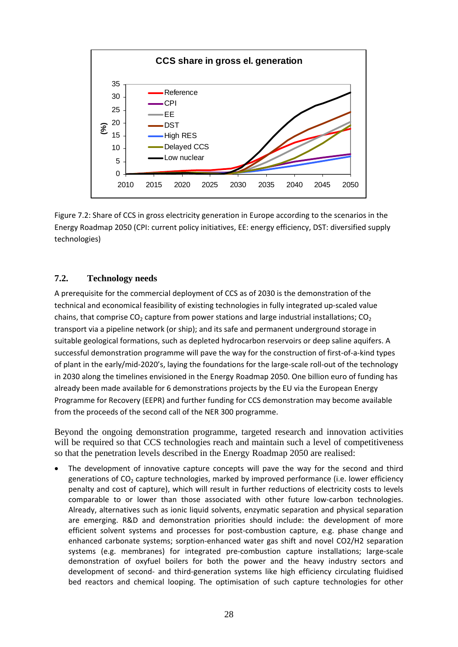

Figure 7.2: Share of CCS in gross electricity generation in Europe according to the scenarios in the Energy Roadmap 2050 (CPI: current policy initiatives, EE: energy efficiency, DST: diversified supply technologies)

### **7.2. Technology needs**

A prerequisite for the commercial deployment of CCS as of 2030 is the demonstration of the technical and economical feasibility of existing technologies in fully integrated up-scaled value chains, that comprise  $CO<sub>2</sub>$  capture from power stations and large industrial installations;  $CO<sub>2</sub>$ transport via a pipeline network (or ship); and its safe and permanent underground storage in suitable geological formations, such as depleted hydrocarbon reservoirs or deep saline aquifers. A successful demonstration programme will pave the way for the construction of first-of-a-kind types of plant in the early/mid-2020's, laying the foundations for the large-scale roll-out of the technology in 2030 along the timelines envisioned in the Energy Roadmap 2050. One billion euro of funding has already been made available for 6 demonstrations projects by the EU via the European Energy Programme for Recovery (EEPR) and further funding for CCS demonstration may become available from the proceeds of the second call of the NER 300 programme.

Beyond the ongoing demonstration programme, targeted research and innovation activities will be required so that CCS technologies reach and maintain such a level of competitiveness so that the penetration levels described in the Energy Roadmap 2050 are realised:

The development of innovative capture concepts will pave the way for the second and third generations of  $CO<sub>2</sub>$  capture technologies, marked by improved performance (i.e. lower efficiency penalty and cost of capture), which will result in further reductions of electricity costs to levels comparable to or lower than those associated with other future low-carbon technologies. Already, alternatives such as ionic liquid solvents, enzymatic separation and physical separation are emerging. R&D and demonstration priorities should include: the development of more efficient solvent systems and processes for post-combustion capture, e.g. phase change and enhanced carbonate systems; sorption-enhanced water gas shift and novel CO2/H2 separation systems (e.g. membranes) for integrated pre-combustion capture installations; large-scale demonstration of oxyfuel boilers for both the power and the heavy industry sectors and development of second- and third-generation systems like high efficiency circulating fluidised bed reactors and chemical looping. The optimisation of such capture technologies for other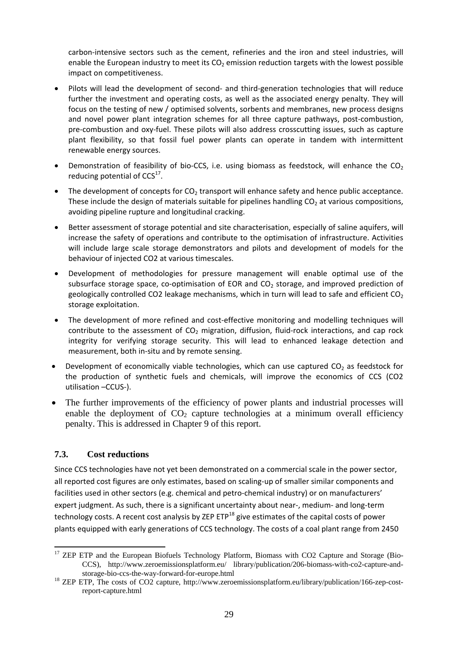carbon-intensive sectors such as the cement, refineries and the iron and steel industries, will enable the European industry to meet its  $CO<sub>2</sub>$  emission reduction targets with the lowest possible impact on competitiveness.

- Pilots will lead the development of second- and third-generation technologies that will reduce further the investment and operating costs, as well as the associated energy penalty. They will focus on the testing of new / optimised solvents, sorbents and membranes, new process designs and novel power plant integration schemes for all three capture pathways, post-combustion, pre-combustion and oxy-fuel. These pilots will also address crosscutting issues, such as capture plant flexibility, so that fossil fuel power plants can operate in tandem with intermittent renewable energy sources.
- Demonstration of feasibility of bio-CCS, i.e. using biomass as feedstock, will enhance the  $CO<sub>2</sub>$ reducing potential of  $CCS<sup>17</sup>$ .
- The development of concepts for CO<sub>2</sub> transport will enhance safety and hence public acceptance. These include the design of materials suitable for pipelines handling  $CO<sub>2</sub>$  at various compositions, avoiding pipeline rupture and longitudinal cracking.
- Better assessment of storage potential and site characterisation, especially of saline aquifers, will increase the safety of operations and contribute to the optimisation of infrastructure. Activities will include large scale storage demonstrators and pilots and development of models for the behaviour of injected CO2 at various timescales.
- Development of methodologies for pressure management will enable optimal use of the subsurface storage space, co-optimisation of EOR and  $CO<sub>2</sub>$  storage, and improved prediction of geologically controlled CO2 leakage mechanisms, which in turn will lead to safe and efficient  $CO<sub>2</sub>$ storage exploitation.
- The development of more refined and cost-effective monitoring and modelling techniques will contribute to the assessment of  $CO<sub>2</sub>$  migration, diffusion, fluid-rock interactions, and cap rock integrity for verifying storage security. This will lead to enhanced leakage detection and measurement, both in-situ and by remote sensing.
- Development of economically viable technologies, which can use captured  $CO<sub>2</sub>$  as feedstock for the production of synthetic fuels and chemicals, will improve the economics of CCS (CO2 utilisation –CCUS-).
- The further improvements of the efficiency of power plants and industrial processes will enable the deployment of  $CO<sub>2</sub>$  capture technologies at a minimum overall efficiency penalty. This is addressed in Chapter 9 of this report.

### **7.3. Cost reductions**

**.** 

Since CCS technologies have not yet been demonstrated on a commercial scale in the power sector, all reported cost figures are only estimates, based on scaling-up of smaller similar components and facilities used in other sectors (e.g. chemical and petro-chemical industry) or on manufacturers' expert judgment. As such, there is a significant uncertainty about near-, medium- and long-term technology costs. A recent cost analysis by ZEP  $ETP^{18}$  give estimates of the capital costs of power plants equipped with early generations of CCS technology. The costs of a coal plant range from 2450

<sup>&</sup>lt;sup>17</sup> ZEP ETP and the European Biofuels Technology Platform, Biomass with CO2 Capture and Storage (Bio-CCS), http://www.zeroemissionsplatform.eu/ library/publication/206-biomass-with-co2-capture-and-

storage-bio-ccs-the-way-forward-for-europe.html 18 ZEP ETP, The costs of CO2 capture, http://www.zeroemissionsplatform.eu/library/publication/166-zep-costreport-capture.html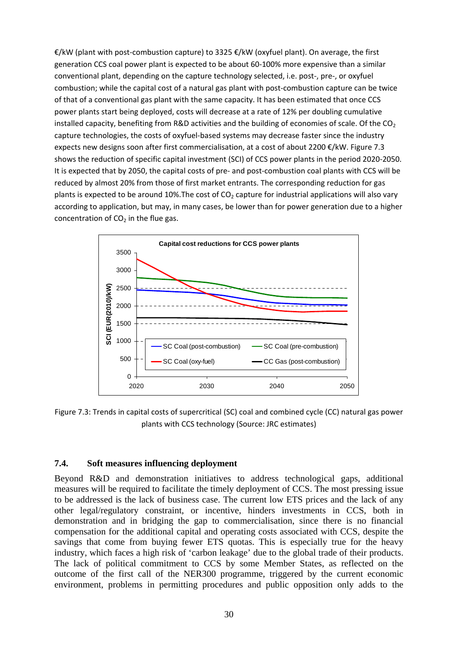€/kW (plant with post-combustion capture) to 3325 €/kW (oxyfuel plant). On average, the first generation CCS coal power plant is expected to be about 60-100% more expensive than a similar conventional plant, depending on the capture technology selected, i.e. post-, pre-, or oxyfuel combustion; while the capital cost of a natural gas plant with post-combustion capture can be twice of that of a conventional gas plant with the same capacity. It has been estimated that once CCS power plants start being deployed, costs will decrease at a rate of 12% per doubling cumulative installed capacity, benefiting from R&D activities and the building of economies of scale. Of the  $CO<sub>2</sub>$ capture technologies, the costs of oxyfuel-based systems may decrease faster since the industry expects new designs soon after first commercialisation, at a cost of about 2200 €/kW. Figure 7.3 shows the reduction of specific capital investment (SCI) of CCS power plants in the period 2020-2050. It is expected that by 2050, the capital costs of pre- and post-combustion coal plants with CCS will be reduced by almost 20% from those of first market entrants. The corresponding reduction for gas plants is expected to be around 10%. The cost of  $CO<sub>2</sub>$  capture for industrial applications will also vary according to application, but may, in many cases, be lower than for power generation due to a higher concentration of  $CO<sub>2</sub>$  in the flue gas.



Figure 7.3: Trends in capital costs of supercritical (SC) coal and combined cycle (CC) natural gas power plants with CCS technology (Source: JRC estimates)

#### **7.4. Soft measures influencing deployment**

Beyond R&D and demonstration initiatives to address technological gaps, additional measures will be required to facilitate the timely deployment of CCS. The most pressing issue to be addressed is the lack of business case. The current low ETS prices and the lack of any other legal/regulatory constraint, or incentive, hinders investments in CCS, both in demonstration and in bridging the gap to commercialisation, since there is no financial compensation for the additional capital and operating costs associated with CCS, despite the savings that come from buying fewer ETS quotas. This is especially true for the heavy industry, which faces a high risk of 'carbon leakage' due to the global trade of their products. The lack of political commitment to CCS by some Member States, as reflected on the outcome of the first call of the NER300 programme, triggered by the current economic environment, problems in permitting procedures and public opposition only adds to the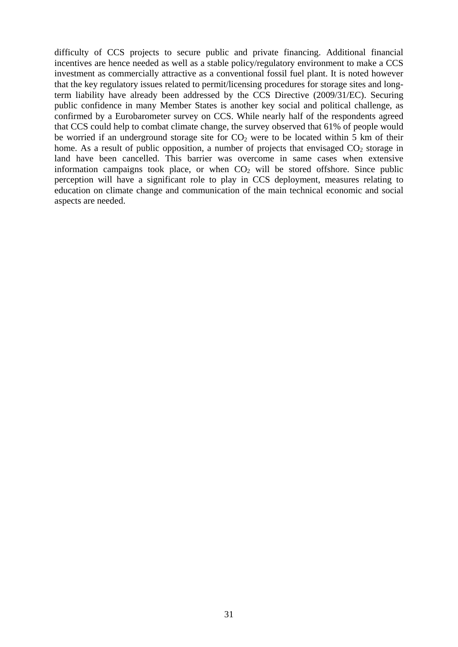difficulty of CCS projects to secure public and private financing. Additional financial incentives are hence needed as well as a stable policy/regulatory environment to make a CCS investment as commercially attractive as a conventional fossil fuel plant. It is noted however that the key regulatory issues related to permit/licensing procedures for storage sites and longterm liability have already been addressed by the CCS Directive (2009/31/EC). Securing public confidence in many Member States is another key social and political challenge, as confirmed by a Eurobarometer survey on CCS. While nearly half of the respondents agreed that CCS could help to combat climate change, the survey observed that 61% of people would be worried if an underground storage site for  $CO<sub>2</sub>$  were to be located within 5 km of their home. As a result of public opposition, a number of projects that envisaged  $CO<sub>2</sub>$  storage in land have been cancelled. This barrier was overcome in same cases when extensive information campaigns took place, or when  $CO<sub>2</sub>$  will be stored offshore. Since public perception will have a significant role to play in CCS deployment, measures relating to education on climate change and communication of the main technical economic and social aspects are needed.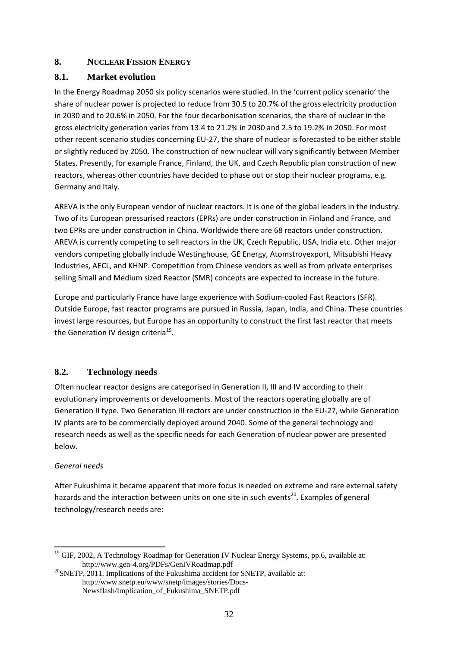### <span id="page-32-0"></span>**8. NUCLEAR FISSION ENERGY**

### **8.1. Market evolution**

In the Energy Roadmap 2050 six policy scenarios were studied. In the 'current policy scenario' the share of nuclear power is projected to reduce from 30.5 to 20.7% of the gross electricity production in 2030 and to 20.6% in 2050. For the four decarbonisation scenarios, the share of nuclear in the gross electricity generation varies from 13.4 to 21.2% in 2030 and 2.5 to 19.2% in 2050. For most other recent scenario studies concerning EU-27, the share of nuclear is forecasted to be either stable or slightly reduced by 2050. The construction of new nuclear will vary significantly between Member States. Presently, for example France, Finland, the UK, and Czech Republic plan construction of new reactors, whereas other countries have decided to phase out or stop their nuclear programs, e.g. Germany and Italy.

AREVA is the only European vendor of nuclear reactors. It is one of the global leaders in the industry. Two of its European pressurised reactors (EPRs) are under construction in Finland and France, and two EPRs are under construction in China. Worldwide there are 68 reactors under construction. AREVA is currently competing to sell reactors in the UK, Czech Republic, USA, India etc. Other major vendors competing globally include Westinghouse, GE Energy, Atomstroyexport, Mitsubishi Heavy Industries, AECL, and KHNP. Competition from Chinese vendors as well as from private enterprises selling Small and Medium sized Reactor (SMR) concepts are expected to increase in the future.

Europe and particularly France have large experience with Sodium-cooled Fast Reactors (SFR). Outside Europe, fast reactor programs are pursued in Russia, Japan, India, and China. These countries invest large resources, but Europe has an opportunity to construct the first fast reactor that meets the Generation IV design criteria<sup>19</sup>.

#### **8.2. Technology needs**

Often nuclear reactor designs are categorised in Generation II, III and IV according to their evolutionary improvements or developments. Most of the reactors operating globally are of Generation II type. Two Generation III rectors are under construction in the EU-27, while Generation IV plants are to be commercially deployed around 2040. Some of the general technology and research needs as well as the specific needs for each Generation of nuclear power are presented below.

#### *General needs*

**.** 

After Fukushima it became apparent that more focus is needed on extreme and rare external safety hazards and the interaction between units on one site in such events<sup>20</sup>. Examples of general technology/research needs are:

<sup>&</sup>lt;sup>19</sup> GIF, 2002, A Technology Roadmap for Generation IV Nuclear Energy Systems, pp.6, available at: http://www.gen-4.org/PDFs/GenIVRoadmap.pdf<br><sup>20</sup>SNETP, 2011, Implications of the Fukushima accident for SNETP, available at:

http://www.snetp.eu/www/snetp/images/stories/Docs-Newsflash/Implication\_of\_Fukushima\_SNETP.pdf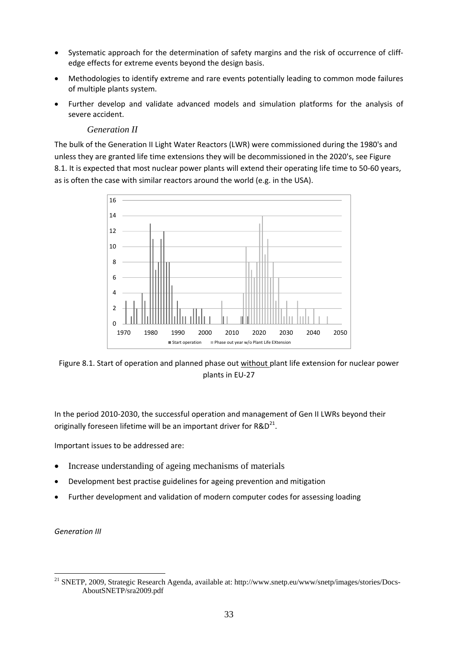- Systematic approach for the determination of safety margins and the risk of occurrence of cliffedge effects for extreme events beyond the design basis.
- Methodologies to identify extreme and rare events potentially leading to common mode failures of multiple plants system.
- Further develop and validate advanced models and simulation platforms for the analysis of severe accident.

#### *Generation II*

The bulk of the Generation II Light Water Reactors (LWR) were commissioned during the 1980's and unless they are granted life time extensions they will be decommissioned in the 2020's, see Figure 8.1. It is expected that most nuclear power plants will extend their operating life time to 50-60 years, as is often the case with similar reactors around the world (e.g. in the USA).



Figure 8.1. Start of operation and planned phase out without plant life extension for nuclear power plants in EU-27

In the period 2010-2030, the successful operation and management of Gen II LWRs beyond their originally foreseen lifetime will be an important driver for  $R&D^{21}$ .

Important issues to be addressed are:

- Increase understanding of ageing mechanisms of materials
- Development best practise guidelines for ageing prevention and mitigation
- Further development and validation of modern computer codes for assessing loading

*Generation III* 

**.** 

<sup>&</sup>lt;sup>21</sup> SNETP, 2009, Strategic Research Agenda, available at: http://www.snetp.eu/www/snetp/images/stories/Docs-AboutSNETP/sra2009.pdf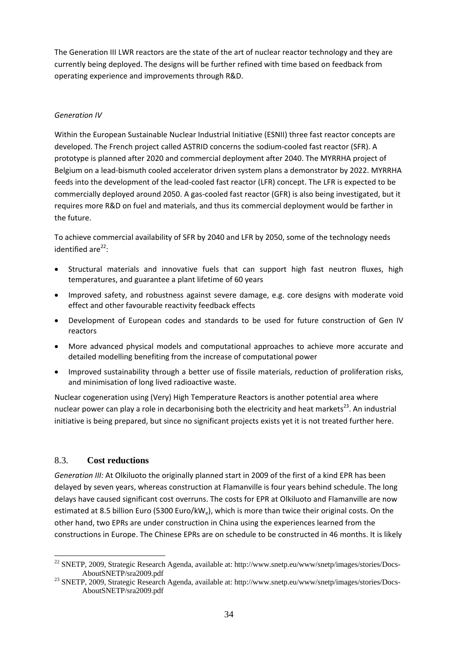The Generation III LWR reactors are the state of the art of nuclear reactor technology and they are currently being deployed. The designs will be further refined with time based on feedback from operating experience and improvements through R&D.

### *Generation IV*

Within the European Sustainable Nuclear Industrial Initiative (ESNII) three fast reactor concepts are developed. The French project called ASTRID concerns the sodium-cooled fast reactor (SFR). A prototype is planned after 2020 and commercial deployment after 2040. The MYRRHA project of Belgium on a lead-bismuth cooled accelerator driven system plans a demonstrator by 2022. MYRRHA feeds into the development of the lead-cooled fast reactor (LFR) concept. The LFR is expected to be commercially deployed around 2050. A gas-cooled fast reactor (GFR) is also being investigated, but it requires more R&D on fuel and materials, and thus its commercial deployment would be farther in the future.

To achieve commercial availability of SFR by 2040 and LFR by 2050, some of the technology needs identified are $^{22}$ :

- Structural materials and innovative fuels that can support high fast neutron fluxes, high temperatures, and guarantee a plant lifetime of 60 years
- Improved safety, and robustness against severe damage, e.g. core designs with moderate void effect and other favourable reactivity feedback effects
- Development of European codes and standards to be used for future construction of Gen IV reactors
- More advanced physical models and computational approaches to achieve more accurate and detailed modelling benefiting from the increase of computational power
- Improved sustainability through a better use of fissile materials, reduction of proliferation risks, and minimisation of long lived radioactive waste.

Nuclear cogeneration using (Very) High Temperature Reactors is another potential area where nuclear power can play a role in decarbonising both the electricity and heat markets<sup>23</sup>. An industrial initiative is being prepared, but since no significant projects exists yet it is not treated further here.

#### 8.3. **Cost reductions**

*Generation III:* At Olkiluoto the originally planned start in 2009 of the first of a kind EPR has been delayed by seven years, whereas construction at Flamanville is four years behind schedule. The long delays have caused significant cost overruns. The costs for EPR at Olkiluoto and Flamanville are now estimated at 8.5 billion Euro (5300 Euro/kWe), which is more than twice their original costs. On the other hand, two EPRs are under construction in China using the experiences learned from the constructions in Europe. The Chinese EPRs are on schedule to be constructed in 46 months. It is likely

<sup>1</sup> <sup>22</sup> SNETP, 2009, Strategic Research Agenda, available at: http://www.snetp.eu/www/snetp/images/stories/Docs-

AboutSNETP/sra2009.pdf<br><sup>23</sup> SNETP, 2009, Strategic Research Agenda, available at: http://www.snetp.eu/www/snetp/images/stories/Docs-AboutSNETP/sra2009.pdf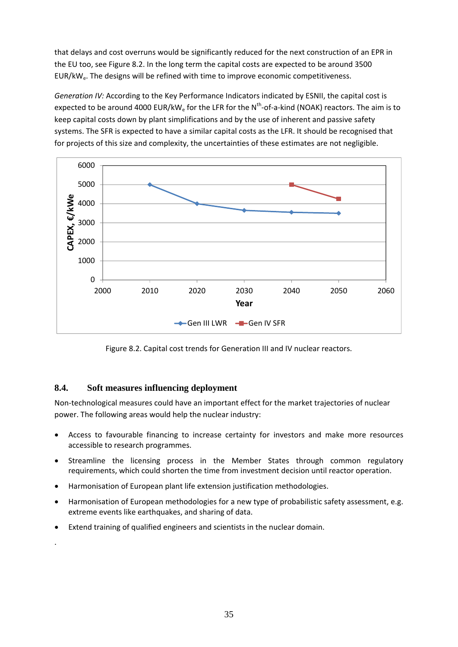that delays and cost overruns would be significantly reduced for the next construction of an EPR in the EU too, see Figure 8.2. In the long term the capital costs are expected to be around 3500 EUR/kWe. The designs will be refined with time to improve economic competitiveness.

*Generation IV:* According to the Key Performance Indicators indicated by ESNII, the capital cost is expected to be around 4000 EUR/kW<sub>e</sub> for the LFR for the N<sup>th</sup>-of-a-kind (NOAK) reactors. The aim is to keep capital costs down by plant simplifications and by the use of inherent and passive safety systems. The SFR is expected to have a similar capital costs as the LFR. It should be recognised that for projects of this size and complexity, the uncertainties of these estimates are not negligible.



Figure 8.2. Capital cost trends for Generation III and IV nuclear reactors.

# **8.4. Soft measures influencing deployment**

.

Non-technological measures could have an important effect for the market trajectories of nuclear power. The following areas would help the nuclear industry:

- Access to favourable financing to increase certainty for investors and make more resources accessible to research programmes.
- Streamline the licensing process in the Member States through common regulatory requirements, which could shorten the time from investment decision until reactor operation.
- Harmonisation of European plant life extension justification methodologies.
- Harmonisation of European methodologies for a new type of probabilistic safety assessment, e.g. extreme events like earthquakes, and sharing of data.
- Extend training of qualified engineers and scientists in the nuclear domain.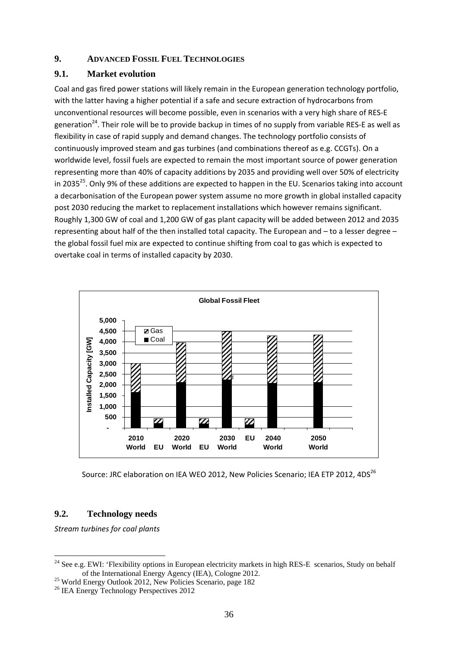#### **9. ADVANCED FOSSIL FUEL TECHNOLOGIES**

### **9.1. Market evolution**

Coal and gas fired power stations will likely remain in the European generation technology portfolio, with the latter having a higher potential if a safe and secure extraction of hydrocarbons from unconventional resources will become possible, even in scenarios with a very high share of RES-E generation<sup>24</sup>. Their role will be to provide backup in times of no supply from variable RES-E as well as flexibility in case of rapid supply and demand changes. The technology portfolio consists of continuously improved steam and gas turbines (and combinations thereof as e.g. CCGTs). On a worldwide level, fossil fuels are expected to remain the most important source of power generation representing more than 40% of capacity additions by 2035 and providing well over 50% of electricity in 2035<sup>25</sup>. Only 9% of these additions are expected to happen in the EU. Scenarios taking into account a decarbonisation of the European power system assume no more growth in global installed capacity post 2030 reducing the market to replacement installations which however remains significant. Roughly 1,300 GW of coal and 1,200 GW of gas plant capacity will be added between 2012 and 2035 representing about half of the then installed total capacity. The European and – to a lesser degree – the global fossil fuel mix are expected to continue shifting from coal to gas which is expected to overtake coal in terms of installed capacity by 2030.



Source: JRC elaboration on IEA WEO 2012, New Policies Scenario; IEA ETP 2012, 4DS<sup>26</sup>

# **9.2. Technology needs**

*Stream turbines for coal plants* 

<sup>1</sup> <sup>24</sup> See e.g. EWI: 'Flexibility options in European electricity markets in high RES-E scenarios, Study on behalf

of the International Energy Agency (IEA), Cologne 2012. 25 World Energy Outlook 2012, New Policies Scenario, page 182

<sup>&</sup>lt;sup>26</sup> IEA Energy Technology Perspectives 2012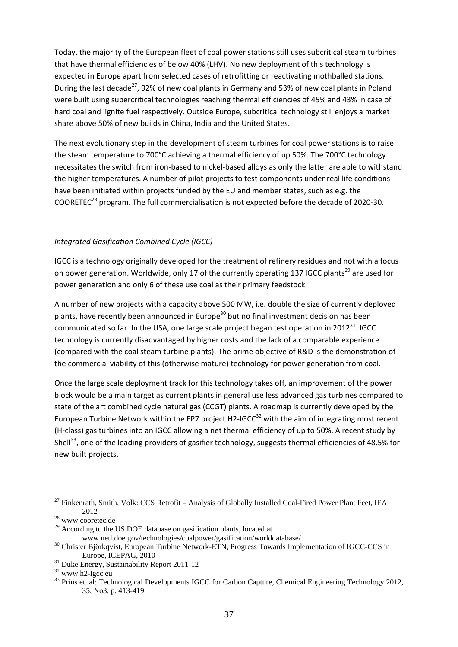Today, the majority of the European fleet of coal power stations still uses subcritical steam turbines that have thermal efficiencies of below 40% (LHV). No new deployment of this technology is expected in Europe apart from selected cases of retrofitting or reactivating mothballed stations. During the last decade<sup>27</sup>, 92% of new coal plants in Germany and 53% of new coal plants in Poland were built using supercritical technologies reaching thermal efficiencies of 45% and 43% in case of hard coal and lignite fuel respectively. Outside Europe, subcritical technology still enjoys a market share above 50% of new builds in China, India and the United States.

The next evolutionary step in the development of steam turbines for coal power stations is to raise the steam temperature to 700°C achieving a thermal efficiency of up 50%. The 700°C technology necessitates the switch from iron-based to nickel-based alloys as only the latter are able to withstand the higher temperatures. A number of pilot projects to test components under real life conditions have been initiated within projects funded by the EU and member states, such as e.g. the COORETEC28 program. The full commercialisation is not expected before the decade of 2020-30.

#### *Integrated Gasification Combined Cycle (IGCC)*

IGCC is a technology originally developed for the treatment of refinery residues and not with a focus on power generation. Worldwide, only 17 of the currently operating 137 IGCC plants<sup>29</sup> are used for power generation and only 6 of these use coal as their primary feedstock.

A number of new projects with a capacity above 500 MW, i.e. double the size of currently deployed plants, have recently been announced in Europe<sup>30</sup> but no final investment decision has been communicated so far. In the USA, one large scale project began test operation in  $2012^{31}$ . IGCC technology is currently disadvantaged by higher costs and the lack of a comparable experience (compared with the coal steam turbine plants). The prime objective of R&D is the demonstration of the commercial viability of this (otherwise mature) technology for power generation from coal.

Once the large scale deployment track for this technology takes off, an improvement of the power block would be a main target as current plants in general use less advanced gas turbines compared to state of the art combined cycle natural gas (CCGT) plants. A roadmap is currently developed by the European Turbine Network within the FP7 project H2-IGCC<sup>32</sup> with the aim of integrating most recent (H-class) gas turbines into an IGCC allowing a net thermal efficiency of up to 50%. A recent study by Shell<sup>33</sup>, one of the leading providers of gasifier technology, suggests thermal efficiencies of 48.5% for new built projects.

**.** 

 $27$  Finkenrath, Smith, Volk: CCS Retrofit – Analysis of Globally Installed Coal-Fired Power Plant Feet, IEA  $2012$ <sup>28</sup> www.cooretec.de

 $29$  According to the US DOE database on gasification plants, located at

www.netl.doe.gov/technologies/coalpower/gasification/worlddatabase/ 30 Christer Björkqvist, European Turbine Network-ETN, Progress Towards Implementation of IGCC-CCS in Europe, ICEPAG, 2010 31 Duke Energy, Sustainability Report 2011-12

 $32$  www.h2-igcc.eu

<sup>&</sup>lt;sup>33</sup> Prins et. al: Technological Developments IGCC for Carbon Capture, Chemical Engineering Technology 2012, 35, No3, p. 413-419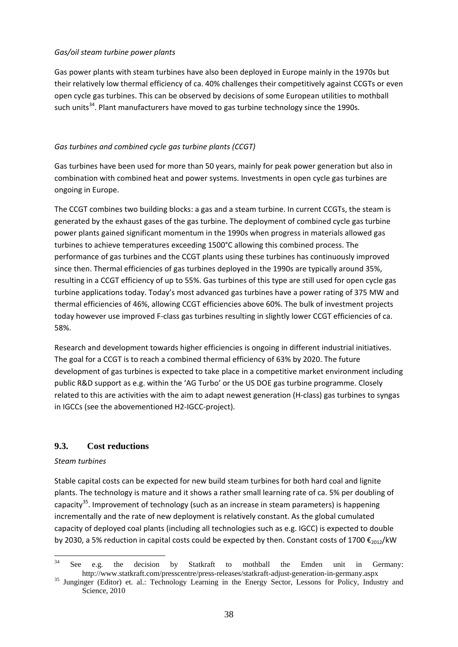#### *Gas/oil steam turbine power plants*

Gas power plants with steam turbines have also been deployed in Europe mainly in the 1970s but their relatively low thermal efficiency of ca. 40% challenges their competitively against CCGTs or even open cycle gas turbines. This can be observed by decisions of some European utilities to mothball such units<sup>34</sup>. Plant manufacturers have moved to gas turbine technology since the 1990s.

### *Gas turbines and combined cycle gas turbine plants (CCGT)*

Gas turbines have been used for more than 50 years, mainly for peak power generation but also in combination with combined heat and power systems. Investments in open cycle gas turbines are ongoing in Europe.

The CCGT combines two building blocks: a gas and a steam turbine. In current CCGTs, the steam is generated by the exhaust gases of the gas turbine. The deployment of combined cycle gas turbine power plants gained significant momentum in the 1990s when progress in materials allowed gas turbines to achieve temperatures exceeding 1500°C allowing this combined process. The performance of gas turbines and the CCGT plants using these turbines has continuously improved since then. Thermal efficiencies of gas turbines deployed in the 1990s are typically around 35%, resulting in a CCGT efficiency of up to 55%. Gas turbines of this type are still used for open cycle gas turbine applications today. Today's most advanced gas turbines have a power rating of 375 MW and thermal efficiencies of 46%, allowing CCGT efficiencies above 60%. The bulk of investment projects today however use improved F-class gas turbines resulting in slightly lower CCGT efficiencies of ca. 58%.

Research and development towards higher efficiencies is ongoing in different industrial initiatives. The goal for a CCGT is to reach a combined thermal efficiency of 63% by 2020. The future development of gas turbines is expected to take place in a competitive market environment including public R&D support as e.g. within the 'AG Turbo' or the US DOE gas turbine programme. Closely related to this are activities with the aim to adapt newest generation (H-class) gas turbines to syngas in IGCCs (see the abovementioned H2-IGCC-project).

# **9.3. Cost reductions**

#### *Steam turbines*

Stable capital costs can be expected for new build steam turbines for both hard coal and lignite plants. The technology is mature and it shows a rather small learning rate of ca. 5% per doubling of capacity<sup>35</sup>. Improvement of technology (such as an increase in steam parameters) is happening incrementally and the rate of new deployment is relatively constant. As the global cumulated capacity of deployed coal plants (including all technologies such as e.g. IGCC) is expected to double by 2030, a 5% reduction in capital costs could be expected by then. Constant costs of 1700  $\epsilon_{2012}$ /kW

 $34$ See e.g. the decision by Statkraft to mothball the Emden unit in Germany:

http://www.statkraft.com/presscentre/press-releases/statkraft-adjust-generation-in-germany.aspx<br><sup>35</sup> Junginger (Editor) et. al.: Technology Learning in the Energy Sector, Lessons for Policy, Industry and Science, 2010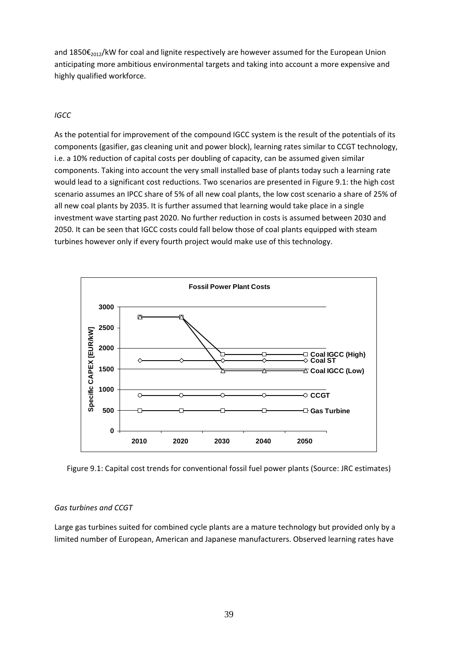and  $1850\epsilon_{2012}$ /kW for coal and lignite respectively are however assumed for the European Union anticipating more ambitious environmental targets and taking into account a more expensive and highly qualified workforce.

#### *IGCC*

As the potential for improvement of the compound IGCC system is the result of the potentials of its components (gasifier, gas cleaning unit and power block), learning rates similar to CCGT technology, i.e. a 10% reduction of capital costs per doubling of capacity, can be assumed given similar components. Taking into account the very small installed base of plants today such a learning rate would lead to a significant cost reductions. Two scenarios are presented in Figure 9.1: the high cost scenario assumes an IPCC share of 5% of all new coal plants, the low cost scenario a share of 25% of all new coal plants by 2035. It is further assumed that learning would take place in a single investment wave starting past 2020. No further reduction in costs is assumed between 2030 and 2050. It can be seen that IGCC costs could fall below those of coal plants equipped with steam turbines however only if every fourth project would make use of this technology.



Figure 9.1: Capital cost trends for conventional fossil fuel power plants (Source: JRC estimates)

#### *Gas turbines and CCGT*

Large gas turbines suited for combined cycle plants are a mature technology but provided only by a limited number of European, American and Japanese manufacturers. Observed learning rates have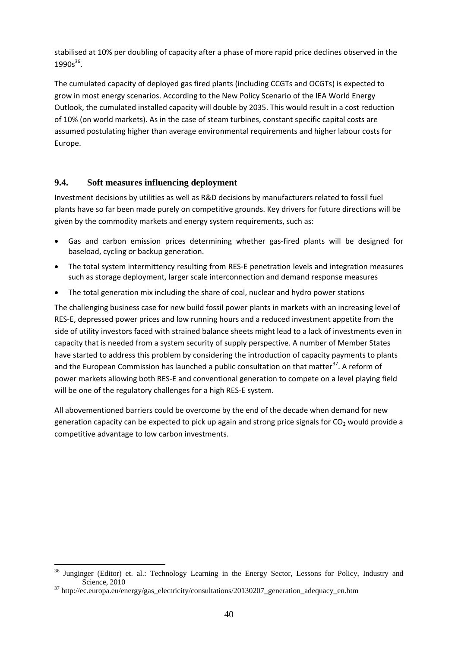stabilised at 10% per doubling of capacity after a phase of more rapid price declines observed in the  $1990s^{36}$ .

The cumulated capacity of deployed gas fired plants (including CCGTs and OCGTs) is expected to grow in most energy scenarios. According to the New Policy Scenario of the IEA World Energy Outlook, the cumulated installed capacity will double by 2035. This would result in a cost reduction of 10% (on world markets). As in the case of steam turbines, constant specific capital costs are assumed postulating higher than average environmental requirements and higher labour costs for Europe.

# **9.4. Soft measures influencing deployment**

Investment decisions by utilities as well as R&D decisions by manufacturers related to fossil fuel plants have so far been made purely on competitive grounds. Key drivers for future directions will be given by the commodity markets and energy system requirements, such as:

- Gas and carbon emission prices determining whether gas-fired plants will be designed for baseload, cycling or backup generation.
- The total system intermittency resulting from RES-E penetration levels and integration measures such as storage deployment, larger scale interconnection and demand response measures
- The total generation mix including the share of coal, nuclear and hydro power stations

The challenging business case for new build fossil power plants in markets with an increasing level of RES-E, depressed power prices and low running hours and a reduced investment appetite from the side of utility investors faced with strained balance sheets might lead to a lack of investments even in capacity that is needed from a system security of supply perspective. A number of Member States have started to address this problem by considering the introduction of capacity payments to plants and the European Commission has launched a public consultation on that matter<sup>37</sup>. A reform of power markets allowing both RES-E and conventional generation to compete on a level playing field will be one of the regulatory challenges for a high RES-E system.

All abovementioned barriers could be overcome by the end of the decade when demand for new generation capacity can be expected to pick up again and strong price signals for  $CO<sub>2</sub>$  would provide a competitive advantage to low carbon investments.

**<sup>.</sup>** <sup>36</sup> Junginger (Editor) et. al.: Technology Learning in the Energy Sector, Lessons for Policy, Industry and Science, 2010<br><sup>37</sup> http://ec.europa.eu/energy/gas\_electricity/consultations/20130207\_generation\_adequacy\_en.htm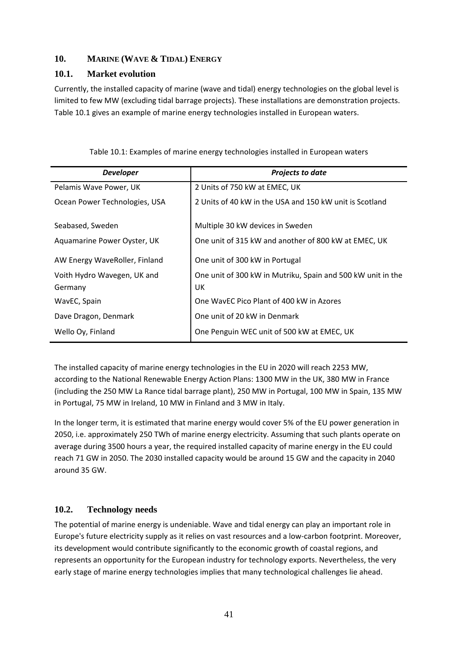### **10. MARINE (WAVE & TIDAL) ENERGY**

### **10.1. Market evolution**

Currently, the installed capacity of marine (wave and tidal) energy technologies on the global level is limited to few MW (excluding tidal barrage projects). These installations are demonstration projects. Table 10.1 gives an example of marine energy technologies installed in European waters.

| <b>Developer</b>              | <b>Projects to date</b>                                     |  |  |
|-------------------------------|-------------------------------------------------------------|--|--|
| Pelamis Wave Power, UK        | 2 Units of 750 kW at EMEC, UK                               |  |  |
| Ocean Power Technologies, USA | 2 Units of 40 kW in the USA and 150 kW unit is Scotland     |  |  |
|                               |                                                             |  |  |
| Seabased, Sweden              | Multiple 30 kW devices in Sweden                            |  |  |
| Aquamarine Power Oyster, UK   | One unit of 315 kW and another of 800 kW at EMEC, UK        |  |  |
| AW Energy WaveRoller, Finland | One unit of 300 kW in Portugal                              |  |  |
| Voith Hydro Wavegen, UK and   | One unit of 300 kW in Mutriku, Spain and 500 kW unit in the |  |  |
| Germany                       | UK                                                          |  |  |
| WavEC, Spain                  | One WavEC Pico Plant of 400 kW in Azores                    |  |  |
| Dave Dragon, Denmark          | One unit of 20 kW in Denmark                                |  |  |
| Wello Oy, Finland             | One Penguin WEC unit of 500 kW at EMEC, UK                  |  |  |

Table 10.1: Examples of marine energy technologies installed in European waters

The installed capacity of marine energy technologies in the EU in 2020 will reach 2253 MW, according to the National Renewable Energy Action Plans: 1300 MW in the UK, 380 MW in France (including the 250 MW La Rance tidal barrage plant), 250 MW in Portugal, 100 MW in Spain, 135 MW in Portugal, 75 MW in Ireland, 10 MW in Finland and 3 MW in Italy.

In the longer term, it is estimated that marine energy would cover 5% of the EU power generation in 2050, i.e. approximately 250 TWh of marine energy electricity. Assuming that such plants operate on average during 3500 hours a year, the required installed capacity of marine energy in the EU could reach 71 GW in 2050. The 2030 installed capacity would be around 15 GW and the capacity in 2040 around 35 GW.

# **10.2. Technology needs**

The potential of marine energy is undeniable. Wave and tidal energy can play an important role in Europe's future electricity supply as it relies on vast resources and a low-carbon footprint. Moreover, its development would contribute significantly to the economic growth of coastal regions, and represents an opportunity for the European industry for technology exports. Nevertheless, the very early stage of marine energy technologies implies that many technological challenges lie ahead.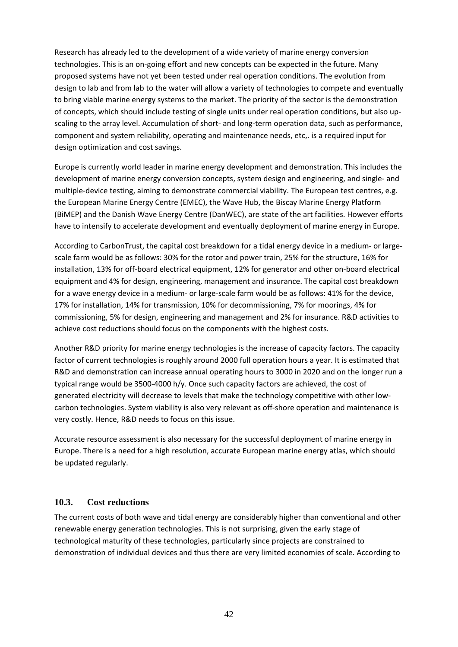Research has already led to the development of a wide variety of marine energy conversion technologies. This is an on-going effort and new concepts can be expected in the future. Many proposed systems have not yet been tested under real operation conditions. The evolution from design to lab and from lab to the water will allow a variety of technologies to compete and eventually to bring viable marine energy systems to the market. The priority of the sector is the demonstration of concepts, which should include testing of single units under real operation conditions, but also upscaling to the array level. Accumulation of short- and long-term operation data, such as performance, component and system reliability, operating and maintenance needs, etc,. is a required input for design optimization and cost savings.

Europe is currently world leader in marine energy development and demonstration. This includes the development of marine energy conversion concepts, system design and engineering, and single- and multiple-device testing, aiming to demonstrate commercial viability. The European test centres, e.g. the European Marine Energy Centre (EMEC), the Wave Hub, the Biscay Marine Energy Platform (BiMEP) and the Danish Wave Energy Centre (DanWEC), are state of the art facilities. However efforts have to intensify to accelerate development and eventually deployment of marine energy in Europe.

According to CarbonTrust, the capital cost breakdown for a tidal energy device in a medium- or largescale farm would be as follows: 30% for the rotor and power train, 25% for the structure, 16% for installation, 13% for off-board electrical equipment, 12% for generator and other on-board electrical equipment and 4% for design, engineering, management and insurance. The capital cost breakdown for a wave energy device in a medium- or large-scale farm would be as follows: 41% for the device, 17% for installation, 14% for transmission, 10% for decommissioning, 7% for moorings, 4% for commissioning, 5% for design, engineering and management and 2% for insurance. R&D activities to achieve cost reductions should focus on the components with the highest costs.

Another R&D priority for marine energy technologies is the increase of capacity factors. The capacity factor of current technologies is roughly around 2000 full operation hours a year. It is estimated that R&D and demonstration can increase annual operating hours to 3000 in 2020 and on the longer run a typical range would be 3500-4000 h/y. Once such capacity factors are achieved, the cost of generated electricity will decrease to levels that make the technology competitive with other lowcarbon technologies. System viability is also very relevant as off-shore operation and maintenance is very costly. Hence, R&D needs to focus on this issue.

Accurate resource assessment is also necessary for the successful deployment of marine energy in Europe. There is a need for a high resolution, accurate European marine energy atlas, which should be updated regularly.

# **10.3. Cost reductions**

The current costs of both wave and tidal energy are considerably higher than conventional and other renewable energy generation technologies. This is not surprising, given the early stage of technological maturity of these technologies, particularly since projects are constrained to demonstration of individual devices and thus there are very limited economies of scale. According to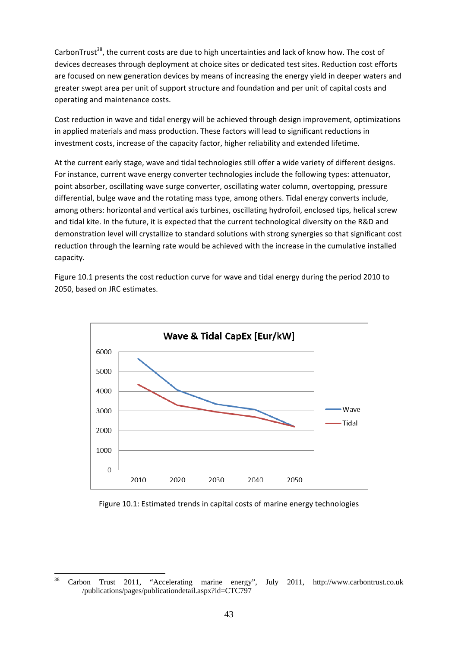CarbonTrust<sup>38</sup>, the current costs are due to high uncertainties and lack of know how. The cost of devices decreases through deployment at choice sites or dedicated test sites. Reduction cost efforts are focused on new generation devices by means of increasing the energy yield in deeper waters and greater swept area per unit of support structure and foundation and per unit of capital costs and operating and maintenance costs.

Cost reduction in wave and tidal energy will be achieved through design improvement, optimizations in applied materials and mass production. These factors will lead to significant reductions in investment costs, increase of the capacity factor, higher reliability and extended lifetime.

At the current early stage, wave and tidal technologies still offer a wide variety of different designs. For instance, current wave energy converter technologies include the following types: attenuator, point absorber, oscillating wave surge converter, oscillating water column, overtopping, pressure differential, bulge wave and the rotating mass type, among others. Tidal energy converts include, among others: horizontal and vertical axis turbines, oscillating hydrofoil, enclosed tips, helical screw and tidal kite. In the future, it is expected that the current technological diversity on the R&D and demonstration level will crystallize to standard solutions with strong synergies so that significant cost reduction through the learning rate would be achieved with the increase in the cumulative installed capacity.

Figure 10.1 presents the cost reduction curve for wave and tidal energy during the period 2010 to 2050, based on JRC estimates.



Figure 10.1: Estimated trends in capital costs of marine energy technologies

<sup>38</sup> 38 Carbon Trust 2011, "Accelerating marine energy", July 2011, http://www.carbontrust.co.uk /publications/pages/publicationdetail.aspx?id=CTC797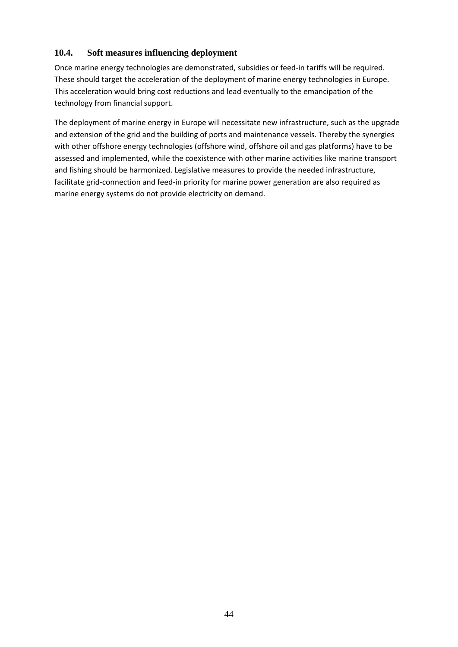# **10.4. Soft measures influencing deployment**

Once marine energy technologies are demonstrated, subsidies or feed-in tariffs will be required. These should target the acceleration of the deployment of marine energy technologies in Europe. This acceleration would bring cost reductions and lead eventually to the emancipation of the technology from financial support.

The deployment of marine energy in Europe will necessitate new infrastructure, such as the upgrade and extension of the grid and the building of ports and maintenance vessels. Thereby the synergies with other offshore energy technologies (offshore wind, offshore oil and gas platforms) have to be assessed and implemented, while the coexistence with other marine activities like marine transport and fishing should be harmonized. Legislative measures to provide the needed infrastructure, facilitate grid-connection and feed-in priority for marine power generation are also required as marine energy systems do not provide electricity on demand.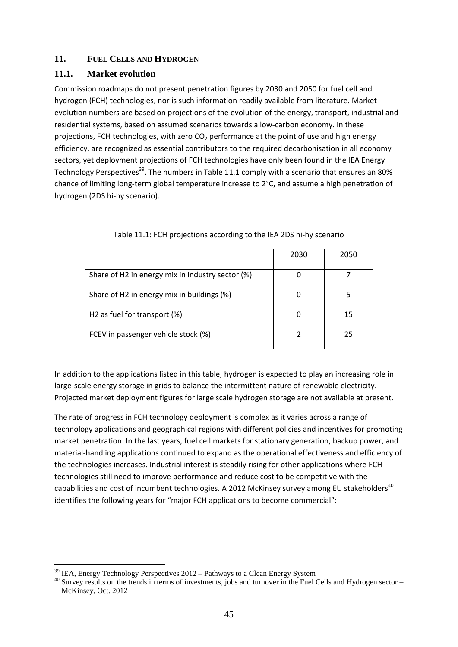### **11. FUEL CELLS AND HYDROGEN**

### **11.1. Market evolution**

Commission roadmaps do not present penetration figures by 2030 and 2050 for fuel cell and hydrogen (FCH) technologies, nor is such information readily available from literature. Market evolution numbers are based on projections of the evolution of the energy, transport, industrial and residential systems, based on assumed scenarios towards a low-carbon economy. In these projections, FCH technologies, with zero  $CO<sub>2</sub>$  performance at the point of use and high energy efficiency, are recognized as essential contributors to the required decarbonisation in all economy sectors, yet deployment projections of FCH technologies have only been found in the IEA Energy Technology Perspectives<sup>39</sup>. The numbers in Table 11.1 comply with a scenario that ensures an 80% chance of limiting long-term global temperature increase to 2°C, and assume a high penetration of hydrogen (2DS hi-hy scenario).

|                                                  | 2030 | 2050 |
|--------------------------------------------------|------|------|
| Share of H2 in energy mix in industry sector (%) |      |      |
| Share of H2 in energy mix in buildings (%)       |      |      |
| H <sub>2</sub> as fuel for transport (%)         |      | 15   |
| FCEV in passenger vehicle stock (%)              |      | 25   |

In addition to the applications listed in this table, hydrogen is expected to play an increasing role in large-scale energy storage in grids to balance the intermittent nature of renewable electricity. Projected market deployment figures for large scale hydrogen storage are not available at present.

The rate of progress in FCH technology deployment is complex as it varies across a range of technology applications and geographical regions with different policies and incentives for promoting market penetration. In the last years, fuel cell markets for stationary generation, backup power, and material-handling applications continued to expand as the operational effectiveness and efficiency of the technologies increases. Industrial interest is steadily rising for other applications where FCH technologies still need to improve performance and reduce cost to be competitive with the capabilities and cost of incumbent technologies. A 2012 McKinsey survey among EU stakeholders<sup>40</sup> identifies the following years for "major FCH applications to become commercial":

**<sup>.</sup>**  $39$  IEA, Energy Technology Perspectives 2012 – Pathways to a Clean Energy System

<sup>&</sup>lt;sup>40</sup> Survey results on the trends in terms of investments, jobs and turnover in the Fuel Cells and Hydrogen sector – McKinsey, Oct. 2012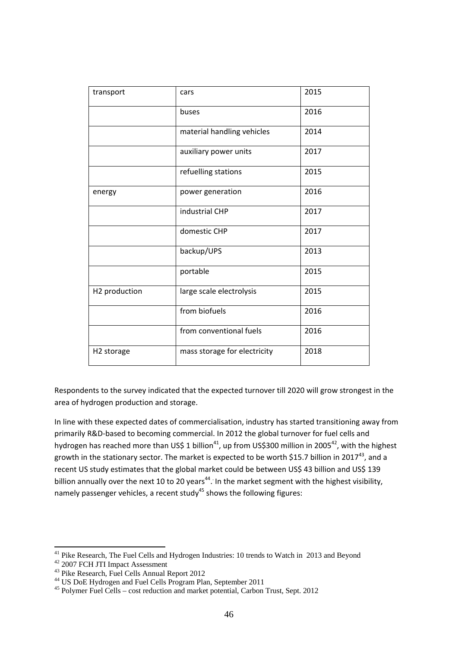| transport              | cars                         | 2015 |
|------------------------|------------------------------|------|
|                        | buses                        | 2016 |
|                        | material handling vehicles   | 2014 |
|                        | auxiliary power units        | 2017 |
|                        | refuelling stations          | 2015 |
| energy                 | power generation             | 2016 |
|                        | industrial CHP               | 2017 |
|                        | domestic CHP                 | 2017 |
|                        | backup/UPS                   | 2013 |
|                        | portable                     | 2015 |
| H2 production          | large scale electrolysis     | 2015 |
|                        | from biofuels                | 2016 |
|                        | from conventional fuels      | 2016 |
| H <sub>2</sub> storage | mass storage for electricity | 2018 |

Respondents to the survey indicated that the expected turnover till 2020 will grow strongest in the area of hydrogen production and storage.

In line with these expected dates of commercialisation, industry has started transitioning away from primarily R&D-based to becoming commercial. In 2012 the global turnover for fuel cells and hydrogen has reached more than US\$ 1 billion<sup>41</sup>, up from US\$300 million in 2005<sup>42</sup>, with the highest growth in the stationary sector. The market is expected to be worth \$15.7 billion in 2017<sup>43</sup>, and a recent US study estimates that the global market could be between US\$ 43 billion and US\$ 139 billion annually over the next 10 to 20 years<sup>44</sup>. In the market segment with the highest visibility, namely passenger vehicles, a recent study<sup>45</sup> shows the following figures:

**.** 

 $41$  Pike Research, The Fuel Cells and Hydrogen Industries: 10 trends to Watch in 2013 and Beyond

<sup>&</sup>lt;sup>42</sup> 2007 FCH JTI Impact Assessment

<sup>&</sup>lt;sup>43</sup> Pike Research, Fuel Cells Annual Report 2012

<sup>44</sup> US DoE Hydrogen and Fuel Cells Program Plan, September 2011

<sup>45</sup> Polymer Fuel Cells – cost reduction and market potential, Carbon Trust, Sept. 2012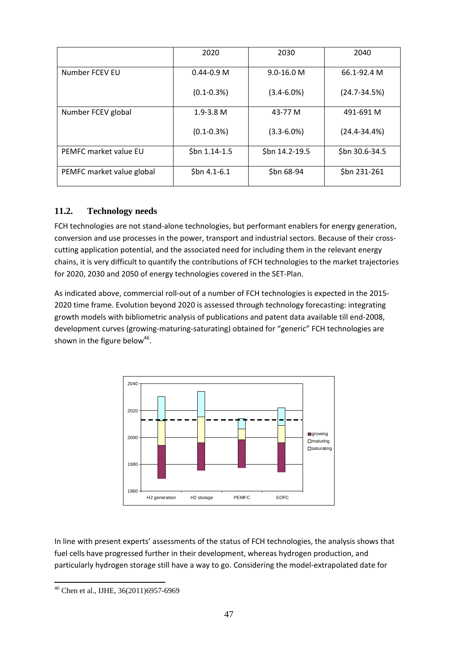|                           | 2020            | 2030            | 2040             |
|---------------------------|-----------------|-----------------|------------------|
| Number FCEV EU            | $0.44 - 0.9$ M  | $9.0 - 16.0 M$  | 66.1-92.4 M      |
|                           | $(0.1 - 0.3%)$  | $(3.4 - 6.0\%)$ | $(24.7 - 34.5%)$ |
| Number FCEV global        | $1.9 - 3.8$ M   | 43-77 M         | 491-691 M        |
|                           | $(0.1 - 0.3\%)$ | $(3.3 - 6.0\%)$ | $(24.4 - 34.4%)$ |
| PEMFC market value EU     | $$bn 1.14-1.5$  | \$bn 14.2-19.5  | \$bn 30.6-34.5   |
| PEMFC market value global | $$bn 4.1-6.1$   | \$bn 68-94      | \$bn 231-261     |

# **11.2. Technology needs**

FCH technologies are not stand-alone technologies, but performant enablers for energy generation, conversion and use processes in the power, transport and industrial sectors. Because of their crosscutting application potential, and the associated need for including them in the relevant energy chains, it is very difficult to quantify the contributions of FCH technologies to the market trajectories for 2020, 2030 and 2050 of energy technologies covered in the SET-Plan.

As indicated above, commercial roll-out of a number of FCH technologies is expected in the 2015- 2020 time frame. Evolution beyond 2020 is assessed through technology forecasting: integrating growth models with bibliometric analysis of publications and patent data available till end-2008, development curves (growing-maturing-saturating) obtained for "generic" FCH technologies are shown in the figure below<sup>46</sup>.



In line with present experts' assessments of the status of FCH technologies, the analysis shows that fuel cells have progressed further in their development, whereas hydrogen production, and particularly hydrogen storage still have a way to go. Considering the model-extrapolated date for

<sup>1</sup> 46 Chen et al., IJHE, 36(2011)6957-6969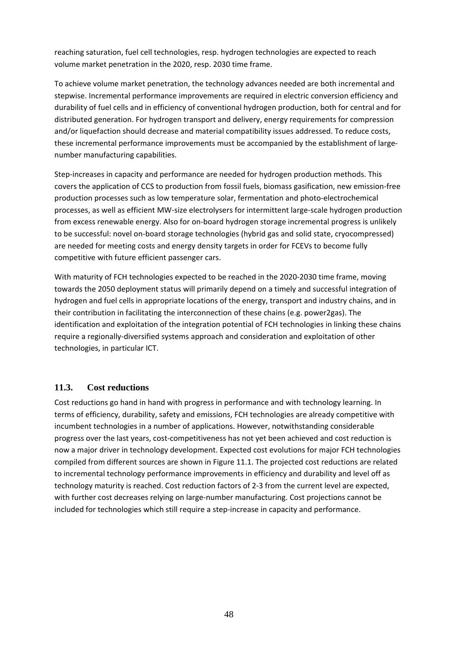reaching saturation, fuel cell technologies, resp. hydrogen technologies are expected to reach volume market penetration in the 2020, resp. 2030 time frame.

To achieve volume market penetration, the technology advances needed are both incremental and stepwise. Incremental performance improvements are required in electric conversion efficiency and durability of fuel cells and in efficiency of conventional hydrogen production, both for central and for distributed generation. For hydrogen transport and delivery, energy requirements for compression and/or liquefaction should decrease and material compatibility issues addressed. To reduce costs, these incremental performance improvements must be accompanied by the establishment of largenumber manufacturing capabilities.

Step-increases in capacity and performance are needed for hydrogen production methods. This covers the application of CCS to production from fossil fuels, biomass gasification, new emission-free production processes such as low temperature solar, fermentation and photo-electrochemical processes, as well as efficient MW-size electrolysers for intermittent large-scale hydrogen production from excess renewable energy. Also for on-board hydrogen storage incremental progress is unlikely to be successful: novel on-board storage technologies (hybrid gas and solid state, cryocompressed) are needed for meeting costs and energy density targets in order for FCEVs to become fully competitive with future efficient passenger cars.

With maturity of FCH technologies expected to be reached in the 2020-2030 time frame, moving towards the 2050 deployment status will primarily depend on a timely and successful integration of hydrogen and fuel cells in appropriate locations of the energy, transport and industry chains, and in their contribution in facilitating the interconnection of these chains (e.g. power2gas). The identification and exploitation of the integration potential of FCH technologies in linking these chains require a regionally-diversified systems approach and consideration and exploitation of other technologies, in particular ICT.

# **11.3. Cost reductions**

Cost reductions go hand in hand with progress in performance and with technology learning. In terms of efficiency, durability, safety and emissions, FCH technologies are already competitive with incumbent technologies in a number of applications. However, notwithstanding considerable progress over the last years, cost-competitiveness has not yet been achieved and cost reduction is now a major driver in technology development. Expected cost evolutions for major FCH technologies compiled from different sources are shown in Figure 11.1. The projected cost reductions are related to incremental technology performance improvements in efficiency and durability and level off as technology maturity is reached. Cost reduction factors of 2-3 from the current level are expected, with further cost decreases relying on large-number manufacturing. Cost projections cannot be included for technologies which still require a step-increase in capacity and performance.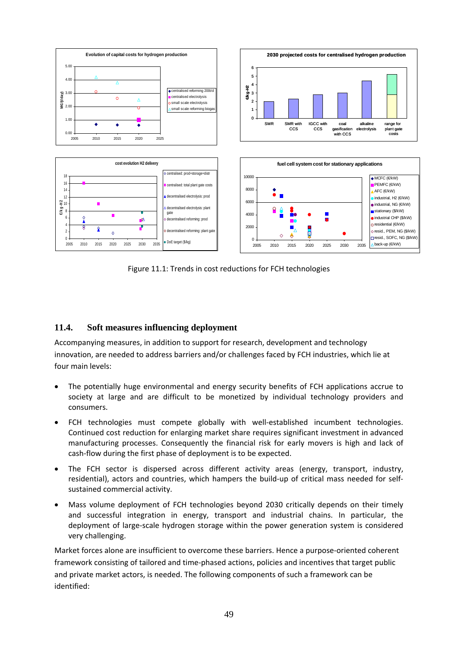

Figure 11.1: Trends in cost reductions for FCH technologies

# **11.4. Soft measures influencing deployment**

Accompanying measures, in addition to support for research, development and technology innovation, are needed to address barriers and/or challenges faced by FCH industries, which lie at four main levels:

- The potentially huge environmental and energy security benefits of FCH applications accrue to society at large and are difficult to be monetized by individual technology providers and consumers.
- FCH technologies must compete globally with well-established incumbent technologies. Continued cost reduction for enlarging market share requires significant investment in advanced manufacturing processes. Consequently the financial risk for early movers is high and lack of cash-flow during the first phase of deployment is to be expected.
- The FCH sector is dispersed across different activity areas (energy, transport, industry, residential), actors and countries, which hampers the build-up of critical mass needed for selfsustained commercial activity.
- Mass volume deployment of FCH technologies beyond 2030 critically depends on their timely and successful integration in energy, transport and industrial chains. In particular, the deployment of large-scale hydrogen storage within the power generation system is considered very challenging.

Market forces alone are insufficient to overcome these barriers. Hence a purpose-oriented coherent framework consisting of tailored and time-phased actions, policies and incentives that target public and private market actors, is needed. The following components of such a framework can be identified: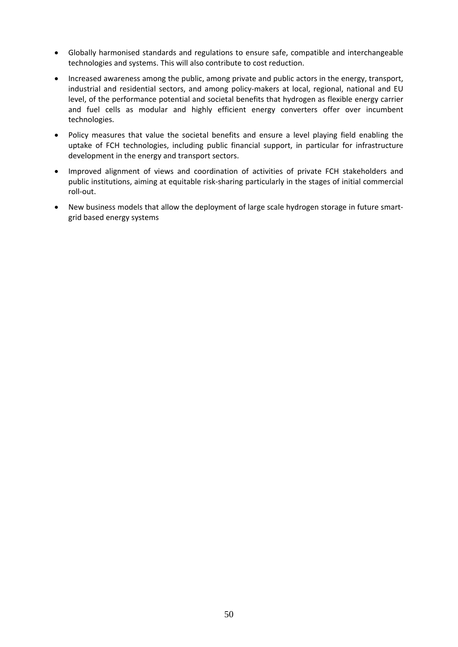- Globally harmonised standards and regulations to ensure safe, compatible and interchangeable technologies and systems. This will also contribute to cost reduction.
- Increased awareness among the public, among private and public actors in the energy, transport, industrial and residential sectors, and among policy-makers at local, regional, national and EU level, of the performance potential and societal benefits that hydrogen as flexible energy carrier and fuel cells as modular and highly efficient energy converters offer over incumbent technologies.
- Policy measures that value the societal benefits and ensure a level playing field enabling the uptake of FCH technologies, including public financial support, in particular for infrastructure development in the energy and transport sectors.
- Improved alignment of views and coordination of activities of private FCH stakeholders and public institutions, aiming at equitable risk-sharing particularly in the stages of initial commercial roll-out.
- New business models that allow the deployment of large scale hydrogen storage in future smartgrid based energy systems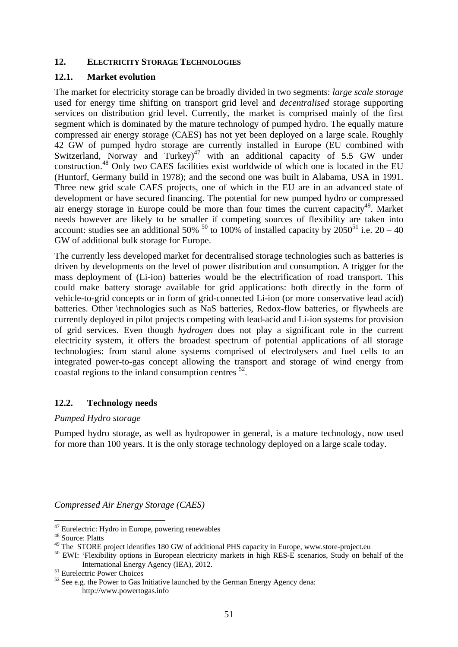#### **12. ELECTRICITY STORAGE TECHNOLOGIES**

### **12.1. Market evolution**

The market for electricity storage can be broadly divided in two segments: *large scale storage* used for energy time shifting on transport grid level and *decentralised* storage supporting services on distribution grid level. Currently, the market is comprised mainly of the first segment which is dominated by the mature technology of pumped hydro. The equally mature compressed air energy storage (CAES) has not yet been deployed on a large scale. Roughly 42 GW of pumped hydro storage are currently installed in Europe (EU combined with Switzerland, Norway and Turkey)<sup>47</sup> with an additional capacity of 5.5 GW under construction.48 Only two CAES facilities exist worldwide of which one is located in the EU (Huntorf, Germany build in 1978); and the second one was built in Alabama, USA in 1991. Three new grid scale CAES projects, one of which in the EU are in an advanced state of development or have secured financing. The potential for new pumped hydro or compressed air energy storage in Europe could be more than four times the current capacity<sup>49</sup>. Market needs however are likely to be smaller if competing sources of flexibility are taken into account: studies see an additional 50% <sup>50</sup> to 100% of installed capacity by  $2050^{51}$  i.e.  $20 - 40$ GW of additional bulk storage for Europe.

The currently less developed market for decentralised storage technologies such as batteries is driven by developments on the level of power distribution and consumption. A trigger for the mass deployment of (Li-ion) batteries would be the electrification of road transport. This could make battery storage available for grid applications: both directly in the form of vehicle-to-grid concepts or in form of grid-connected Li-ion (or more conservative lead acid) batteries. Other \technologies such as NaS batteries, Redox-flow batteries, or flywheels are currently deployed in pilot projects competing with lead-acid and Li-ion systems for provision of grid services. Even though *hydrogen* does not play a significant role in the current electricity system, it offers the broadest spectrum of potential applications of all storage technologies: from stand alone systems comprised of electrolysers and fuel cells to an integrated power-to-gas concept allowing the transport and storage of wind energy from coastal regions to the inland consumption centres 52.

# **12.2. Technology needs**

#### *Pumped Hydro storage*

Pumped hydro storage, as well as hydropower in general, is a mature technology, now used for more than 100 years. It is the only storage technology deployed on a large scale today.

*Compressed Air Energy Storage (CAES)* 

**.** 

 $47$  Eurelectric: Hydro in Europe, powering renewables

<sup>48</sup> Source: Platts<br>
<sup>48</sup> Source: Platts<br>
<sup>49</sup> The STORE project identifies 180 GW of additional PHS capacity in Europe, www.store-project.eu

<sup>&</sup>lt;sup>50</sup> EWI: 'Flexibility options in European electricity markets in high RES-E scenarios, Study on behalf of the International Energy Agency (IEA), 2012. 51 Eurelectric Power Choices

 $52$  See e.g. the Power to Gas Initiative launched by the German Energy Agency dena: http://www.powertogas.info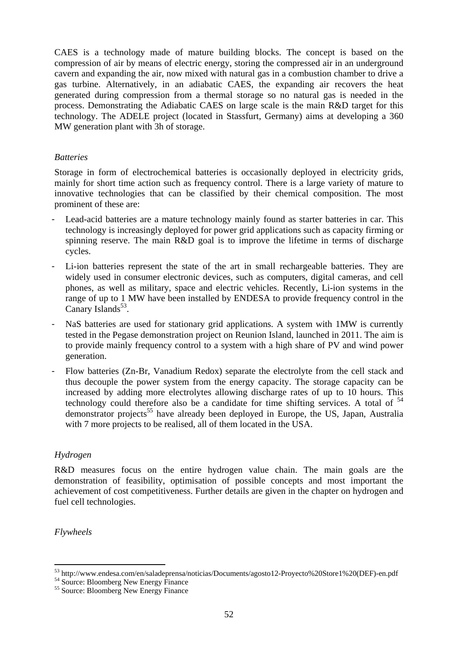CAES is a technology made of mature building blocks. The concept is based on the compression of air by means of electric energy, storing the compressed air in an underground cavern and expanding the air, now mixed with natural gas in a combustion chamber to drive a gas turbine. Alternatively, in an adiabatic CAES, the expanding air recovers the heat generated during compression from a thermal storage so no natural gas is needed in the process. Demonstrating the Adiabatic CAES on large scale is the main R&D target for this technology. The ADELE project (located in Stassfurt, Germany) aims at developing a 360 MW generation plant with 3h of storage.

### *Batteries*

Storage in form of electrochemical batteries is occasionally deployed in electricity grids, mainly for short time action such as frequency control. There is a large variety of mature to innovative technologies that can be classified by their chemical composition. The most prominent of these are:

- Lead-acid batteries are a mature technology mainly found as starter batteries in car. This technology is increasingly deployed for power grid applications such as capacity firming or spinning reserve. The main R&D goal is to improve the lifetime in terms of discharge cycles.
- Li-ion batteries represent the state of the art in small rechargeable batteries. They are widely used in consumer electronic devices, such as computers, digital cameras, and cell phones, as well as military, space and electric vehicles. Recently, Li-ion systems in the range of up to 1 MW have been installed by ENDESA to provide frequency control in the Canary Islands $53$ .
- NaS batteries are used for stationary grid applications. A system with 1MW is currently tested in the Pegase demonstration project on Reunion Island, launched in 2011. The aim is to provide mainly frequency control to a system with a high share of PV and wind power generation.
- Flow batteries (Zn-Br, Vanadium Redox) separate the electrolyte from the cell stack and thus decouple the power system from the energy capacity. The storage capacity can be increased by adding more electrolytes allowing discharge rates of up to 10 hours. This technology could therefore also be a candidate for time shifting services. A total of  $54$ demonstrator projects<sup>55</sup> have already been deployed in Europe, the US, Japan, Australia with 7 more projects to be realised, all of them located in the USA.

# *Hydrogen*

R&D measures focus on the entire hydrogen value chain. The main goals are the demonstration of feasibility, optimisation of possible concepts and most important the achievement of cost competitiveness. Further details are given in the chapter on hydrogen and fuel cell technologies.

*Flywheels* 

**<sup>.</sup>**  $^{53}$  http://www.endesa.com/en/saladeprensa/noticias/Documents/agosto12-Proyecto%20Store1%20(DEF)-en.pdf  $^{54}$  Source: Bloomberg New Energy Finance

<sup>&</sup>lt;sup>54</sup> Source: Bloomberg New Energy Finance<br><sup>55</sup> Source: Bloomberg New Energy Finance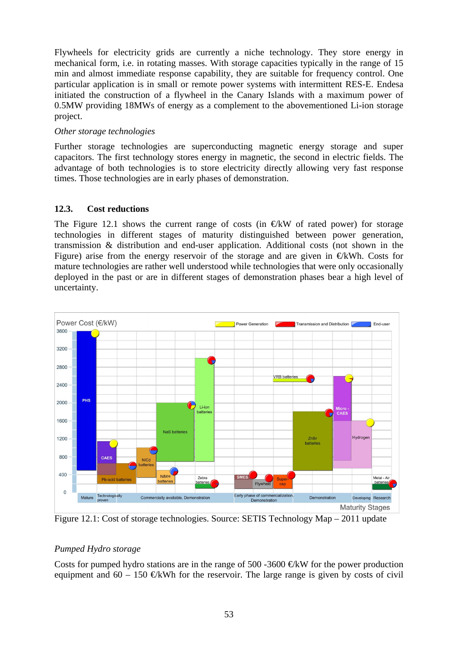Flywheels for electricity grids are currently a niche technology. They store energy in mechanical form, i.e. in rotating masses. With storage capacities typically in the range of 15 min and almost immediate response capability, they are suitable for frequency control. One particular application is in small or remote power systems with intermittent RES-E. Endesa initiated the construction of a flywheel in the Canary Islands with a maximum power of 0.5MW providing 18MWs of energy as a complement to the abovementioned Li-ion storage project.

#### *Other storage technologies*

Further storage technologies are superconducting magnetic energy storage and super capacitors. The first technology stores energy in magnetic, the second in electric fields. The advantage of both technologies is to store electricity directly allowing very fast response times. Those technologies are in early phases of demonstration.

# **12.3. Cost reductions**

The Figure 12.1 shows the current range of costs (in  $E$ KW of rated power) for storage technologies in different stages of maturity distinguished between power generation, transmission & distribution and end-user application. Additional costs (not shown in the Figure) arise from the energy reservoir of the storage and are given in  $E$ kWh. Costs for mature technologies are rather well understood while technologies that were only occasionally deployed in the past or are in different stages of demonstration phases bear a high level of uncertainty.



Figure 12.1: Cost of storage technologies. Source: SETIS Technology Map – 2011 update

# *Pumped Hydro storage*

Costs for pumped hydro stations are in the range of 500 -3600  $\bigoplus$ KW for the power production equipment and  $60 - 150$  EkWh for the reservoir. The large range is given by costs of civil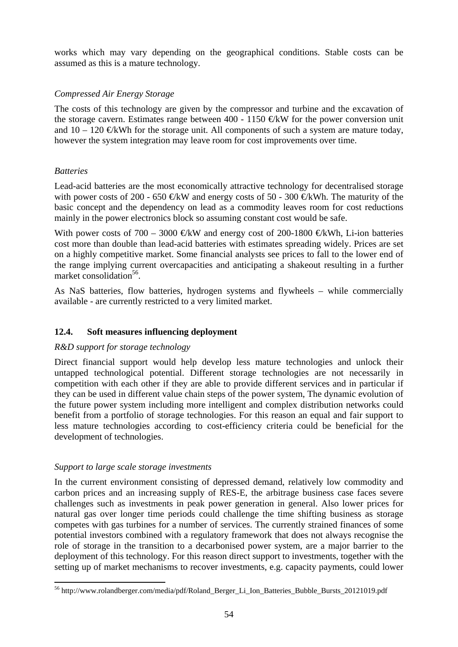works which may vary depending on the geographical conditions. Stable costs can be assumed as this is a mature technology.

# *Compressed Air Energy Storage*

The costs of this technology are given by the compressor and turbine and the excavation of the storage cavern. Estimates range between 400 - 1150  $\oplus$ KW for the power conversion unit and  $10 - 120$  €kWh for the storage unit. All components of such a system are mature today, however the system integration may leave room for cost improvements over time.

# *Batteries*

Lead-acid batteries are the most economically attractive technology for decentralised storage with power costs of 200 - 650  $\text{E}$ KW and energy costs of 50 - 300  $\text{E}$ KWh. The maturity of the basic concept and the dependency on lead as a commodity leaves room for cost reductions mainly in the power electronics block so assuming constant cost would be safe.

With power costs of 700 – 3000 €kW and energy cost of 200-1800 €kWh, Li-ion batteries cost more than double than lead-acid batteries with estimates spreading widely. Prices are set on a highly competitive market. Some financial analysts see prices to fall to the lower end of the range implying current overcapacities and anticipating a shakeout resulting in a further market consolidation $56$ .

As NaS batteries, flow batteries, hydrogen systems and flywheels – while commercially available - are currently restricted to a very limited market.

# **12.4. Soft measures influencing deployment**

# *R&D support for storage technology*

Direct financial support would help develop less mature technologies and unlock their untapped technological potential. Different storage technologies are not necessarily in competition with each other if they are able to provide different services and in particular if they can be used in different value chain steps of the power system, The dynamic evolution of the future power system including more intelligent and complex distribution networks could benefit from a portfolio of storage technologies. For this reason an equal and fair support to less mature technologies according to cost-efficiency criteria could be beneficial for the development of technologies.

# *Support to large scale storage investments*

In the current environment consisting of depressed demand, relatively low commodity and carbon prices and an increasing supply of RES-E, the arbitrage business case faces severe challenges such as investments in peak power generation in general. Also lower prices for natural gas over longer time periods could challenge the time shifting business as storage competes with gas turbines for a number of services. The currently strained finances of some potential investors combined with a regulatory framework that does not always recognise the role of storage in the transition to a decarbonised power system, are a major barrier to the deployment of this technology. For this reason direct support to investments, together with the setting up of market mechanisms to recover investments, e.g. capacity payments, could lower

<sup>1</sup> 56 http://www.rolandberger.com/media/pdf/Roland\_Berger\_Li\_Ion\_Batteries\_Bubble\_Bursts\_20121019.pdf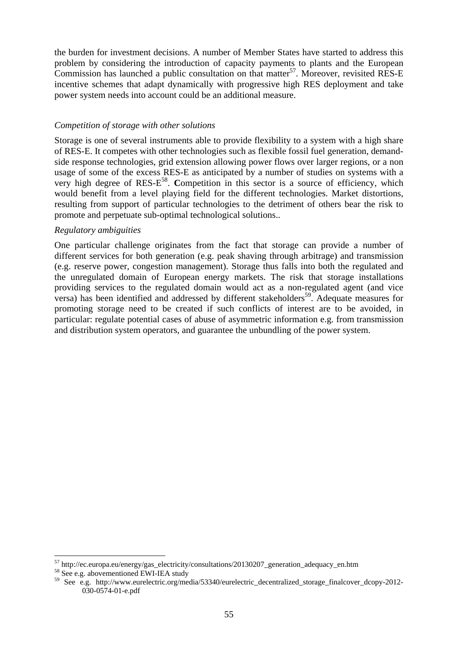the burden for investment decisions. A number of Member States have started to address this problem by considering the introduction of capacity payments to plants and the European Commission has launched a public consultation on that matter<sup>57</sup>. Moreover, revisited RES-E incentive schemes that adapt dynamically with progressive high RES deployment and take power system needs into account could be an additional measure.

### *Competition of storage with other solutions*

Storage is one of several instruments able to provide flexibility to a system with a high share of RES-E. It competes with other technologies such as flexible fossil fuel generation, demandside response technologies, grid extension allowing power flows over larger regions, or a non usage of some of the excess RES-E as anticipated by a number of studies on systems with a very high degree of RES-E58. **C**ompetition in this sector is a source of efficiency, which would benefit from a level playing field for the different technologies. Market distortions, resulting from support of particular technologies to the [detriment](http://www.thefreedictionary.com/detriment) of others bear the risk to promote and perpetuate sub-optimal technological solutions..

### *Regulatory ambiguities*

One particular challenge originates from the fact that storage can provide a number of different services for both generation (e.g. peak shaving through arbitrage) and transmission (e.g. reserve power, congestion management). Storage thus falls into both the regulated and the unregulated domain of European energy markets. The risk that storage installations providing services to the regulated domain would act as a non-regulated agent (and vice versa) has been identified and addressed by different stakeholders<sup>59</sup>. Adequate measures for promoting storage need to be created if such conflicts of interest are to be avoided, in particular: regulate potential cases of abuse of asymmetric information e.g. from transmission and distribution system operators, and guarantee the unbundling of the power system.

1

 $^{57}$  http://ec.europa.eu/energy/gas\_electricity/consultations/20130207\_generation\_adequacy\_en.htm  $^{58}$  See e.g. abovementioned EWI-IEA study

<sup>59</sup> See e.g. http://www.eurelectric.org/media/53340/eurelectric\_decentralized\_storage\_finalcover\_dcopy-2012- 030-0574-01-e.pdf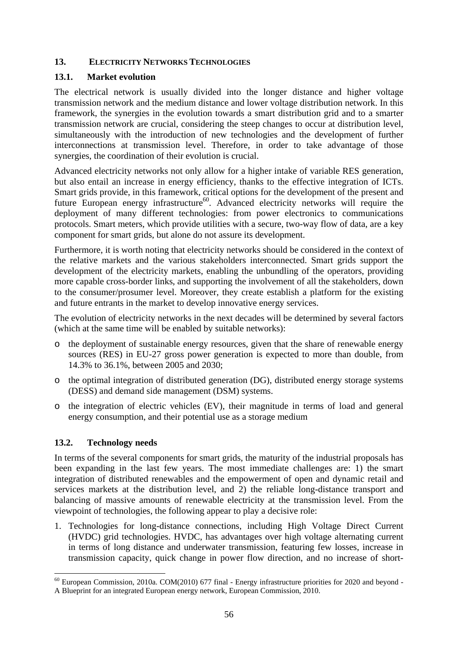### **13. ELECTRICITY NETWORKS TECHNOLOGIES**

### **13.1. Market evolution**

The electrical network is usually divided into the longer distance and higher voltage transmission network and the medium distance and lower voltage distribution network. In this framework, the synergies in the evolution towards a smart distribution grid and to a smarter transmission network are crucial, considering the steep changes to occur at distribution level, simultaneously with the introduction of new technologies and the development of further interconnections at transmission level. Therefore, in order to take advantage of those synergies, the coordination of their evolution is crucial.

Advanced electricity networks not only allow for a higher intake of variable RES generation, but also entail an increase in energy efficiency, thanks to the effective integration of ICTs. Smart grids provide, in this framework, critical options for the development of the present and future European energy infrastructure<sup>60</sup>. Advanced electricity networks will require the deployment of many different technologies: from power electronics to communications protocols. Smart meters, which provide utilities with a secure, two-way flow of data, are a key component for smart grids, but alone do not assure its development.

Furthermore, it is worth noting that electricity networks should be considered in the context of the relative markets and the various stakeholders interconnected. Smart grids support the development of the electricity markets, enabling the unbundling of the operators, providing more capable cross-border links, and supporting the involvement of all the stakeholders, down to the consumer/prosumer level. Moreover, they create establish a platform for the existing and future entrants in the market to develop innovative energy services.

The evolution of electricity networks in the next decades will be determined by several factors (which at the same time will be enabled by suitable networks):

- o the deployment of sustainable energy resources, given that the share of renewable energy sources (RES) in EU-27 gross power generation is expected to more than double, from 14.3% to 36.1%, between 2005 and 2030;
- o the optimal integration of distributed generation (DG), distributed energy storage systems (DESS) and demand side management (DSM) systems.
- o the integration of electric vehicles (EV), their magnitude in terms of load and general energy consumption, and their potential use as a storage medium

# **13.2. Technology needs**

**.** 

In terms of the several components for smart grids, the maturity of the industrial proposals has been expanding in the last few years. The most immediate challenges are: 1) the smart integration of distributed renewables and the empowerment of open and dynamic retail and services markets at the distribution level, and 2) the reliable long-distance transport and balancing of massive amounts of renewable electricity at the transmission level. From the viewpoint of technologies, the following appear to play a decisive role:

1. Technologies for long-distance connections, including High Voltage Direct Current (HVDC) grid technologies. HVDC, has advantages over high voltage alternating current in terms of long distance and underwater transmission, featuring few losses, increase in transmission capacity, quick change in power flow direction, and no increase of short-

 $^{60}$  European Commission, 2010a. COM(2010) 677 final - Energy infrastructure priorities for 2020 and beyond -A Blueprint for an integrated European energy network, European Commission, 2010.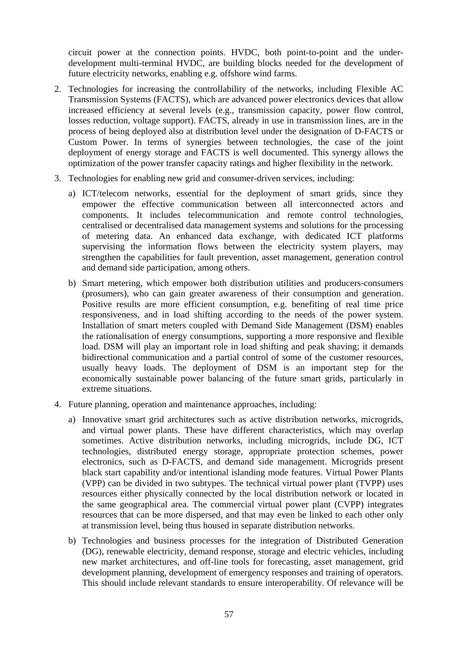circuit power at the connection points. HVDC, both point-to-point and the underdevelopment multi-terminal HVDC, are building blocks needed for the development of future electricity networks, enabling e.g. offshore wind farms.

- 2. Technologies for increasing the controllability of the networks, including Flexible AC Transmission Systems (FACTS), which are advanced power electronics devices that allow increased efficiency at several levels (e.g., transmission capacity, power flow control, losses reduction, voltage support). FACTS, already in use in transmission lines, are in the process of being deployed also at distribution level under the designation of D-FACTS or Custom Power. In terms of synergies between technologies, the case of the joint deployment of energy storage and FACTS is well documented. This synergy allows the optimization of the power transfer capacity ratings and higher flexibility in the network.
- 3. Technologies for enabling new grid and consumer-driven services, including:
	- a) ICT/telecom networks, essential for the deployment of smart grids, since they empower the effective communication between all interconnected actors and components. It includes telecommunication and remote control technologies, centralised or decentralised data management systems and solutions for the processing of metering data. An enhanced data exchange, with dedicated ICT platforms supervising the information flows between the electricity system players, may strengthen the capabilities for fault prevention, asset management, generation control and demand side participation, among others.
	- b) Smart metering, which empower both distribution utilities and producers-consumers (prosumers), who can gain greater awareness of their consumption and generation. Positive results are more efficient consumption, e.g. benefiting of real time price responsiveness, and in load shifting according to the needs of the power system. Installation of smart meters coupled with Demand Side Management (DSM) enables the rationalisation of energy consumptions, supporting a more responsive and flexible load. DSM will play an important role in load shifting and peak shaving; it demands bidirectional communication and a partial control of some of the customer resources, usually heavy loads. The deployment of DSM is an important step for the economically sustainable power balancing of the future smart grids, particularly in extreme situations.
- 4. Future planning, operation and maintenance approaches, including:
	- a) Innovative smart grid architectures such as active distribution networks, microgrids, and virtual power plants. These have different characteristics, which may overlap sometimes. Active distribution networks, including microgrids, include DG, ICT technologies, distributed energy storage, appropriate protection schemes, power electronics, such as D-FACTS, and demand side management. Microgrids present black start capability and/or intentional islanding mode features. Virtual Power Plants (VPP) can be divided in two subtypes. The technical virtual power plant (TVPP) uses resources either physically connected by the local distribution network or located in the same geographical area. The commercial virtual power plant (CVPP) integrates resources that can be more dispersed, and that may even be linked to each other only at transmission level, being thus housed in separate distribution networks.
	- b) Technologies and business processes for the integration of Distributed Generation (DG), renewable electricity, demand response, storage and electric vehicles, including new market architectures, and off-line tools for forecasting, asset management, grid development planning, development of emergency responses and training of operators. This should include relevant standards to ensure interoperability. Of relevance will be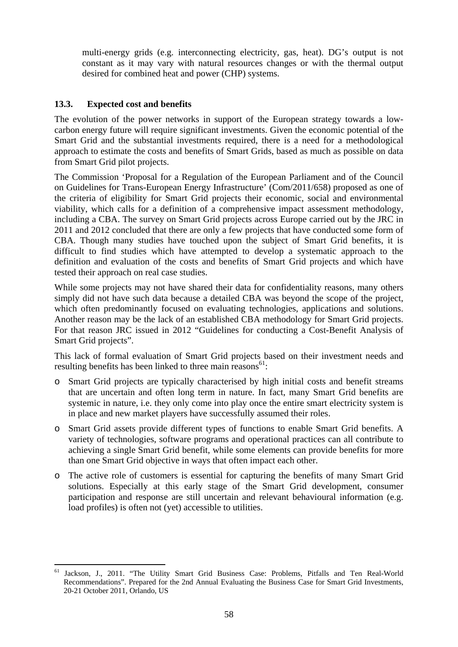multi-energy grids (e.g. interconnecting electricity, gas, heat). DG's output is not constant as it may vary with natural resources changes or with the thermal output desired for combined heat and power (CHP) systems.

# **13.3. Expected cost and benefits**

The evolution of the power networks in support of the European strategy towards a lowcarbon energy future will require significant investments. Given the economic potential of the Smart Grid and the substantial investments required, there is a need for a methodological approach to estimate the costs and benefits of Smart Grids, based as much as possible on data from Smart Grid pilot projects.

The Commission 'Proposal for a Regulation of the European Parliament and of the Council on Guidelines for Trans-European Energy Infrastructure' (Com/2011/658) proposed as one of the criteria of eligibility for Smart Grid projects their economic, social and environmental viability, which calls for a definition of a comprehensive impact assessment methodology, including a CBA. The survey on Smart Grid projects across Europe carried out by the JRC in 2011 and 2012 concluded that there are only a few projects that have conducted some form of CBA. Though many studies have touched upon the subject of Smart Grid benefits, it is difficult to find studies which have attempted to develop a systematic approach to the definition and evaluation of the costs and benefits of Smart Grid projects and which have tested their approach on real case studies.

While some projects may not have shared their data for confidentiality reasons, many others simply did not have such data because a detailed CBA was beyond the scope of the project, which often predominantly focused on evaluating technologies, applications and solutions. Another reason may be the lack of an established CBA methodology for Smart Grid projects. For that reason JRC issued in 2012 "Guidelines for conducting a Cost-Benefit Analysis of Smart Grid projects".

This lack of formal evaluation of Smart Grid projects based on their investment needs and resulting benefits has been linked to three main reasons $<sup>61</sup>$ :</sup>

- o Smart Grid projects are typically characterised by high initial costs and benefit streams that are uncertain and often long term in nature. In fact, many Smart Grid benefits are systemic in nature, i.e. they only come into play once the entire smart electricity system is in place and new market players have successfully assumed their roles.
- o Smart Grid assets provide different types of functions to enable Smart Grid benefits. A variety of technologies, software programs and operational practices can all contribute to achieving a single Smart Grid benefit, while some elements can provide benefits for more than one Smart Grid objective in ways that often impact each other.
- o The active role of customers is essential for capturing the benefits of many Smart Grid solutions. Especially at this early stage of the Smart Grid development, consumer participation and response are still uncertain and relevant behavioural information (e.g. load profiles) is often not (yet) accessible to utilities.

**<sup>.</sup>** Jackson, J., 2011. "The Utility Smart Grid Business Case: Problems, Pitfalls and Ten Real-World Recommendations". Prepared for the 2nd Annual Evaluating the Business Case for Smart Grid Investments, 20-21 October 2011, Orlando, US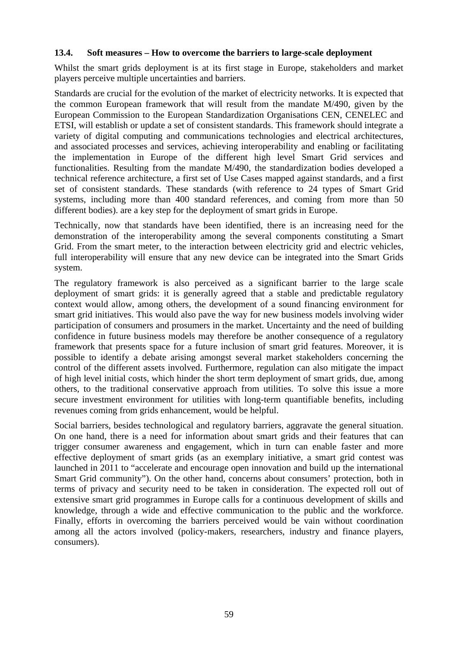#### **13.4. Soft measures – How to overcome the barriers to large-scale deployment**

Whilst the smart grids deployment is at its first stage in Europe, stakeholders and market players perceive multiple uncertainties and barriers.

Standards are crucial for the evolution of the market of electricity networks. It is expected that the common European framework that will result from the mandate M/490, given by the European Commission to the European Standardization Organisations CEN, CENELEC and ETSI, will establish or update a set of consistent standards. This framework should integrate a variety of digital computing and communications technologies and electrical architectures, and associated processes and services, achieving interoperability and enabling or facilitating the implementation in Europe of the different high level Smart Grid services and functionalities. Resulting from the mandate M/490, the standardization bodies developed a technical reference architecture, a first set of Use Cases mapped against standards, and a first set of consistent standards. These standards (with reference to 24 types of Smart Grid systems, including more than 400 standard references, and coming from more than 50 different bodies). are a key step for the deployment of smart grids in Europe.

Technically, now that standards have been identified, there is an increasing need for the demonstration of the interoperability among the several components constituting a Smart Grid. From the smart meter, to the interaction between electricity grid and electric vehicles, full interoperability will ensure that any new device can be integrated into the Smart Grids system.

The regulatory framework is also perceived as a significant barrier to the large scale deployment of smart grids: it is generally agreed that a stable and predictable regulatory context would allow, among others, the development of a sound financing environment for smart grid initiatives. This would also pave the way for new business models involving wider participation of consumers and prosumers in the market. Uncertainty and the need of building confidence in future business models may therefore be another consequence of a regulatory framework that presents space for a future inclusion of smart grid features. Moreover, it is possible to identify a debate arising amongst several market stakeholders concerning the control of the different assets involved. Furthermore, regulation can also mitigate the impact of high level initial costs, which hinder the short term deployment of smart grids, due, among others, to the traditional conservative approach from utilities. To solve this issue a more secure investment environment for utilities with long-term quantifiable benefits, including revenues coming from grids enhancement, would be helpful.

Social barriers, besides technological and regulatory barriers, aggravate the general situation. On one hand, there is a need for information about smart grids and their features that can trigger consumer awareness and engagement, which in turn can enable faster and more effective deployment of smart grids (as an exemplary initiative, a smart grid contest was launched in 2011 to "accelerate and encourage open innovation and build up the international Smart Grid community"). On the other hand, concerns about consumers' protection, both in terms of privacy and security need to be taken in consideration. The expected roll out of extensive smart grid programmes in Europe calls for a continuous development of skills and knowledge, through a wide and effective communication to the public and the workforce. Finally, efforts in overcoming the barriers perceived would be vain without coordination among all the actors involved (policy-makers, researchers, industry and finance players, consumers).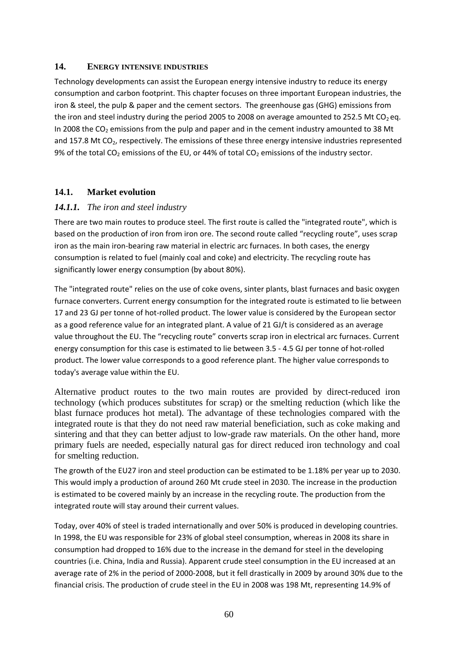#### **14. ENERGY INTENSIVE INDUSTRIES**

Technology developments can assist the European energy intensive industry to reduce its energy consumption and carbon footprint. This chapter focuses on three important European industries, the iron & steel, the pulp & paper and the cement sectors. The greenhouse gas (GHG) emissions from the iron and steel industry during the period 2005 to 2008 on average amounted to 252.5 Mt CO<sub>2</sub> eq. In 2008 the  $CO<sub>2</sub>$  emissions from the pulp and paper and in the cement industry amounted to 38 Mt and 157.8 Mt  $CO<sub>2</sub>$ , respectively. The emissions of these three energy intensive industries represented 9% of the total CO<sub>2</sub> emissions of the EU, or 44% of total CO<sub>2</sub> emissions of the industry sector.

# **14.1. Market evolution**

### *14.1.1. The iron and steel industry*

There are two main routes to produce steel. The first route is called the "integrated route", which is based on the production of iron from iron ore. The second route called "recycling route", uses scrap iron as the main iron-bearing raw material in electric arc furnaces. In both cases, the energy consumption is related to fuel (mainly coal and coke) and electricity. The recycling route has significantly lower energy consumption (by about 80%).

The "integrated route" relies on the use of coke ovens, sinter plants, blast furnaces and basic oxygen furnace converters. Current energy consumption for the integrated route is estimated to lie between 17 and 23 GJ per tonne of hot-rolled product. The lower value is considered by the European sector as a good reference value for an integrated plant. A value of 21 GJ/t is considered as an average value throughout the EU. The "recycling route" converts scrap iron in electrical arc furnaces. Current energy consumption for this case is estimated to lie between 3.5 - 4.5 GJ per tonne of hot-rolled product. The lower value corresponds to a good reference plant. The higher value corresponds to today's average value within the EU.

Alternative product routes to the two main routes are provided by direct-reduced iron technology (which produces substitutes for scrap) or the smelting reduction (which like the blast furnace produces hot metal). The advantage of these technologies compared with the integrated route is that they do not need raw material beneficiation, such as coke making and sintering and that they can better adjust to low-grade raw materials. On the other hand, more primary fuels are needed, especially natural gas for direct reduced iron technology and coal for smelting reduction.

The growth of the EU27 iron and steel production can be estimated to be 1.18% per year up to 2030. This would imply a production of around 260 Mt crude steel in 2030. The increase in the production is estimated to be covered mainly by an increase in the recycling route. The production from the integrated route will stay around their current values.

Today, over 40% of steel is traded internationally and over 50% is produced in developing countries. In 1998, the EU was responsible for 23% of global steel consumption, whereas in 2008 its share in consumption had dropped to 16% due to the increase in the demand for steel in the developing countries (i.e. China, India and Russia). Apparent crude steel consumption in the EU increased at an average rate of 2% in the period of 2000-2008, but it fell drastically in 2009 by around 30% due to the financial crisis. The production of crude steel in the EU in 2008 was 198 Mt, representing 14.9% of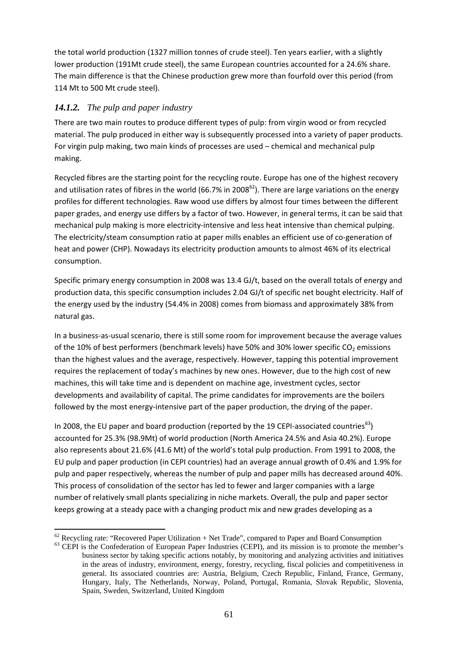the total world production (1327 million tonnes of crude steel). Ten years earlier, with a slightly lower production (191Mt crude steel), the same European countries accounted for a 24.6% share. The main difference is that the Chinese production grew more than fourfold over this period (from 114 Mt to 500 Mt crude steel).

# *14.1.2. The pulp and paper industry*

There are two main routes to produce different types of pulp: from virgin wood or from recycled material. The pulp produced in either way is subsequently processed into a variety of paper products. For virgin pulp making, two main kinds of processes are used – chemical and mechanical pulp making.

Recycled fibres are the starting point for the recycling route. Europe has one of the highest recovery and utilisation rates of fibres in the world (66.7% in 2008 $^{62}$ ). There are large variations on the energy profiles for different technologies. Raw wood use differs by almost four times between the different paper grades, and energy use differs by a factor of two. However, in general terms, it can be said that mechanical pulp making is more electricity-intensive and less heat intensive than chemical pulping. The electricity/steam consumption ratio at paper mills enables an efficient use of co-generation of heat and power (CHP). Nowadays its electricity production amounts to almost 46% of its electrical consumption.

Specific primary energy consumption in 2008 was 13.4 GJ/t, based on the overall totals of energy and production data, this specific consumption includes 2.04 GJ/t of specific net bought electricity. Half of the energy used by the industry (54.4% in 2008) comes from biomass and approximately 38% from natural gas.

In a business-as-usual scenario, there is still some room for improvement because the average values of the 10% of best performers (benchmark levels) have 50% and 30% lower specific  $CO<sub>2</sub>$  emissions than the highest values and the average, respectively. However, tapping this potential improvement requires the replacement of today's machines by new ones. However, due to the high cost of new machines, this will take time and is dependent on machine age, investment cycles, sector developments and availability of capital. The prime candidates for improvements are the boilers followed by the most energy-intensive part of the paper production, the drying of the paper.

In 2008, the EU paper and board production (reported by the 19 CEPI-associated countries<sup>63</sup>) accounted for 25.3% (98.9Mt) of world production (North America 24.5% and Asia 40.2%). Europe also represents about 21.6% (41.6 Mt) of the world's total pulp production. From 1991 to 2008, the EU pulp and paper production (in CEPI countries) had an average annual growth of 0.4% and 1.9% for pulp and paper respectively, whereas the number of pulp and paper mills has decreased around 40%. This process of consolidation of the sector has led to fewer and larger companies with a large number of relatively small plants specializing in niche markets. Overall, the pulp and paper sector keeps growing at a steady pace with a changing product mix and new grades developing as a

 $62$  Recveling rate: "Recovered Paper Utilization + Net Trade", compared to Paper and Board Consumption

<sup>&</sup>lt;sup>63</sup> CEPI is the Confederation of European Paper Industries (CEPI), and its mission is to promote the member's business sector by taking specific actions notably, by monitoring and analyzing activities and initiatives in the areas of industry, environment, energy, forestry, recycling, fiscal policies and competitiveness in general. Its associated countries are: Austria, Belgium, Czech Republic, Finland, France, Germany, Hungary, Italy, The Netherlands, Norway, Poland, Portugal, Romania, Slovak Republic, Slovenia, Spain, Sweden, Switzerland, United Kingdom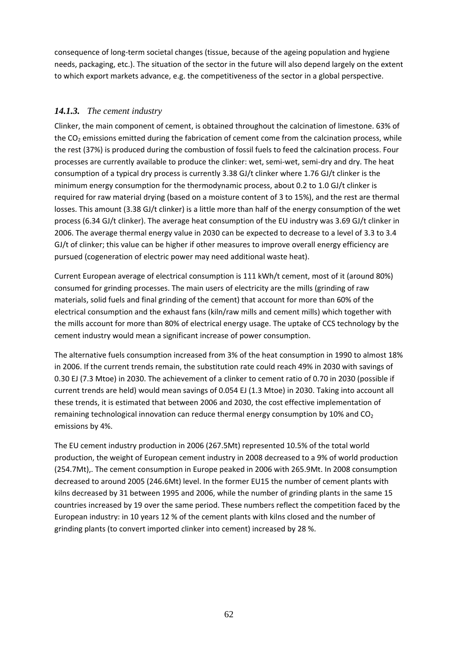consequence of long-term societal changes (tissue, because of the ageing population and hygiene needs, packaging, etc.). The situation of the sector in the future will also depend largely on the extent to which export markets advance, e.g. the competitiveness of the sector in a global perspective.

# *14.1.3. The cement industry*

Clinker, the main component of cement, is obtained throughout the calcination of limestone. 63% of the  $CO<sub>2</sub>$  emissions emitted during the fabrication of cement come from the calcination process, while the rest (37%) is produced during the combustion of fossil fuels to feed the calcination process. Four processes are currently available to produce the clinker: wet, semi-wet, semi-dry and dry. The heat consumption of a typical dry process is currently 3.38 GJ/t clinker where 1.76 GJ/t clinker is the minimum energy consumption for the thermodynamic process, about 0.2 to 1.0 GJ/t clinker is required for raw material drying (based on a moisture content of 3 to 15%), and the rest are thermal losses. This amount (3.38 GJ/t clinker) is a little more than half of the energy consumption of the wet process (6.34 GJ/t clinker). The average heat consumption of the EU industry was 3.69 GJ/t clinker in 2006. The average thermal energy value in 2030 can be expected to decrease to a level of 3.3 to 3.4 GJ/t of clinker; this value can be higher if other measures to improve overall energy efficiency are pursued (cogeneration of electric power may need additional waste heat).

Current European average of electrical consumption is 111 kWh/t cement, most of it (around 80%) consumed for grinding processes. The main users of electricity are the mills (grinding of raw materials, solid fuels and final grinding of the cement) that account for more than 60% of the electrical consumption and the exhaust fans (kiln/raw mills and cement mills) which together with the mills account for more than 80% of electrical energy usage. The uptake of CCS technology by the cement industry would mean a significant increase of power consumption.

The alternative fuels consumption increased from 3% of the heat consumption in 1990 to almost 18% in 2006. If the current trends remain, the substitution rate could reach 49% in 2030 with savings of 0.30 EJ (7.3 Mtoe) in 2030. The achievement of a clinker to cement ratio of 0.70 in 2030 (possible if current trends are held) would mean savings of 0.054 EJ (1.3 Mtoe) in 2030. Taking into account all these trends, it is estimated that between 2006 and 2030, the cost effective implementation of remaining technological innovation can reduce thermal energy consumption by 10% and  $CO<sub>2</sub>$ emissions by 4%.

The EU cement industry production in 2006 (267.5Mt) represented 10.5% of the total world production, the weight of European cement industry in 2008 decreased to a 9% of world production (254.7Mt),. The cement consumption in Europe peaked in 2006 with 265.9Mt. In 2008 consumption decreased to around 2005 (246.6Mt) level. In the former EU15 the number of cement plants with kilns decreased by 31 between 1995 and 2006, while the number of grinding plants in the same 15 countries increased by 19 over the same period. These numbers reflect the competition faced by the European industry: in 10 years 12 % of the cement plants with kilns closed and the number of grinding plants (to convert imported clinker into cement) increased by 28 %.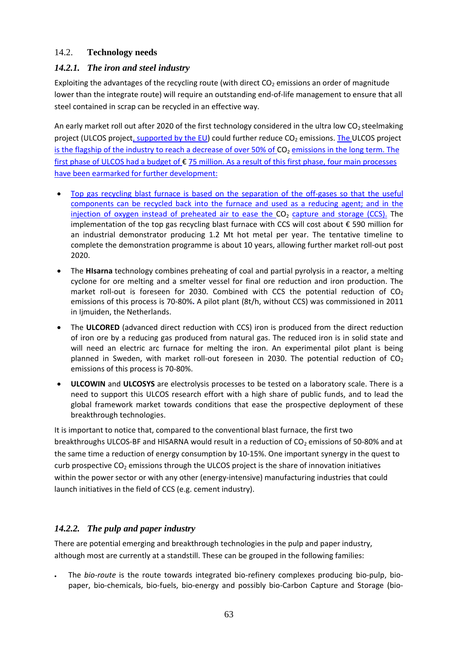# 14.2. **Technology needs**

# *14.2.1. The iron and steel industry*

Exploiting the advantages of the recycling route (with direct  $CO<sub>2</sub>$  emissions an order of magnitude lower than the integrate route) will require an outstanding end-of-life management to ensure that all steel contained in scrap can be recycled in an effective way.

An early market roll out after 2020 of the first technology considered in the ultra low  $CO<sub>2</sub>$  steelmaking project (ULCOS project, supported by the EU) could further reduce CO<sub>2</sub> emissions. The ULCOS project is the flagship of the industry to reach a decrease of over 50% of CO<sub>2</sub> emissions in the long term. The first phase of ULCOS had a budget of € 75 million. As a result of this first phase, four main processes have been earmarked for further development:

- Top gas recycling blast furnace is based on the separation of the off-gases so that the useful components can be recycled back into the furnace and used as a reducing agent; and in the injection of oxygen instead of preheated air to ease the  $CO<sub>2</sub>$  capture and storage (CCS). The implementation of the top gas recycling blast furnace with CCS will cost about  $\epsilon$  590 million for an industrial demonstrator producing 1.2 Mt hot metal per year. The tentative timeline to complete the demonstration programme is about 10 years, allowing further market roll-out post 2020.
- The **HIsarna** technology combines preheating of coal and partial pyrolysis in a reactor, a melting cyclone for ore melting and a smelter vessel for final ore reduction and iron production. The market roll-out is foreseen for 2030. Combined with CCS the potential reduction of  $CO<sub>2</sub>$ emissions of this process is 70-80%**.** A pilot plant (8t/h, without CCS) was commissioned in 2011 in Ijmuiden, the Netherlands.
- The **ULCORED** (advanced direct reduction with CCS) iron is produced from the direct reduction of iron ore by a reducing gas produced from natural gas. The reduced iron is in solid state and will need an electric arc furnace for melting the iron. An experimental pilot plant is being planned in Sweden, with market roll-out foreseen in 2030. The potential reduction of  $CO<sub>2</sub>$ emissions of this process is 70-80%.
- **ULCOWIN** and **ULCOSYS** are electrolysis processes to be tested on a laboratory scale. There is a need to support this ULCOS research effort with a high share of public funds, and to lead the global framework market towards conditions that ease the prospective deployment of these breakthrough technologies.

It is important to notice that, compared to the conventional blast furnace, the first two breakthroughs ULCOS-BF and HISARNA would result in a reduction of CO<sub>2</sub> emissions of 50-80% and at the same time a reduction of energy consumption by 10-15%. One important synergy in the quest to curb prospective  $CO<sub>2</sub>$  emissions through the ULCOS project is the share of innovation initiatives within the power sector or with any other (energy-intensive) manufacturing industries that could launch initiatives in the field of CCS (e.g. cement industry).

# *14.2.2. The pulp and paper industry*

There are potential emerging and breakthrough technologies in the pulp and paper industry, although most are currently at a standstill. These can be grouped in the following families:

• The *bio-route* is the route towards integrated bio-refinery complexes producing bio-pulp, biopaper, bio-chemicals, bio-fuels, bio-energy and possibly bio-Carbon Capture and Storage (bio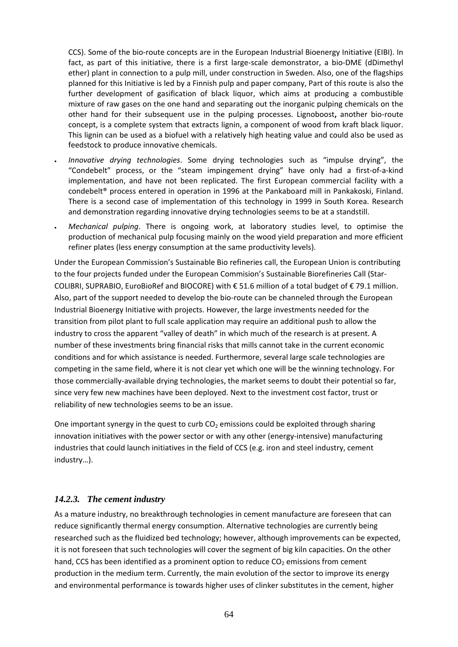CCS). Some of the bio-route concepts are in the European Industrial Bioenergy Initiative (EIBI). In fact, as part of this initiative, there is a first large-scale demonstrator, a bio-DME (dDimethyl ether) plant in connection to a pulp mill, under construction in Sweden. Also, one of the flagships planned for this Initiative is led by a Finnish pulp and paper company, Part of this route is also the further development of gasification of black liquor, which aims at producing a combustible mixture of raw gases on the one hand and separating out the inorganic pulping chemicals on the other hand for their subsequent use in the pulping processes. Lignoboost**,** another bio-route concept, is a complete system that extracts lignin, a component of wood from kraft black liquor. This lignin can be used as a biofuel with a relatively high heating value and could also be used as feedstock to produce innovative chemicals.

- *Innovative drying technologies*. Some drying technologies such as "impulse drying", the "Condebelt" process, or the "steam impingement drying" have only had a first-of-a-kind implementation, and have not been replicated. The first European commercial facility with a condebelt® process entered in operation in 1996 at the Pankaboard mill in Pankakoski, Finland. There is a second case of implementation of this technology in 1999 in South Korea. Research and demonstration regarding innovative drying technologies seems to be at a standstill.
- *Mechanical pulping*. There is ongoing work, at laboratory studies level, to optimise the production of mechanical pulp focusing mainly on the wood yield preparation and more efficient refiner plates (less energy consumption at the same productivity levels).

Under the European Commission's Sustainable Bio refineries call, the European Union is contributing to the four projects funded under the European Commision's Sustainable Biorefineries Call (Star-COLIBRI, SUPRABIO, EuroBioRef and BIOCORE) with € 51.6 million of a total budget of € 79.1 million. Also, part of the support needed to develop the bio-route can be channeled through the European Industrial Bioenergy Initiative with projects. However, the large investments needed for the transition from pilot plant to full scale application may require an additional push to allow the industry to cross the apparent "valley of death" in which much of the research is at present. A number of these investments bring financial risks that mills cannot take in the current economic conditions and for which assistance is needed. Furthermore, several large scale technologies are competing in the same field, where it is not clear yet which one will be the winning technology. For those commercially-available drying technologies, the market seems to doubt their potential so far, since very few new machines have been deployed. Next to the investment cost factor, trust or reliability of new technologies seems to be an issue.

One important synergy in the quest to curb  $CO<sub>2</sub>$  emissions could be exploited through sharing innovation initiatives with the power sector or with any other (energy-intensive) manufacturing industries that could launch initiatives in the field of CCS (e.g. iron and steel industry, cement industry…).

#### *14.2.3. The cement industry*

As a mature industry, no breakthrough technologies in cement manufacture are foreseen that can reduce significantly thermal energy consumption. Alternative technologies are currently being researched such as the fluidized bed technology; however, although improvements can be expected, it is not foreseen that such technologies will cover the segment of big kiln capacities. On the other hand, CCS has been identified as a prominent option to reduce  $CO<sub>2</sub>$  emissions from cement production in the medium term. Currently, the main evolution of the sector to improve its energy and environmental performance is towards higher uses of clinker substitutes in the cement, higher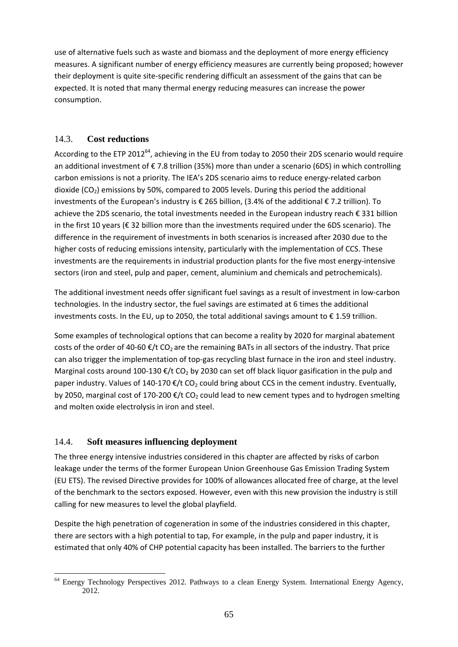use of alternative fuels such as waste and biomass and the deployment of more energy efficiency measures. A significant number of energy efficiency measures are currently being proposed; however their deployment is quite site-specific rendering difficult an assessment of the gains that can be expected. It is noted that many thermal energy reducing measures can increase the power consumption.

# 14.3. **Cost reductions**

According to the ETP 2012<sup>64</sup>, achieving in the EU from today to 2050 their 2DS scenario would require an additional investment of € 7.8 trillion (35%) more than under a scenario (6DS) in which controlling carbon emissions is not a priority. The IEA's 2DS scenario aims to reduce energy-related carbon dioxide  $(CO<sub>2</sub>)$  emissions by 50%, compared to 2005 levels. During this period the additional investments of the European's industry is € 265 billion, (3.4% of the additional € 7.2 trillion). To achieve the 2DS scenario, the total investments needed in the European industry reach € 331 billion in the first 10 years (€ 32 billion more than the investments required under the 6DS scenario). The difference in the requirement of investments in both scenarios is increased after 2030 due to the higher costs of reducing emissions intensity, particularly with the implementation of CCS. These investments are the requirements in industrial production plants for the five most energy-intensive sectors (iron and steel, pulp and paper, cement, aluminium and chemicals and petrochemicals).

The additional investment needs offer significant fuel savings as a result of investment in low-carbon technologies. In the industry sector, the fuel savings are estimated at 6 times the additional investments costs. In the EU, up to 2050, the total additional savings amount to  $\epsilon$  1.59 trillion.

Some examples of technological options that can become a reality by 2020 for marginal abatement costs of the order of 40-60  $\epsilon/t$  CO<sub>2</sub> are the remaining BATs in all sectors of the industry. That price can also trigger the implementation of top-gas recycling blast furnace in the iron and steel industry. Marginal costs around 100-130  $\epsilon$ /t CO<sub>2</sub> by 2030 can set off black liquor gasification in the pulp and paper industry. Values of 140-170  $\epsilon$ /t CO<sub>2</sub> could bring about CCS in the cement industry. Eventually, by 2050, marginal cost of 170-200  $\epsilon$ /t CO<sub>2</sub> could lead to new cement types and to hydrogen smelting and molten oxide electrolysis in iron and steel.

# 14.4. **Soft measures influencing deployment**

The three energy intensive industries considered in this chapter are affected by risks of carbon leakage under the terms of the former European Union Greenhouse Gas Emission Trading System (EU ETS). The revised Directive provides for 100% of allowances allocated free of charge, at the level of the benchmark to the sectors exposed. However, even with this new provision the industry is still calling for new measures to level the global playfield.

Despite the high penetration of cogeneration in some of the industries considered in this chapter, there are sectors with a high potential to tap, For example, in the pulp and paper industry, it is estimated that only 40% of CHP potential capacity has been installed. The barriers to the further

**<sup>.</sup>** 64 Energy Technology Perspectives 2012. Pathways to a clean Energy System. International Energy Agency, 2012.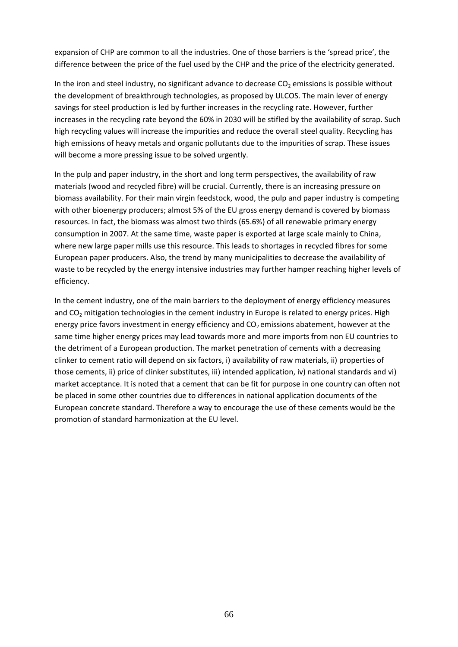expansion of CHP are common to all the industries. One of those barriers is the 'spread price', the difference between the price of the fuel used by the CHP and the price of the electricity generated.

In the iron and steel industry, no significant advance to decrease  $CO<sub>2</sub>$  emissions is possible without the development of breakthrough technologies, as proposed by ULCOS. The main lever of energy savings for steel production is led by further increases in the recycling rate. However, further increases in the recycling rate beyond the 60% in 2030 will be stifled by the availability of scrap. Such high recycling values will increase the impurities and reduce the overall steel quality. Recycling has high emissions of heavy metals and organic pollutants due to the impurities of scrap. These issues will become a more pressing issue to be solved urgently.

In the pulp and paper industry, in the short and long term perspectives, the availability of raw materials (wood and recycled fibre) will be crucial. Currently, there is an increasing pressure on biomass availability. For their main virgin feedstock, wood, the pulp and paper industry is competing with other bioenergy producers; almost 5% of the EU gross energy demand is covered by biomass resources. In fact, the biomass was almost two thirds (65.6%) of all renewable primary energy consumption in 2007. At the same time, waste paper is exported at large scale mainly to China, where new large paper mills use this resource. This leads to shortages in recycled fibres for some European paper producers. Also, the trend by many municipalities to decrease the availability of waste to be recycled by the energy intensive industries may further hamper reaching higher levels of efficiency.

In the cement industry, one of the main barriers to the deployment of energy efficiency measures and  $CO<sub>2</sub>$  mitigation technologies in the cement industry in Europe is related to energy prices. High energy price favors investment in energy efficiency and  $CO<sub>2</sub>$  emissions abatement, however at the same time higher energy prices may lead towards more and more imports from non EU countries to the detriment of a European production. The market penetration of cements with a decreasing clinker to cement ratio will depend on six factors, i) availability of raw materials, ii) properties of those cements, ii) price of clinker substitutes, iii) intended application, iv) national standards and vi) market acceptance. It is noted that a cement that can be fit for purpose in one country can often not be placed in some other countries due to differences in national application documents of the European concrete standard. Therefore a way to encourage the use of these cements would be the promotion of standard harmonization at the EU level.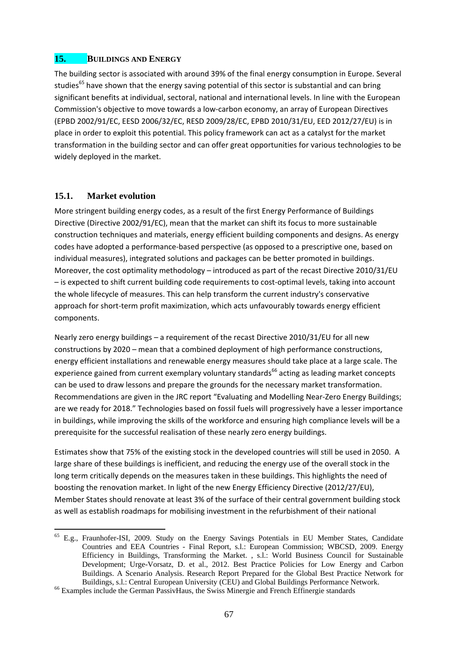#### **15. BUILDINGS AND ENERGY**

The building sector is associated with around 39% of the final energy consumption in Europe. Several studies<sup>65</sup> have shown that the energy saving potential of this sector is substantial and can bring significant benefits at individual, sectoral, national and international levels. In line with the European Commission's objective to move towards a low-carbon economy, an array of European Directives (EPBD 2002/91/EC, EESD 2006/32/EC, RESD 2009/28/EC, EPBD 2010/31/EU, EED 2012/27/EU) is in place in order to exploit this potential. This policy framework can act as a catalyst for the market transformation in the building sector and can offer great opportunities for various technologies to be widely deployed in the market.

### **15.1. Market evolution**

1

More stringent building energy codes, as a result of the first Energy Performance of Buildings Directive (Directive 2002/91/EC), mean that the market can shift its focus to more sustainable construction techniques and materials, energy efficient building components and designs. As energy codes have adopted a performance-based perspective (as opposed to a prescriptive one, based on individual measures), integrated solutions and packages can be better promoted in buildings. Moreover, the cost optimality methodology – introduced as part of the recast Directive 2010/31/EU – is expected to shift current building code requirements to cost-optimal levels, taking into account the whole lifecycle of measures. This can help transform the current industry's conservative approach for short-term profit maximization, which acts unfavourably towards energy efficient components.

Nearly zero energy buildings – a requirement of the recast Directive 2010/31/EU for all new constructions by 2020 – mean that a combined deployment of high performance constructions, energy efficient installations and renewable energy measures should take place at a large scale. The experience gained from current exemplary voluntary standards<sup>66</sup> acting as leading market concepts can be used to draw lessons and prepare the grounds for the necessary market transformation. Recommendations are given in the JRC report "Evaluating and Modelling Near-Zero Energy Buildings; are we ready for 2018." Technologies based on fossil fuels will progressively have a lesser importance in buildings, while improving the skills of the workforce and ensuring high compliance levels will be a prerequisite for the successful realisation of these nearly zero energy buildings.

Estimates show that 75% of the existing stock in the developed countries will still be used in 2050. A large share of these buildings is inefficient, and reducing the energy use of the overall stock in the long term critically depends on the measures taken in these buildings. This highlights the need of boosting the renovation market. In light of the new Energy Efficiency Directive (2012/27/EU), Member States should renovate at least 3% of the surface of their central government building stock as well as establish roadmaps for mobilising investment in the refurbishment of their national

<sup>&</sup>lt;sup>65</sup> E.g., Fraunhofer-ISI, 2009. Study on the Energy Savings Potentials in EU Member States, Candidate Countries and EEA Countries - Final Report, s.l.: European Commission; WBCSD, 2009. Energy Efficiency in Buildings, Transforming the Market. , s.l.: World Business Council for Sustainable Development; Urge-Vorsatz, D. et al., 2012. Best Practice Policies for Low Energy and Carbon Buildings. A Scenario Analysis. Research Report Prepared for the Global Best Practice Network for Buildings, s.l.: Central European University (CEU) and Global Buildings Performance Network. 66 Examples include the German PassivHaus, the Swiss Minergie and French Effinergie standards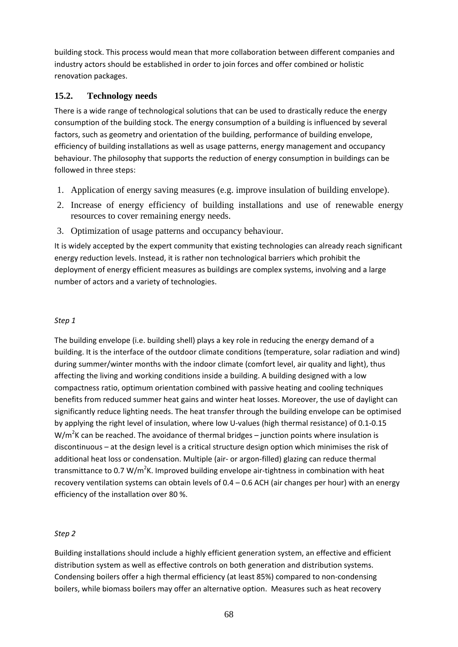building stock. This process would mean that more collaboration between different companies and industry actors should be established in order to join forces and offer combined or holistic renovation packages.

# **15.2. Technology needs**

There is a wide range of technological solutions that can be used to drastically reduce the energy consumption of the building stock. The energy consumption of a building is influenced by several factors, such as geometry and orientation of the building, performance of building envelope, efficiency of building installations as well as usage patterns, energy management and occupancy behaviour. The philosophy that supports the reduction of energy consumption in buildings can be followed in three steps:

- 1. Application of energy saving measures (e.g. improve insulation of building envelope).
- 2. Increase of energy efficiency of building installations and use of renewable energy resources to cover remaining energy needs.
- 3. Optimization of usage patterns and occupancy behaviour.

It is widely accepted by the expert community that existing technologies can already reach significant energy reduction levels. Instead, it is rather non technological barriers which prohibit the deployment of energy efficient measures as buildings are complex systems, involving and a large number of actors and a variety of technologies.

### *Step 1*

The building envelope (i.e. building shell) plays a key role in reducing the energy demand of a building. It is the interface of the outdoor climate conditions (temperature, solar radiation and wind) during summer/winter months with the indoor climate (comfort level, air quality and light), thus affecting the living and working conditions inside a building. A building designed with a low compactness ratio, optimum orientation combined with passive heating and cooling techniques benefits from reduced summer heat gains and winter heat losses. Moreover, the use of daylight can significantly reduce lighting needs. The heat transfer through the building envelope can be optimised by applying the right level of insulation, where low U-values (high thermal resistance) of 0.1-0.15  $W/m^2K$  can be reached. The avoidance of thermal bridges – junction points where insulation is discontinuous – at the design level is a critical structure design option which minimises the risk of additional heat loss or condensation. Multiple (air- or argon-filled) glazing can reduce thermal transmittance to 0.7 W/m<sup>2</sup>K. Improved building envelope air-tightness in combination with heat recovery ventilation systems can obtain levels of 0.4 – 0.6 ACH (air changes per hour) with an energy efficiency of the installation over 80 %.

# *Step 2*

Building installations should include a highly efficient generation system, an effective and efficient distribution system as well as effective controls on both generation and distribution systems. Condensing boilers offer a high thermal efficiency (at least 85%) compared to non-condensing boilers, while biomass boilers may offer an alternative option. Measures such as heat recovery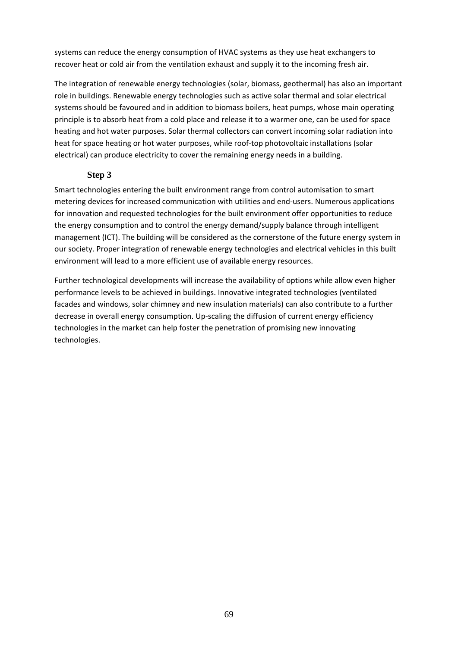systems can reduce the energy consumption of HVAC systems as they use heat exchangers to recover heat or cold air from the ventilation exhaust and supply it to the incoming fresh air.

The integration of renewable energy technologies (solar, biomass, geothermal) has also an important role in buildings. Renewable energy technologies such as active solar thermal and solar electrical systems should be favoured and in addition to biomass boilers, heat pumps, whose main operating principle is to absorb heat from a cold place and release it to a warmer one, can be used for space heating and hot water purposes. Solar thermal collectors can convert incoming solar radiation into heat for space heating or hot water purposes, while roof-top photovoltaic installations (solar electrical) can produce electricity to cover the remaining energy needs in a building.

### **Step 3**

Smart technologies entering the built environment range from control automisation to smart metering devices for increased communication with utilities and end-users. Numerous applications for innovation and requested technologies for the built environment offer opportunities to reduce the energy consumption and to control the energy demand/supply balance through intelligent management (ICT). The building will be considered as the cornerstone of the future energy system in our society. Proper integration of renewable energy technologies and electrical vehicles in this built environment will lead to a more efficient use of available energy resources.

Further technological developments will increase the availability of options while allow even higher performance levels to be achieved in buildings. Innovative integrated technologies (ventilated facades and windows, solar chimney and new insulation materials) can also contribute to a further decrease in overall energy consumption. Up-scaling the diffusion of current energy efficiency technologies in the market can help foster the penetration of promising new innovating technologies.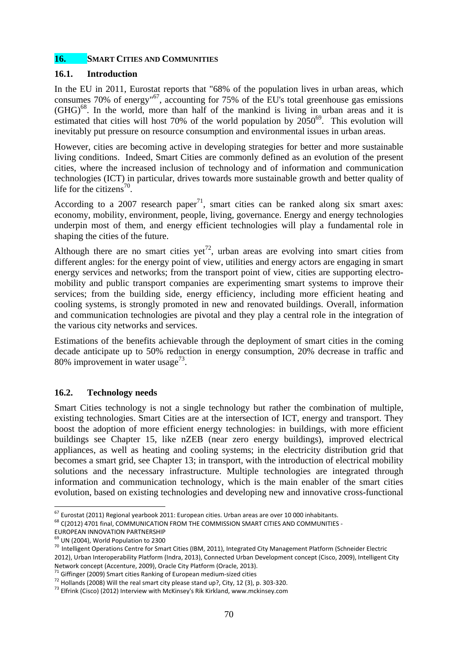### **16. SMART CITIES AND COMMUNITIES**

#### **16.1. Introduction**

In the EU in 2011, Eurostat reports that "68% of the population lives in urban areas, which consumes 70% of energy<sup> $67$ </sup>, accounting for 75% of the EU's total greenhouse gas emissions  $(GHG)^{68}$ . In the world, more than half of the mankind is living in urban areas and it is estimated that cities will host 70% of the world population by  $2050^{69}$ . This evolution will inevitably put pressure on resource consumption and environmental issues in urban areas.

However, cities are becoming active in developing strategies for better and more sustainable living conditions. Indeed, Smart Cities are commonly defined as an evolution of the present cities, where the increased inclusion of technology and of information and communication technologies (ICT) in particular, drives towards more sustainable growth and better quality of life for the citizens<sup>70</sup>.

According to a 2007 research paper<sup>71</sup>, smart cities can be ranked along six smart axes: economy, mobility, environment, people, living, governance. Energy and energy technologies underpin most of them, and energy efficient technologies will play a fundamental role in shaping the cities of the future.

Although there are no smart cities yet<sup>72</sup>, urban areas are evolving into smart cities from different angles: for the energy point of view, utilities and energy actors are engaging in smart energy services and networks; from the transport point of view, cities are supporting electromobility and public transport companies are experimenting smart systems to improve their services; from the building side, energy efficiency, including more efficient heating and cooling systems, is strongly promoted in new and renovated buildings. Overall, information and communication technologies are pivotal and they play a central role in the integration of the various city networks and services.

Estimations of the benefits achievable through the deployment of smart cities in the coming decade anticipate up to 50% reduction in energy consumption, 20% decrease in traffic and 80% improvement in water usage<sup>73</sup>.

# **16.2. Technology needs**

Smart Cities technology is not a single technology but rather the combination of multiple, existing technologies. Smart Cities are at the intersection of ICT, energy and transport. They boost the adoption of more efficient energy technologies: in buildings, with more efficient buildings see Chapter 15, like nZEB (near zero energy buildings), improved electrical appliances, as well as heating and cooling systems; in the electricity distribution grid that becomes a smart grid, see Chapter 13; in transport, with the introduction of electrical mobility solutions and the necessary infrastructure. Multiple technologies are integrated through information and communication technology, which is the main enabler of the smart cities evolution, based on existing technologies and developing new and innovative cross-functional

**<sup>.</sup>** <sup>67</sup> Eurostat (2011) Regional yearbook 2011: European cities. Urban areas are over 10 000 inhabitants.<br><sup>68</sup> C(2012) 4701 final, COMMUNICATION FROM THE COMMISSION SMART CITIES AND COMMUNITIES -

EUROPEAN INNOVATION PARTNERSHIP

 $<sup>69</sup>$  UN (2004), World Population to 2300</sup>

<sup>&</sup>lt;sup>70</sup> Intelligent Operations Centre for Smart Cities (IBM, 2011), Integrated City Management Platform (Schneider Electric 2012), Urban Interoperability Platform (Indra, 2013), Connected Urban Development concept (Cisco, 2009), Intelligent City<br>Network concept (Accenture, 2009), Oracle City Platform (Oracle, 2013).

<sup>&</sup>lt;sup>71</sup> Giffinger (2009) Smart cities Ranking of European medium-sized cities<br><sup>72</sup> Hollands (2008) Will the real smart city please stand up?, City, 12 (3), p. 303-320.<br><sup>73</sup> Elfrink (Cisco) (2012) Interview with McKinsey's Ri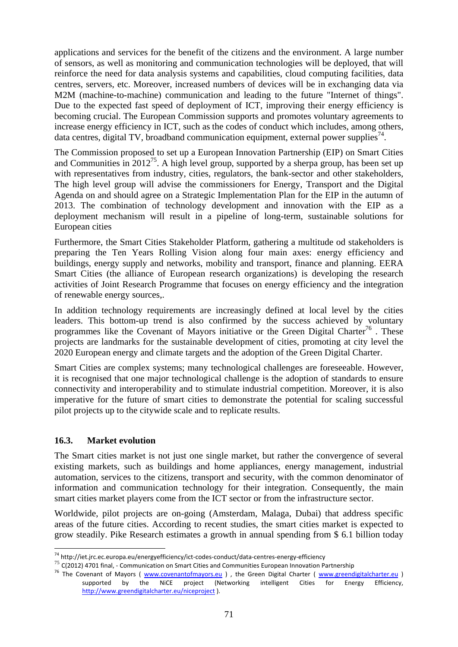applications and services for the benefit of the citizens and the environment. A large number of sensors, as well as monitoring and communication technologies will be deployed, that will reinforce the need for data analysis systems and capabilities, cloud computing facilities, data centres, servers, etc. Moreover, increased numbers of devices will be in exchanging data via M2M (machine-to-machine) communication and leading to the future "Internet of things". Due to the expected fast speed of deployment of ICT, improving their energy efficiency is becoming crucial. The European Commission supports and promotes voluntary agreements to increase energy efficiency in ICT, such as the codes of conduct which includes, among others, data centres, digital TV, broadband communication equipment, external power supplies<sup> $44$ </sup>.

The Commission proposed to set up a European Innovation Partnership (EIP) on Smart Cities and Communities in 2012<sup>75</sup>. A high level group, supported by a sherpa group, has been set up with representatives from industry, cities, regulators, the bank-sector and other stakeholders, The high level group will advise the commissioners for Energy, Transport and the Digital Agenda on and should agree on a Strategic Implementation Plan for the EIP in the autumn of 2013. The combination of technology development and innovation with the EIP as a deployment mechanism will result in a pipeline of long-term, sustainable solutions for European cities

Furthermore, the Smart Cities Stakeholder Platform, gathering a multitude od stakeholders is preparing the Ten Years Rolling Vision along four main axes: energy efficiency and buildings, energy supply and networks, mobility and transport, finance and planning. EERA Smart Cities (the alliance of European research organizations) is developing the research activities of Joint Research Programme that focuses on energy efficiency and the integration of renewable energy sources,.

In addition technology requirements are increasingly defined at local level by the cities leaders. This bottom-up trend is also confirmed by the success achieved by voluntary programmes like the Covenant of Mayors initiative or the Green Digital Charter<sup>76</sup>. These projects are landmarks for the sustainable development of cities, promoting at city level the 2020 European energy and climate targets and the adoption of the Green Digital Charter.

Smart Cities are complex systems; many technological challenges are foreseeable. However, it is recognised that one major technological challenge is the adoption of standards to ensure connectivity and interoperability and to stimulate industrial competition. Moreover, it is also imperative for the future of smart cities to demonstrate the potential for scaling successful pilot projects up to the citywide scale and to replicate results.

# **16.3. Market evolution**

The Smart cities market is not just one single market, but rather the convergence of several existing markets, such as buildings and home appliances, energy management, industrial automation, services to the citizens, transport and security, with the common denominator of information and communication technology for their integration. Consequently, the main smart cities market players come from the ICT sector or from the infrastructure sector.

Worldwide, pilot projects are on-going (Amsterdam, Malaga, Dubai) that address specific areas of the future cities. According to recent studies, the smart cities market is expected to grow steadily. Pike Research estimates a growth in annual spending from \$ 6.1 billion today

<sup>74</sup> http://iet.jrc.ec.europa.eu/energyefficiency/ict-codes-conduct/data-centres-energy-efficiency

<sup>&</sup>lt;sup>75</sup> C(2012) 4701 final, - Communication on Smart Cities and Communities European Innovation Partnership<br><sup>76</sup> The Covenant of Mayors (*www.covenantofmayors.eu*), the Green Digital Charter (*www.greendigitalcharter.eu*) supported by the NiCE project (Networking intelligent Cities for Energy Efficiency, [http://www.greendigitalcharter.eu/niceproject \).](http://www.greendigitalcharter.eu/niceproject)